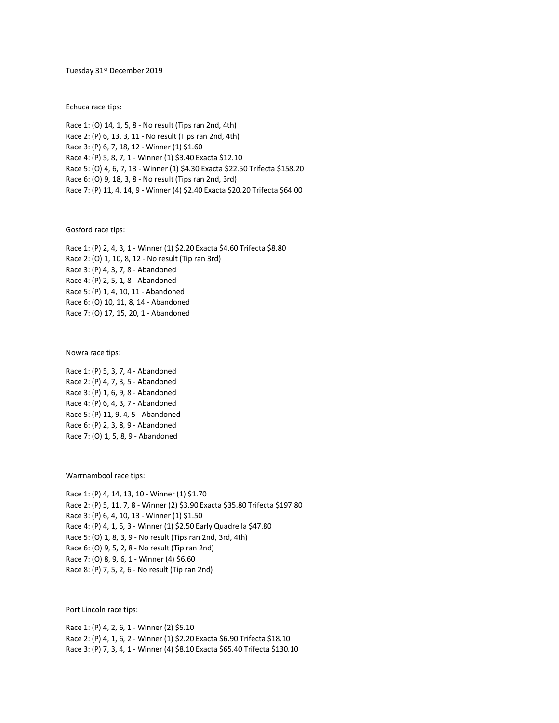## Tuesday 31st December 2019

Echuca race tips:

Race 1: (O) 14, 1, 5, 8 - No result (Tips ran 2nd, 4th) Race 2: (P) 6, 13, 3, 11 - No result (Tips ran 2nd, 4th) Race 3: (P) 6, 7, 18, 12 - Winner (1) \$1.60 Race 4: (P) 5, 8, 7, 1 - Winner (1) \$3.40 Exacta \$12.10 Race 5: (O) 4, 6, 7, 13 - Winner (1) \$4.30 Exacta \$22.50 Trifecta \$158.20 Race 6: (O) 9, 18, 3, 8 - No result (Tips ran 2nd, 3rd) Race 7: (P) 11, 4, 14, 9 - Winner (4) \$2.40 Exacta \$20.20 Trifecta \$64.00

Gosford race tips:

Race 1: (P) 2, 4, 3, 1 - Winner (1) \$2.20 Exacta \$4.60 Trifecta \$8.80 Race 2: (O) 1, 10, 8, 12 - No result (Tip ran 3rd) Race 3: (P) 4, 3, 7, 8 - Abandoned Race 4: (P) 2, 5, 1, 8 - Abandoned Race 5: (P) 1, 4, 10, 11 - Abandoned Race 6: (O) 10, 11, 8, 14 - Abandoned Race 7: (O) 17, 15, 20, 1 - Abandoned

Nowra race tips:

Race 1: (P) 5, 3, 7, 4 - Abandoned Race 2: (P) 4, 7, 3, 5 - Abandoned Race 3: (P) 1, 6, 9, 8 - Abandoned Race 4: (P) 6, 4, 3, 7 - Abandoned Race 5: (P) 11, 9, 4, 5 - Abandoned Race 6: (P) 2, 3, 8, 9 - Abandoned Race 7: (O) 1, 5, 8, 9 - Abandoned

Warrnambool race tips:

Race 1: (P) 4, 14, 13, 10 - Winner (1) \$1.70 Race 2: (P) 5, 11, 7, 8 - Winner (2) \$3.90 Exacta \$35.80 Trifecta \$197.80 Race 3: (P) 6, 4, 10, 13 - Winner (1) \$1.50 Race 4: (P) 4, 1, 5, 3 - Winner (1) \$2.50 Early Quadrella \$47.80 Race 5: (O) 1, 8, 3, 9 - No result (Tips ran 2nd, 3rd, 4th) Race 6: (O) 9, 5, 2, 8 - No result (Tip ran 2nd) Race 7: (O) 8, 9, 6, 1 - Winner (4) \$6.60 Race 8: (P) 7, 5, 2, 6 - No result (Tip ran 2nd)

Port Lincoln race tips:

Race 1: (P) 4, 2, 6, 1 - Winner (2) \$5.10 Race 2: (P) 4, 1, 6, 2 - Winner (1) \$2.20 Exacta \$6.90 Trifecta \$18.10 Race 3: (P) 7, 3, 4, 1 - Winner (4) \$8.10 Exacta \$65.40 Trifecta \$130.10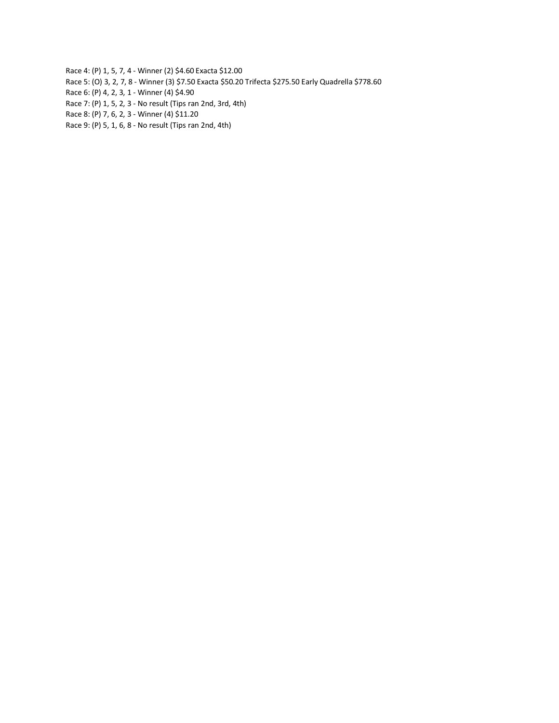Race 4: (P) 1, 5, 7, 4 - Winner (2) \$4.60 Exacta \$12.00

- Race 5: (O) 3, 2, 7, 8 Winner (3) \$7.50 Exacta \$50.20 Trifecta \$275.50 Early Quadrella \$778.60
- Race 6: (P) 4, 2, 3, 1 Winner (4) \$4.90
- Race 7: (P) 1, 5, 2, 3 No result (Tips ran 2nd, 3rd, 4th)
- Race 8: (P) 7, 6, 2, 3 Winner (4) \$11.20
- Race 9: (P) 5, 1, 6, 8 No result (Tips ran 2nd, 4th)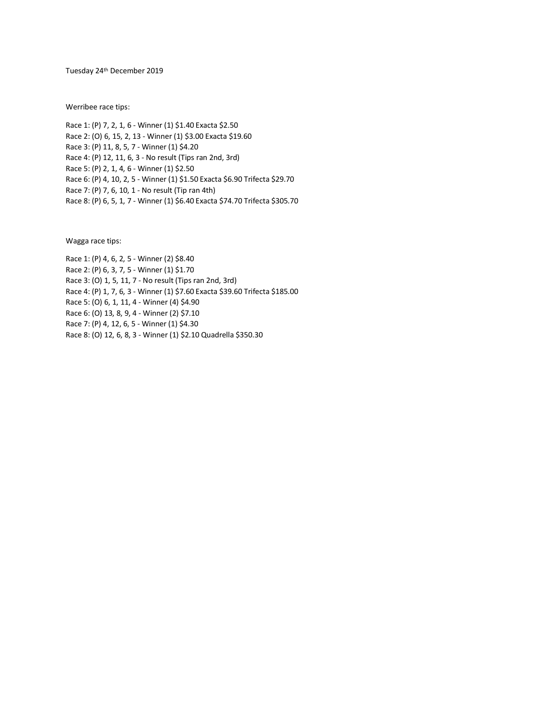Tuesday 24th December 2019

Werribee race tips:

Race 1: (P) 7, 2, 1, 6 - Winner (1) \$1.40 Exacta \$2.50 Race 2: (O) 6, 15, 2, 13 - Winner (1) \$3.00 Exacta \$19.60 Race 3: (P) 11, 8, 5, 7 - Winner (1) \$4.20 Race 4: (P) 12, 11, 6, 3 - No result (Tips ran 2nd, 3rd) Race 5: (P) 2, 1, 4, 6 - Winner (1) \$2.50 Race 6: (P) 4, 10, 2, 5 - Winner (1) \$1.50 Exacta \$6.90 Trifecta \$29.70 Race 7: (P) 7, 6, 10, 1 - No result (Tip ran 4th) Race 8: (P) 6, 5, 1, 7 - Winner (1) \$6.40 Exacta \$74.70 Trifecta \$305.70

Wagga race tips:

Race 1: (P) 4, 6, 2, 5 - Winner (2) \$8.40 Race 2: (P) 6, 3, 7, 5 - Winner (1) \$1.70 Race 3: (O) 1, 5, 11, 7 - No result (Tips ran 2nd, 3rd) Race 4: (P) 1, 7, 6, 3 - Winner (1) \$7.60 Exacta \$39.60 Trifecta \$185.00 Race 5: (O) 6, 1, 11, 4 - Winner (4) \$4.90 Race 6: (O) 13, 8, 9, 4 - Winner (2) \$7.10 Race 7: (P) 4, 12, 6, 5 - Winner (1) \$4.30 Race 8: (O) 12, 6, 8, 3 - Winner (1) \$2.10 Quadrella \$350.30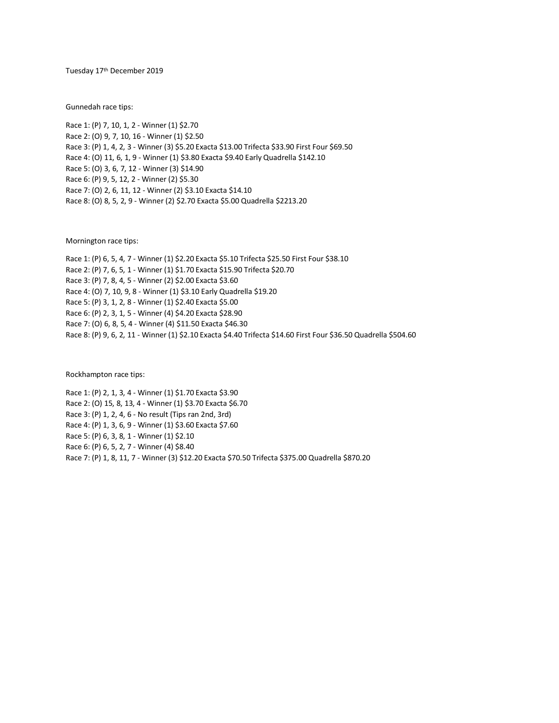Tuesday 17<sup>th</sup> December 2019

Gunnedah race tips:

Race 1: (P) 7, 10, 1, 2 - Winner (1) \$2.70 Race 2: (O) 9, 7, 10, 16 - Winner (1) \$2.50 Race 3: (P) 1, 4, 2, 3 - Winner (3) \$5.20 Exacta \$13.00 Trifecta \$33.90 First Four \$69.50 Race 4: (O) 11, 6, 1, 9 - Winner (1) \$3.80 Exacta \$9.40 Early Quadrella \$142.10 Race 5: (O) 3, 6, 7, 12 - Winner (3) \$14.90 Race 6: (P) 9, 5, 12, 2 - Winner (2) \$5.30 Race 7: (O) 2, 6, 11, 12 - Winner (2) \$3.10 Exacta \$14.10 Race 8: (O) 8, 5, 2, 9 - Winner (2) \$2.70 Exacta \$5.00 Quadrella \$2213.20

Mornington race tips:

Race 1: (P) 6, 5, 4, 7 - Winner (1) \$2.20 Exacta \$5.10 Trifecta \$25.50 First Four \$38.10 Race 2: (P) 7, 6, 5, 1 - Winner (1) \$1.70 Exacta \$15.90 Trifecta \$20.70 Race 3: (P) 7, 8, 4, 5 - Winner (2) \$2.00 Exacta \$3.60 Race 4: (O) 7, 10, 9, 8 - Winner (1) \$3.10 Early Quadrella \$19.20 Race 5: (P) 3, 1, 2, 8 - Winner (1) \$2.40 Exacta \$5.00 Race 6: (P) 2, 3, 1, 5 - Winner (4) \$4.20 Exacta \$28.90 Race 7: (O) 6, 8, 5, 4 - Winner (4) \$11.50 Exacta \$46.30 Race 8: (P) 9, 6, 2, 11 - Winner (1) \$2.10 Exacta \$4.40 Trifecta \$14.60 First Four \$36.50 Quadrella \$504.60

Rockhampton race tips:

Race 1: (P) 2, 1, 3, 4 - Winner (1) \$1.70 Exacta \$3.90 Race 2: (O) 15, 8, 13, 4 - Winner (1) \$3.70 Exacta \$6.70 Race 3: (P) 1, 2, 4, 6 - No result (Tips ran 2nd, 3rd) Race 4: (P) 1, 3, 6, 9 - Winner (1) \$3.60 Exacta \$7.60 Race 5: (P) 6, 3, 8, 1 - Winner (1) \$2.10 Race 6: (P) 6, 5, 2, 7 - Winner (4) \$8.40 Race 7: (P) 1, 8, 11, 7 - Winner (3) \$12.20 Exacta \$70.50 Trifecta \$375.00 Quadrella \$870.20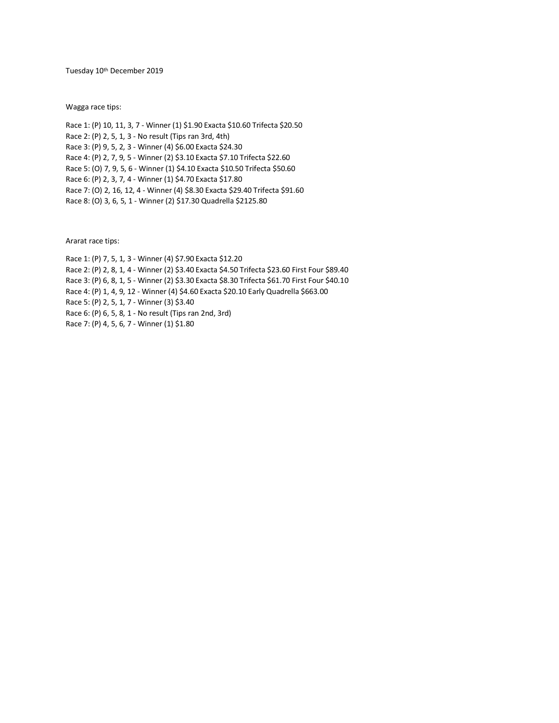Tuesday 10th December 2019

Wagga race tips:

Race 1: (P) 10, 11, 3, 7 - Winner (1) \$1.90 Exacta \$10.60 Trifecta \$20.50 Race 2: (P) 2, 5, 1, 3 - No result (Tips ran 3rd, 4th) Race 3: (P) 9, 5, 2, 3 - Winner (4) \$6.00 Exacta \$24.30 Race 4: (P) 2, 7, 9, 5 - Winner (2) \$3.10 Exacta \$7.10 Trifecta \$22.60 Race 5: (O) 7, 9, 5, 6 - Winner (1) \$4.10 Exacta \$10.50 Trifecta \$50.60 Race 6: (P) 2, 3, 7, 4 - Winner (1) \$4.70 Exacta \$17.80 Race 7: (O) 2, 16, 12, 4 - Winner (4) \$8.30 Exacta \$29.40 Trifecta \$91.60 Race 8: (O) 3, 6, 5, 1 - Winner (2) \$17.30 Quadrella \$2125.80

Ararat race tips:

Race 1: (P) 7, 5, 1, 3 - Winner (4) \$7.90 Exacta \$12.20 Race 2: (P) 2, 8, 1, 4 - Winner (2) \$3.40 Exacta \$4.50 Trifecta \$23.60 First Four \$89.40 Race 3: (P) 6, 8, 1, 5 - Winner (2) \$3.30 Exacta \$8.30 Trifecta \$61.70 First Four \$40.10 Race 4: (P) 1, 4, 9, 12 - Winner (4) \$4.60 Exacta \$20.10 Early Quadrella \$663.00 Race 5: (P) 2, 5, 1, 7 - Winner (3) \$3.40 Race 6: (P) 6, 5, 8, 1 - No result (Tips ran 2nd, 3rd) Race 7: (P) 4, 5, 6, 7 - Winner (1) \$1.80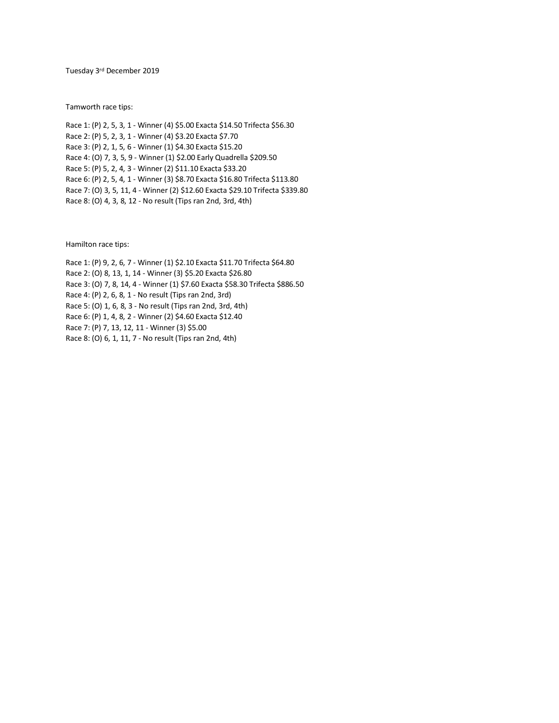Tuesday 3<sup>rd</sup> December 2019

Tamworth race tips:

Race 1: (P) 2, 5, 3, 1 - Winner (4) \$5.00 Exacta \$14.50 Trifecta \$56.30 Race 2: (P) 5, 2, 3, 1 - Winner (4) \$3.20 Exacta \$7.70 Race 3: (P) 2, 1, 5, 6 - Winner (1) \$4.30 Exacta \$15.20 Race 4: (O) 7, 3, 5, 9 - Winner (1) \$2.00 Early Quadrella \$209.50 Race 5: (P) 5, 2, 4, 3 - Winner (2) \$11.10 Exacta \$33.20 Race 6: (P) 2, 5, 4, 1 - Winner (3) \$8.70 Exacta \$16.80 Trifecta \$113.80 Race 7: (O) 3, 5, 11, 4 - Winner (2) \$12.60 Exacta \$29.10 Trifecta \$339.80 Race 8: (O) 4, 3, 8, 12 - No result (Tips ran 2nd, 3rd, 4th)

Hamilton race tips:

Race 1: (P) 9, 2, 6, 7 - Winner (1) \$2.10 Exacta \$11.70 Trifecta \$64.80 Race 2: (O) 8, 13, 1, 14 - Winner (3) \$5.20 Exacta \$26.80 Race 3: (O) 7, 8, 14, 4 - Winner (1) \$7.60 Exacta \$58.30 Trifecta \$886.50 Race 4: (P) 2, 6, 8, 1 - No result (Tips ran 2nd, 3rd) Race 5: (O) 1, 6, 8, 3 - No result (Tips ran 2nd, 3rd, 4th) Race 6: (P) 1, 4, 8, 2 - Winner (2) \$4.60 Exacta \$12.40 Race 7: (P) 7, 13, 12, 11 - Winner (3) \$5.00 Race 8: (O) 6, 1, 11, 7 - No result (Tips ran 2nd, 4th)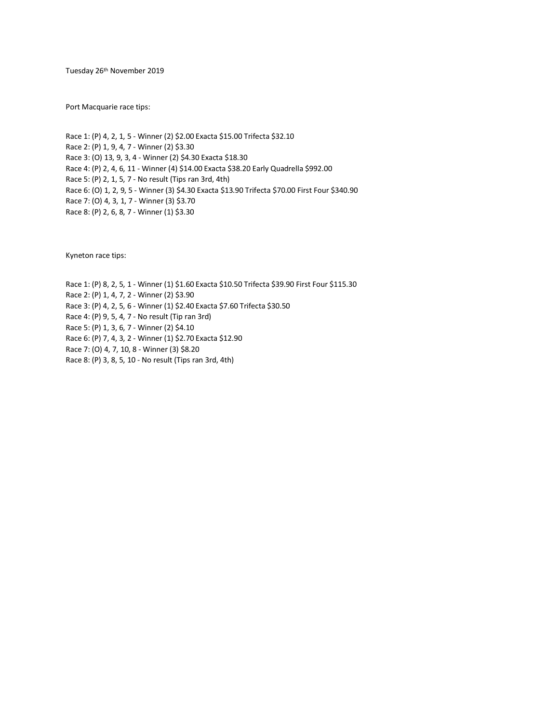Tuesday 26th November 2019

Port Macquarie race tips:

Race 1: (P) 4, 2, 1, 5 - Winner (2) \$2.00 Exacta \$15.00 Trifecta \$32.10 Race 2: (P) 1, 9, 4, 7 - Winner (2) \$3.30 Race 3: (O) 13, 9, 3, 4 - Winner (2) \$4.30 Exacta \$18.30 Race 4: (P) 2, 4, 6, 11 - Winner (4) \$14.00 Exacta \$38.20 Early Quadrella \$992.00 Race 5: (P) 2, 1, 5, 7 - No result (Tips ran 3rd, 4th) Race 6: (O) 1, 2, 9, 5 - Winner (3) \$4.30 Exacta \$13.90 Trifecta \$70.00 First Four \$340.90 Race 7: (O) 4, 3, 1, 7 - Winner (3) \$3.70 Race 8: (P) 2, 6, 8, 7 - Winner (1) \$3.30

Kyneton race tips:

Race 1: (P) 8, 2, 5, 1 - Winner (1) \$1.60 Exacta \$10.50 Trifecta \$39.90 First Four \$115.30 Race 2: (P) 1, 4, 7, 2 - Winner (2) \$3.90 Race 3: (P) 4, 2, 5, 6 - Winner (1) \$2.40 Exacta \$7.60 Trifecta \$30.50 Race 4: (P) 9, 5, 4, 7 - No result (Tip ran 3rd) Race 5: (P) 1, 3, 6, 7 - Winner (2) \$4.10 Race 6: (P) 7, 4, 3, 2 - Winner (1) \$2.70 Exacta \$12.90 Race 7: (O) 4, 7, 10, 8 - Winner (3) \$8.20 Race 8: (P) 3, 8, 5, 10 - No result (Tips ran 3rd, 4th)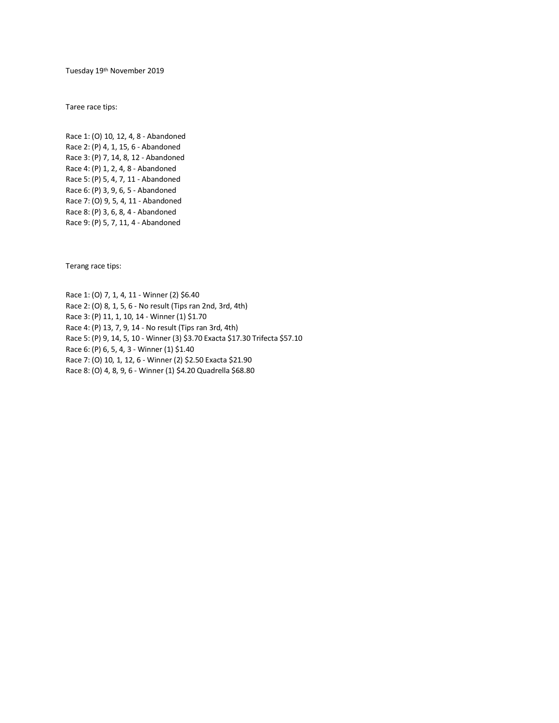Tuesday 19th November 2019

Taree race tips:

Race 1: (O) 10, 12, 4, 8 - Abandoned Race 2: (P) 4, 1, 15, 6 - Abandoned Race 3: (P) 7, 14, 8, 12 - Abandoned Race 4: (P) 1, 2, 4, 8 - Abandoned Race 5: (P) 5, 4, 7, 11 - Abandoned Race 6: (P) 3, 9, 6, 5 - Abandoned Race 7: (O) 9, 5, 4, 11 - Abandoned Race 8: (P) 3, 6, 8, 4 - Abandoned Race 9: (P) 5, 7, 11, 4 - Abandoned

Terang race tips:

Race 1: (O) 7, 1, 4, 11 - Winner (2) \$6.40 Race 2: (O) 8, 1, 5, 6 - No result (Tips ran 2nd, 3rd, 4th) Race 3: (P) 11, 1, 10, 14 - Winner (1) \$1.70 Race 4: (P) 13, 7, 9, 14 - No result (Tips ran 3rd, 4th) Race 5: (P) 9, 14, 5, 10 - Winner (3) \$3.70 Exacta \$17.30 Trifecta \$57.10 Race 6: (P) 6, 5, 4, 3 - Winner (1) \$1.40 Race 7: (O) 10, 1, 12, 6 - Winner (2) \$2.50 Exacta \$21.90 Race 8: (O) 4, 8, 9, 6 - Winner (1) \$4.20 Quadrella \$68.80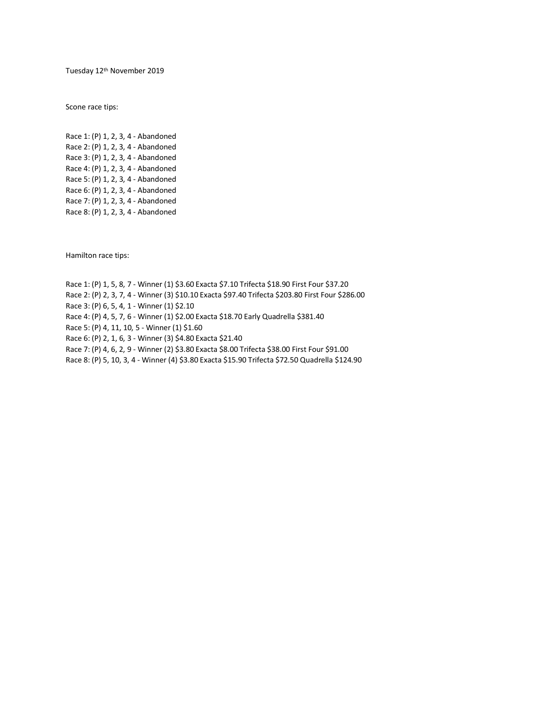Tuesday 12th November 2019

Scone race tips:

Race 1: (P) 1, 2, 3, 4 - Abandoned Race 2: (P) 1, 2, 3, 4 - Abandoned Race 3: (P) 1, 2, 3, 4 - Abandoned Race 4: (P) 1, 2, 3, 4 - Abandoned Race 5: (P) 1, 2, 3, 4 - Abandoned Race 6: (P) 1, 2, 3, 4 - Abandoned Race 7: (P) 1, 2, 3, 4 - Abandoned Race 8: (P) 1, 2, 3, 4 - Abandoned

Hamilton race tips:

Race 1: (P) 1, 5, 8, 7 - Winner (1) \$3.60 Exacta \$7.10 Trifecta \$18.90 First Four \$37.20 Race 2: (P) 2, 3, 7, 4 - Winner (3) \$10.10 Exacta \$97.40 Trifecta \$203.80 First Four \$286.00 Race 3: (P) 6, 5, 4, 1 - Winner (1) \$2.10 Race 4: (P) 4, 5, 7, 6 - Winner (1) \$2.00 Exacta \$18.70 Early Quadrella \$381.40 Race 5: (P) 4, 11, 10, 5 - Winner (1) \$1.60 Race 6: (P) 2, 1, 6, 3 - Winner (3) \$4.80 Exacta \$21.40 Race 7: (P) 4, 6, 2, 9 - Winner (2) \$3.80 Exacta \$8.00 Trifecta \$38.00 First Four \$91.00 Race 8: (P) 5, 10, 3, 4 - Winner (4) \$3.80 Exacta \$15.90 Trifecta \$72.50 Quadrella \$124.90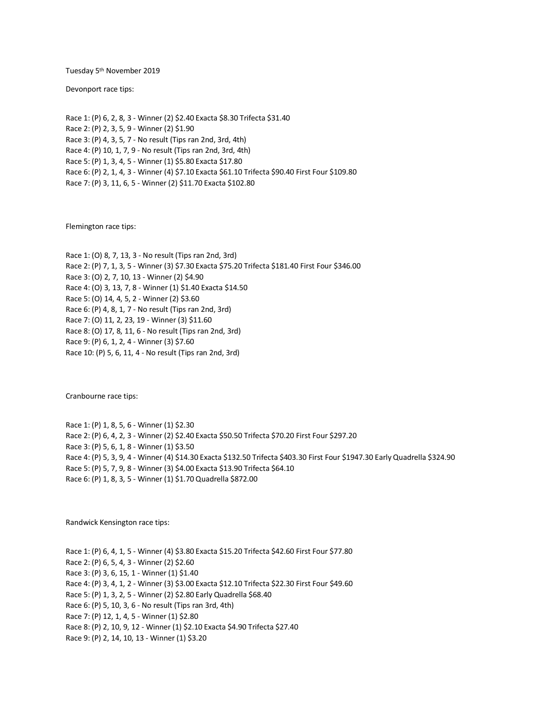Tuesday 5 th November 2019

Devonport race tips:

Race 1: (P) 6, 2, 8, 3 - Winner (2) \$2.40 Exacta \$8.30 Trifecta \$31.40 Race 2: (P) 2, 3, 5, 9 - Winner (2) \$1.90 Race 3: (P) 4, 3, 5, 7 - No result (Tips ran 2nd, 3rd, 4th) Race 4: (P) 10, 1, 7, 9 - No result (Tips ran 2nd, 3rd, 4th) Race 5: (P) 1, 3, 4, 5 - Winner (1) \$5.80 Exacta \$17.80 Race 6: (P) 2, 1, 4, 3 - Winner (4) \$7.10 Exacta \$61.10 Trifecta \$90.40 First Four \$109.80 Race 7: (P) 3, 11, 6, 5 - Winner (2) \$11.70 Exacta \$102.80

Flemington race tips:

Race 1: (O) 8, 7, 13, 3 - No result (Tips ran 2nd, 3rd) Race 2: (P) 7, 1, 3, 5 - Winner (3) \$7.30 Exacta \$75.20 Trifecta \$181.40 First Four \$346.00 Race 3: (O) 2, 7, 10, 13 - Winner (2) \$4.90 Race 4: (O) 3, 13, 7, 8 - Winner (1) \$1.40 Exacta \$14.50 Race 5: (O) 14, 4, 5, 2 - Winner (2) \$3.60 Race 6: (P) 4, 8, 1, 7 - No result (Tips ran 2nd, 3rd) Race 7: (O) 11, 2, 23, 19 - Winner (3) \$11.60 Race 8: (O) 17, 8, 11, 6 - No result (Tips ran 2nd, 3rd) Race 9: (P) 6, 1, 2, 4 - Winner (3) \$7.60 Race 10: (P) 5, 6, 11, 4 - No result (Tips ran 2nd, 3rd)

Cranbourne race tips:

Race 1: (P) 1, 8, 5, 6 - Winner (1) \$2.30 Race 2: (P) 6, 4, 2, 3 - Winner (2) \$2.40 Exacta \$50.50 Trifecta \$70.20 First Four \$297.20 Race 3: (P) 5, 6, 1, 8 - Winner (1) \$3.50 Race 4: (P) 5, 3, 9, 4 - Winner (4) \$14.30 Exacta \$132.50 Trifecta \$403.30 First Four \$1947.30 Early Quadrella \$324.90 Race 5: (P) 5, 7, 9, 8 - Winner (3) \$4.00 Exacta \$13.90 Trifecta \$64.10 Race 6: (P) 1, 8, 3, 5 - Winner (1) \$1.70 Quadrella \$872.00

Randwick Kensington race tips:

Race 1: (P) 6, 4, 1, 5 - Winner (4) \$3.80 Exacta \$15.20 Trifecta \$42.60 First Four \$77.80 Race 2: (P) 6, 5, 4, 3 - Winner (2) \$2.60 Race 3: (P) 3, 6, 15, 1 - Winner (1) \$1.40 Race 4: (P) 3, 4, 1, 2 - Winner (3) \$3.00 Exacta \$12.10 Trifecta \$22.30 First Four \$49.60 Race 5: (P) 1, 3, 2, 5 - Winner (2) \$2.80 Early Quadrella \$68.40 Race 6: (P) 5, 10, 3, 6 - No result (Tips ran 3rd, 4th) Race 7: (P) 12, 1, 4, 5 - Winner (1) \$2.80 Race 8: (P) 2, 10, 9, 12 - Winner (1) \$2.10 Exacta \$4.90 Trifecta \$27.40 Race 9: (P) 2, 14, 10, 13 - Winner (1) \$3.20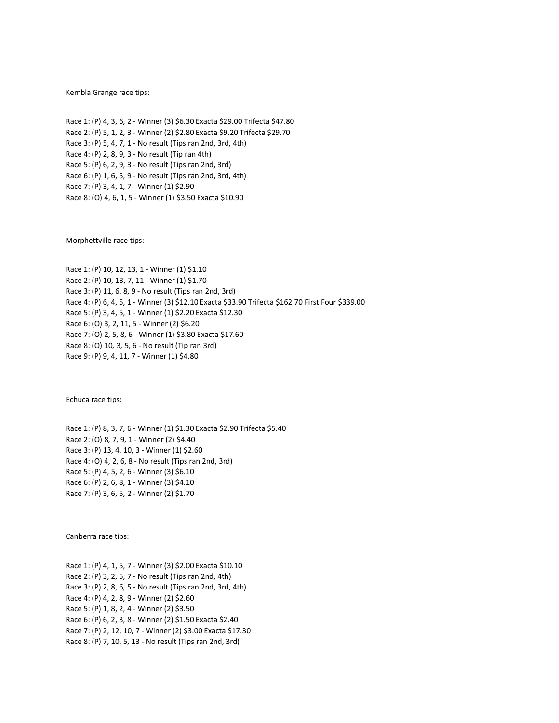Kembla Grange race tips:

Race 1: (P) 4, 3, 6, 2 - Winner (3) \$6.30 Exacta \$29.00 Trifecta \$47.80 Race 2: (P) 5, 1, 2, 3 - Winner (2) \$2.80 Exacta \$9.20 Trifecta \$29.70 Race 3: (P) 5, 4, 7, 1 - No result (Tips ran 2nd, 3rd, 4th) Race 4: (P) 2, 8, 9, 3 - No result (Tip ran 4th) Race 5: (P) 6, 2, 9, 3 - No result (Tips ran 2nd, 3rd) Race 6: (P) 1, 6, 5, 9 - No result (Tips ran 2nd, 3rd, 4th) Race 7: (P) 3, 4, 1, 7 - Winner (1) \$2.90 Race 8: (O) 4, 6, 1, 5 - Winner (1) \$3.50 Exacta \$10.90

Morphettville race tips:

Race 1: (P) 10, 12, 13, 1 - Winner (1) \$1.10 Race 2: (P) 10, 13, 7, 11 - Winner (1) \$1.70 Race 3: (P) 11, 6, 8, 9 - No result (Tips ran 2nd, 3rd) Race 4: (P) 6, 4, 5, 1 - Winner (3) \$12.10 Exacta \$33.90 Trifecta \$162.70 First Four \$339.00 Race 5: (P) 3, 4, 5, 1 - Winner (1) \$2.20 Exacta \$12.30 Race 6: (O) 3, 2, 11, 5 - Winner (2) \$6.20 Race 7: (O) 2, 5, 8, 6 - Winner (1) \$3.80 Exacta \$17.60 Race 8: (O) 10, 3, 5, 6 - No result (Tip ran 3rd) Race 9: (P) 9, 4, 11, 7 - Winner (1) \$4.80

Echuca race tips:

Race 1: (P) 8, 3, 7, 6 - Winner (1) \$1.30 Exacta \$2.90 Trifecta \$5.40 Race 2: (O) 8, 7, 9, 1 - Winner (2) \$4.40 Race 3: (P) 13, 4, 10, 3 - Winner (1) \$2.60 Race 4: (O) 4, 2, 6, 8 - No result (Tips ran 2nd, 3rd) Race 5: (P) 4, 5, 2, 6 - Winner (3) \$6.10 Race 6: (P) 2, 6, 8, 1 - Winner (3) \$4.10 Race 7: (P) 3, 6, 5, 2 - Winner (2) \$1.70

Canberra race tips:

Race 1: (P) 4, 1, 5, 7 - Winner (3) \$2.00 Exacta \$10.10 Race 2: (P) 3, 2, 5, 7 - No result (Tips ran 2nd, 4th) Race 3: (P) 2, 8, 6, 5 - No result (Tips ran 2nd, 3rd, 4th) Race 4: (P) 4, 2, 8, 9 - Winner (2) \$2.60 Race 5: (P) 1, 8, 2, 4 - Winner (2) \$3.50 Race 6: (P) 6, 2, 3, 8 - Winner (2) \$1.50 Exacta \$2.40 Race 7: (P) 2, 12, 10, 7 - Winner (2) \$3.00 Exacta \$17.30 Race 8: (P) 7, 10, 5, 13 - No result (Tips ran 2nd, 3rd)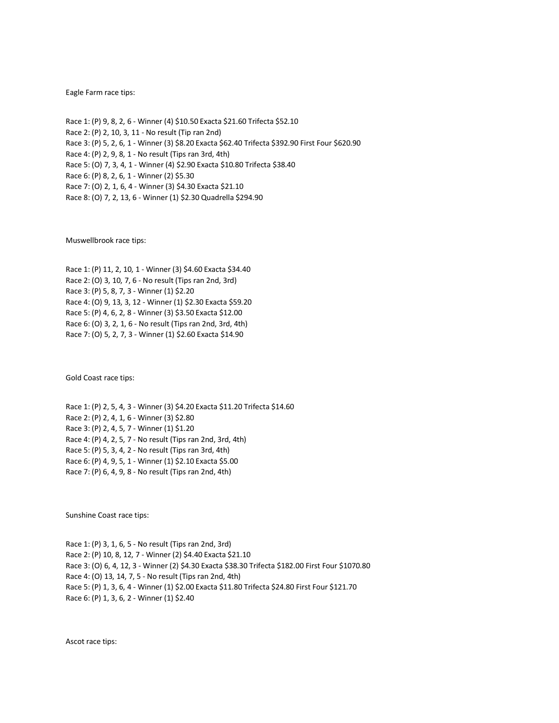#### Eagle Farm race tips:

Race 1: (P) 9, 8, 2, 6 - Winner (4) \$10.50 Exacta \$21.60 Trifecta \$52.10 Race 2: (P) 2, 10, 3, 11 - No result (Tip ran 2nd) Race 3: (P) 5, 2, 6, 1 - Winner (3) \$8.20 Exacta \$62.40 Trifecta \$392.90 First Four \$620.90 Race 4: (P) 2, 9, 8, 1 - No result (Tips ran 3rd, 4th) Race 5: (O) 7, 3, 4, 1 - Winner (4) \$2.90 Exacta \$10.80 Trifecta \$38.40 Race 6: (P) 8, 2, 6, 1 - Winner (2) \$5.30 Race 7: (O) 2, 1, 6, 4 - Winner (3) \$4.30 Exacta \$21.10 Race 8: (O) 7, 2, 13, 6 - Winner (1) \$2.30 Quadrella \$294.90

Muswellbrook race tips:

Race 1: (P) 11, 2, 10, 1 - Winner (3) \$4.60 Exacta \$34.40 Race 2: (O) 3, 10, 7, 6 - No result (Tips ran 2nd, 3rd) Race 3: (P) 5, 8, 7, 3 - Winner (1) \$2.20 Race 4: (O) 9, 13, 3, 12 - Winner (1) \$2.30 Exacta \$59.20 Race 5: (P) 4, 6, 2, 8 - Winner (3) \$3.50 Exacta \$12.00 Race 6: (O) 3, 2, 1, 6 - No result (Tips ran 2nd, 3rd, 4th) Race 7: (O) 5, 2, 7, 3 - Winner (1) \$2.60 Exacta \$14.90

Gold Coast race tips:

Race 1: (P) 2, 5, 4, 3 - Winner (3) \$4.20 Exacta \$11.20 Trifecta \$14.60 Race 2: (P) 2, 4, 1, 6 - Winner (3) \$2.80 Race 3: (P) 2, 4, 5, 7 - Winner (1) \$1.20 Race 4: (P) 4, 2, 5, 7 - No result (Tips ran 2nd, 3rd, 4th) Race 5: (P) 5, 3, 4, 2 - No result (Tips ran 3rd, 4th) Race 6: (P) 4, 9, 5, 1 - Winner (1) \$2.10 Exacta \$5.00 Race 7: (P) 6, 4, 9, 8 - No result (Tips ran 2nd, 4th)

Sunshine Coast race tips:

Race 1: (P) 3, 1, 6, 5 - No result (Tips ran 2nd, 3rd) Race 2: (P) 10, 8, 12, 7 - Winner (2) \$4.40 Exacta \$21.10 Race 3: (O) 6, 4, 12, 3 - Winner (2) \$4.30 Exacta \$38.30 Trifecta \$182.00 First Four \$1070.80 Race 4: (O) 13, 14, 7, 5 - No result (Tips ran 2nd, 4th) Race 5: (P) 1, 3, 6, 4 - Winner (1) \$2.00 Exacta \$11.80 Trifecta \$24.80 First Four \$121.70 Race 6: (P) 1, 3, 6, 2 - Winner (1) \$2.40

Ascot race tips: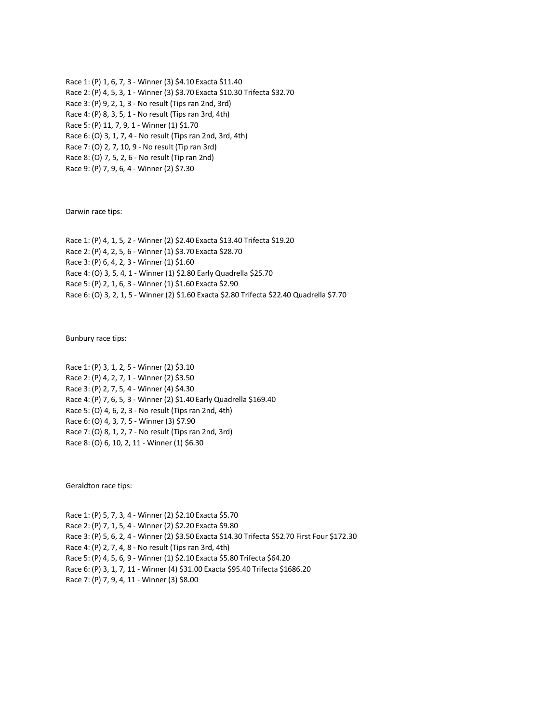Race 1: (P) 1, 6, 7, 3 - Winner (3) \$4.10 Exacta \$11.40 Race 2: (P) 4, 5, 3, 1 - Winner (3) \$3.70 Exacta \$10.30 Trifecta \$32.70 Race 3: (P) 9, 2, 1, 3 - No result (Tips ran 2nd, 3rd) Race 4: (P) 8, 3, 5, 1 - No result (Tips ran 3rd, 4th) Race 5: (P) 11, 7, 9, 1 - Winner (1) \$1.70 Race 6: (O) 3, 1, 7, 4 - No result (Tips ran 2nd, 3rd, 4th) Race 7: (O) 2, 7, 10, 9 - No result (Tip ran 3rd) Race 8: (O) 7, 5, 2, 6 - No result (Tip ran 2nd) Race 9: (P) 7, 9, 6, 4 - Winner (2) \$7.30

Darwin race tips:

Race 1: (P) 4, 1, 5, 2 - Winner (2) \$2.40 Exacta \$13.40 Trifecta \$19.20 Race 2: (P) 4, 2, 5, 6 - Winner (1) \$3.70 Exacta \$28.70 Race 3: (P) 6, 4, 2, 3 - Winner (1) \$1.60 Race 4: (O) 3, 5, 4, 1 - Winner (1) \$2.80 Early Quadrella \$25.70 Race 5: (P) 2, 1, 6, 3 - Winner (1) \$1.60 Exacta \$2.90 Race 6: (O) 3, 2, 1, 5 - Winner (2) \$1.60 Exacta \$2.80 Trifecta \$22.40 Quadrella \$7.70

Bunbury race tips:

Race 1: (P) 3, 1, 2, 5 - Winner (2) \$3.10 Race 2: (P) 4, 2, 7, 1 - Winner (2) \$3.50 Race 3: (P) 2, 7, 5, 4 - Winner (4) \$4.30 Race 4: (P) 7, 6, 5, 3 - Winner (2) \$1.40 Early Quadrella \$169.40 Race 5: (O) 4, 6, 2, 3 - No result (Tips ran 2nd, 4th) Race 6: (O) 4, 3, 7, 5 - Winner (3) \$7.90 Race 7: (O) 8, 1, 2, 7 - No result (Tips ran 2nd, 3rd) Race 8: (O) 6, 10, 2, 11 - Winner (1) \$6.30

Geraldton race tips:

Race 1: (P) 5, 7, 3, 4 - Winner (2) \$2.10 Exacta \$5.70 Race 2: (P) 7, 1, 5, 4 - Winner (2) \$2.20 Exacta \$9.80 Race 3: (P) 5, 6, 2, 4 - Winner (2) \$3.50 Exacta \$14.30 Trifecta \$52.70 First Four \$172.30 Race 4: (P) 2, 7, 4, 8 - No result (Tips ran 3rd, 4th) Race 5: (P) 4, 5, 6, 9 - Winner (1) \$2.10 Exacta \$5.80 Trifecta \$64.20 Race 6: (P) 3, 1, 7, 11 - Winner (4) \$31.00 Exacta \$95.40 Trifecta \$1686.20 Race 7: (P) 7, 9, 4, 11 - Winner (3) \$8.00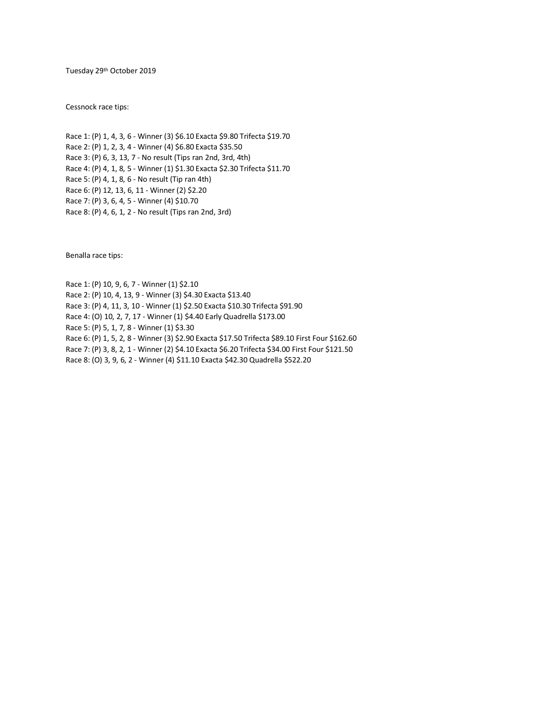Tuesday 29th October 2019

Cessnock race tips:

Race 1: (P) 1, 4, 3, 6 - Winner (3) \$6.10 Exacta \$9.80 Trifecta \$19.70 Race 2: (P) 1, 2, 3, 4 - Winner (4) \$6.80 Exacta \$35.50 Race 3: (P) 6, 3, 13, 7 - No result (Tips ran 2nd, 3rd, 4th) Race 4: (P) 4, 1, 8, 5 - Winner (1) \$1.30 Exacta \$2.30 Trifecta \$11.70 Race 5: (P) 4, 1, 8, 6 - No result (Tip ran 4th) Race 6: (P) 12, 13, 6, 11 - Winner (2) \$2.20 Race 7: (P) 3, 6, 4, 5 - Winner (4) \$10.70 Race 8: (P) 4, 6, 1, 2 - No result (Tips ran 2nd, 3rd)

Benalla race tips:

Race 1: (P) 10, 9, 6, 7 - Winner (1) \$2.10 Race 2: (P) 10, 4, 13, 9 - Winner (3) \$4.30 Exacta \$13.40 Race 3: (P) 4, 11, 3, 10 - Winner (1) \$2.50 Exacta \$10.30 Trifecta \$91.90 Race 4: (O) 10, 2, 7, 17 - Winner (1) \$4.40 Early Quadrella \$173.00 Race 5: (P) 5, 1, 7, 8 - Winner (1) \$3.30 Race 6: (P) 1, 5, 2, 8 - Winner (3) \$2.90 Exacta \$17.50 Trifecta \$89.10 First Four \$162.60 Race 7: (P) 3, 8, 2, 1 - Winner (2) \$4.10 Exacta \$6.20 Trifecta \$34.00 First Four \$121.50 Race 8: (O) 3, 9, 6, 2 - Winner (4) \$11.10 Exacta \$42.30 Quadrella \$522.20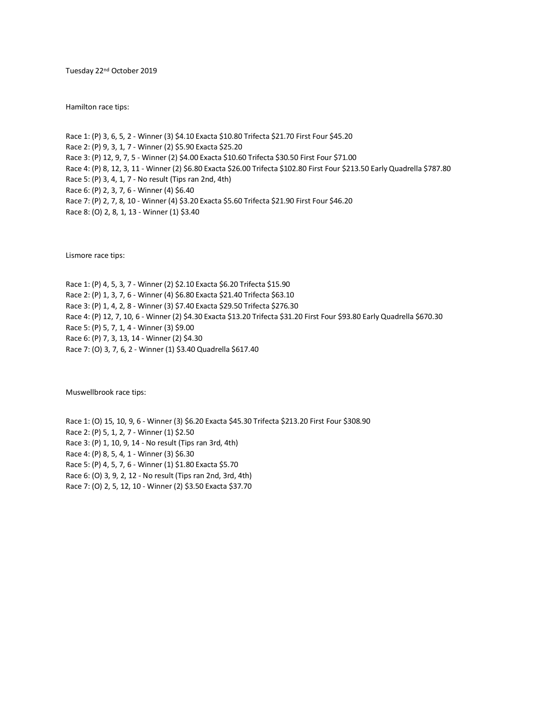Tuesday 22nd October 2019

Hamilton race tips:

Race 1: (P) 3, 6, 5, 2 - Winner (3) \$4.10 Exacta \$10.80 Trifecta \$21.70 First Four \$45.20 Race 2: (P) 9, 3, 1, 7 - Winner (2) \$5.90 Exacta \$25.20 Race 3: (P) 12, 9, 7, 5 - Winner (2) \$4.00 Exacta \$10.60 Trifecta \$30.50 First Four \$71.00 Race 4: (P) 8, 12, 3, 11 - Winner (2) \$6.80 Exacta \$26.00 Trifecta \$102.80 First Four \$213.50 Early Quadrella \$787.80 Race 5: (P) 3, 4, 1, 7 - No result (Tips ran 2nd, 4th) Race 6: (P) 2, 3, 7, 6 - Winner (4) \$6.40 Race 7: (P) 2, 7, 8, 10 - Winner (4) \$3.20 Exacta \$5.60 Trifecta \$21.90 First Four \$46.20 Race 8: (O) 2, 8, 1, 13 - Winner (1) \$3.40

Lismore race tips:

Race 1: (P) 4, 5, 3, 7 - Winner (2) \$2.10 Exacta \$6.20 Trifecta \$15.90 Race 2: (P) 1, 3, 7, 6 - Winner (4) \$6.80 Exacta \$21.40 Trifecta \$63.10 Race 3: (P) 1, 4, 2, 8 - Winner (3) \$7.40 Exacta \$29.50 Trifecta \$276.30 Race 4: (P) 12, 7, 10, 6 - Winner (2) \$4.30 Exacta \$13.20 Trifecta \$31.20 First Four \$93.80 Early Quadrella \$670.30 Race 5: (P) 5, 7, 1, 4 - Winner (3) \$9.00 Race 6: (P) 7, 3, 13, 14 - Winner (2) \$4.30 Race 7: (O) 3, 7, 6, 2 - Winner (1) \$3.40 Quadrella \$617.40

Muswellbrook race tips:

Race 1: (O) 15, 10, 9, 6 - Winner (3) \$6.20 Exacta \$45.30 Trifecta \$213.20 First Four \$308.90 Race 2: (P) 5, 1, 2, 7 - Winner (1) \$2.50 Race 3: (P) 1, 10, 9, 14 - No result (Tips ran 3rd, 4th) Race 4: (P) 8, 5, 4, 1 - Winner (3) \$6.30 Race 5: (P) 4, 5, 7, 6 - Winner (1) \$1.80 Exacta \$5.70 Race 6: (O) 3, 9, 2, 12 - No result (Tips ran 2nd, 3rd, 4th) Race 7: (O) 2, 5, 12, 10 - Winner (2) \$3.50 Exacta \$37.70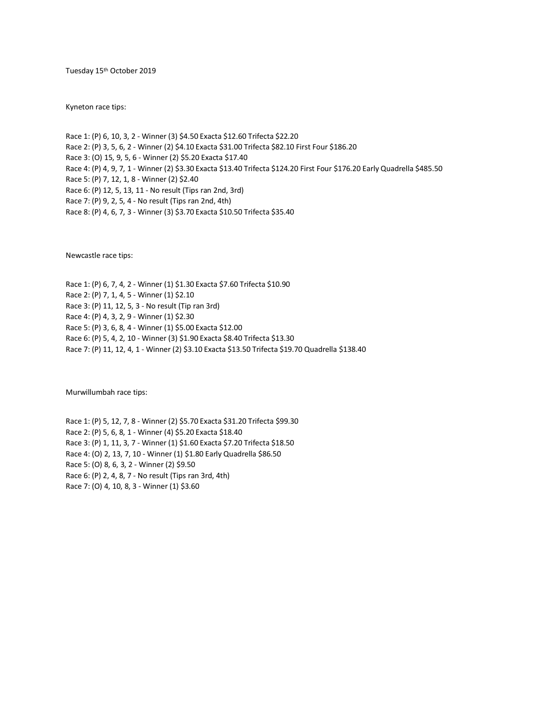Tuesday 15th October 2019

Kyneton race tips:

Race 1: (P) 6, 10, 3, 2 - Winner (3) \$4.50 Exacta \$12.60 Trifecta \$22.20 Race 2: (P) 3, 5, 6, 2 - Winner (2) \$4.10 Exacta \$31.00 Trifecta \$82.10 First Four \$186.20 Race 3: (O) 15, 9, 5, 6 - Winner (2) \$5.20 Exacta \$17.40 Race 4: (P) 4, 9, 7, 1 - Winner (2) \$3.30 Exacta \$13.40 Trifecta \$124.20 First Four \$176.20 Early Quadrella \$485.50 Race 5: (P) 7, 12, 1, 8 - Winner (2) \$2.40 Race 6: (P) 12, 5, 13, 11 - No result (Tips ran 2nd, 3rd) Race 7: (P) 9, 2, 5, 4 - No result (Tips ran 2nd, 4th) Race 8: (P) 4, 6, 7, 3 - Winner (3) \$3.70 Exacta \$10.50 Trifecta \$35.40

Newcastle race tips:

Race 1: (P) 6, 7, 4, 2 - Winner (1) \$1.30 Exacta \$7.60 Trifecta \$10.90 Race 2: (P) 7, 1, 4, 5 - Winner (1) \$2.10 Race 3: (P) 11, 12, 5, 3 - No result (Tip ran 3rd) Race 4: (P) 4, 3, 2, 9 - Winner (1) \$2.30 Race 5: (P) 3, 6, 8, 4 - Winner (1) \$5.00 Exacta \$12.00 Race 6: (P) 5, 4, 2, 10 - Winner (3) \$1.90 Exacta \$8.40 Trifecta \$13.30 Race 7: (P) 11, 12, 4, 1 - Winner (2) \$3.10 Exacta \$13.50 Trifecta \$19.70 Quadrella \$138.40

Murwillumbah race tips:

Race 1: (P) 5, 12, 7, 8 - Winner (2) \$5.70 Exacta \$31.20 Trifecta \$99.30 Race 2: (P) 5, 6, 8, 1 - Winner (4) \$5.20 Exacta \$18.40 Race 3: (P) 1, 11, 3, 7 - Winner (1) \$1.60 Exacta \$7.20 Trifecta \$18.50 Race 4: (O) 2, 13, 7, 10 - Winner (1) \$1.80 Early Quadrella \$86.50 Race 5: (O) 8, 6, 3, 2 - Winner (2) \$9.50 Race 6: (P) 2, 4, 8, 7 - No result (Tips ran 3rd, 4th) Race 7: (O) 4, 10, 8, 3 - Winner (1) \$3.60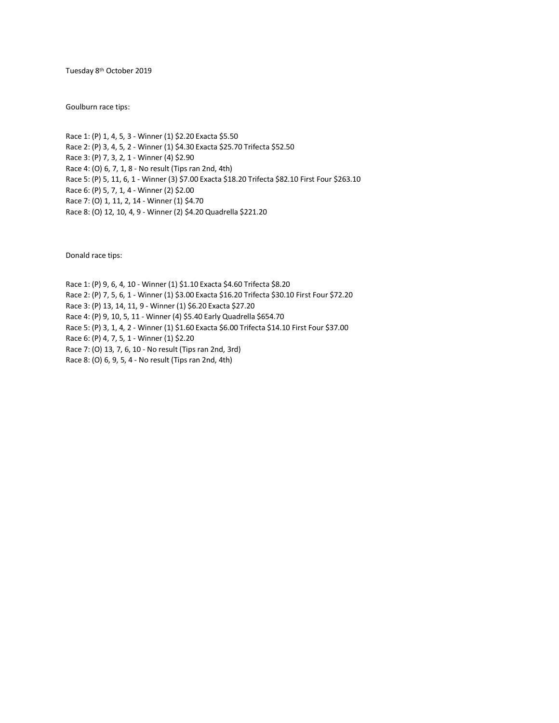Tuesday 8th October 2019

Goulburn race tips:

Race 1: (P) 1, 4, 5, 3 - Winner (1) \$2.20 Exacta \$5.50 Race 2: (P) 3, 4, 5, 2 - Winner (1) \$4.30 Exacta \$25.70 Trifecta \$52.50 Race 3: (P) 7, 3, 2, 1 - Winner (4) \$2.90 Race 4: (O) 6, 7, 1, 8 - No result (Tips ran 2nd, 4th) Race 5: (P) 5, 11, 6, 1 - Winner (3) \$7.00 Exacta \$18.20 Trifecta \$82.10 First Four \$263.10 Race 6: (P) 5, 7, 1, 4 - Winner (2) \$2.00 Race 7: (O) 1, 11, 2, 14 - Winner (1) \$4.70 Race 8: (O) 12, 10, 4, 9 - Winner (2) \$4.20 Quadrella \$221.20

Donald race tips:

Race 1: (P) 9, 6, 4, 10 - Winner (1) \$1.10 Exacta \$4.60 Trifecta \$8.20 Race 2: (P) 7, 5, 6, 1 - Winner (1) \$3.00 Exacta \$16.20 Trifecta \$30.10 First Four \$72.20 Race 3: (P) 13, 14, 11, 9 - Winner (1) \$6.20 Exacta \$27.20 Race 4: (P) 9, 10, 5, 11 - Winner (4) \$5.40 Early Quadrella \$654.70 Race 5: (P) 3, 1, 4, 2 - Winner (1) \$1.60 Exacta \$6.00 Trifecta \$14.10 First Four \$37.00 Race 6: (P) 4, 7, 5, 1 - Winner (1) \$2.20 Race 7: (O) 13, 7, 6, 10 - No result (Tips ran 2nd, 3rd) Race 8: (O) 6, 9, 5, 4 - No result (Tips ran 2nd, 4th)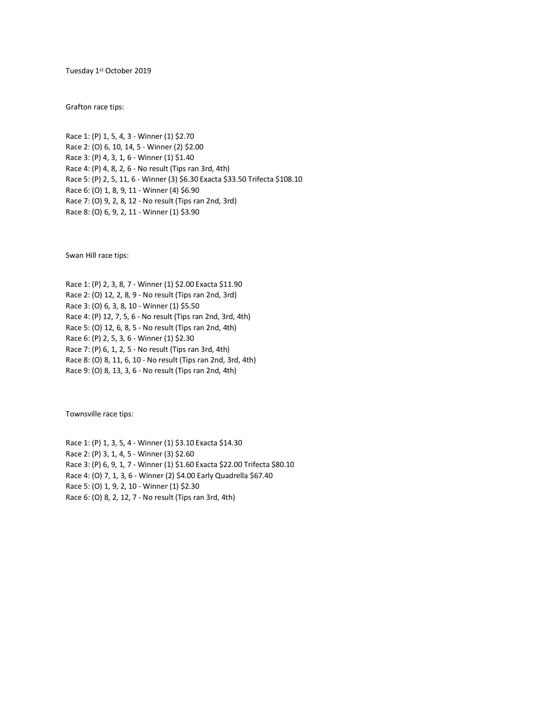Tuesday 1st October 2019

Grafton race tips:

Race 1: (P) 1, 5, 4, 3 - Winner (1) \$2.70 Race 2: (O) 6, 10, 14, 5 - Winner (2) \$2.00 Race 3: (P) 4, 3, 1, 6 - Winner (1) \$1.40 Race 4: (P) 4, 8, 2, 6 - No result (Tips ran 3rd, 4th) Race 5: (P) 2, 5, 11, 6 - Winner (3) \$6.30 Exacta \$33.50 Trifecta \$108.10 Race 6: (O) 1, 8, 9, 11 - Winner (4) \$6.90 Race 7: (O) 9, 2, 8, 12 - No result (Tips ran 2nd, 3rd) Race 8: (O) 6, 9, 2, 11 - Winner (1) \$3.90

Swan Hill race tips:

Race 1: (P) 2, 3, 8, 7 - Winner (1) \$2.00 Exacta \$11.90 Race 2: (O) 12, 2, 8, 9 - No result (Tips ran 2nd, 3rd) Race 3: (O) 6, 3, 8, 10 - Winner (1) \$5.50 Race 4: (P) 12, 7, 5, 6 - No result (Tips ran 2nd, 3rd, 4th) Race 5: (O) 12, 6, 8, 5 - No result (Tips ran 2nd, 4th) Race 6: (P) 2, 5, 3, 6 - Winner (1) \$2.30 Race 7: (P) 6, 1, 2, 5 - No result (Tips ran 3rd, 4th) Race 8: (O) 8, 11, 6, 10 - No result (Tips ran 2nd, 3rd, 4th) Race 9: (O) 8, 13, 3, 6 - No result (Tips ran 2nd, 4th)

Townsville race tips:

Race 1: (P) 1, 3, 5, 4 - Winner (1) \$3.10 Exacta \$14.30 Race 2: (P) 3, 1, 4, 5 - Winner (3) \$2.60 Race 3: (P) 6, 9, 1, 7 - Winner (1) \$1.60 Exacta \$22.00 Trifecta \$80.10 Race 4: (O) 7, 1, 3, 6 - Winner (2) \$4.00 Early Quadrella \$67.40 Race 5: (O) 1, 9, 2, 10 - Winner (1) \$2.30 Race 6: (O) 8, 2, 12, 7 - No result (Tips ran 3rd, 4th)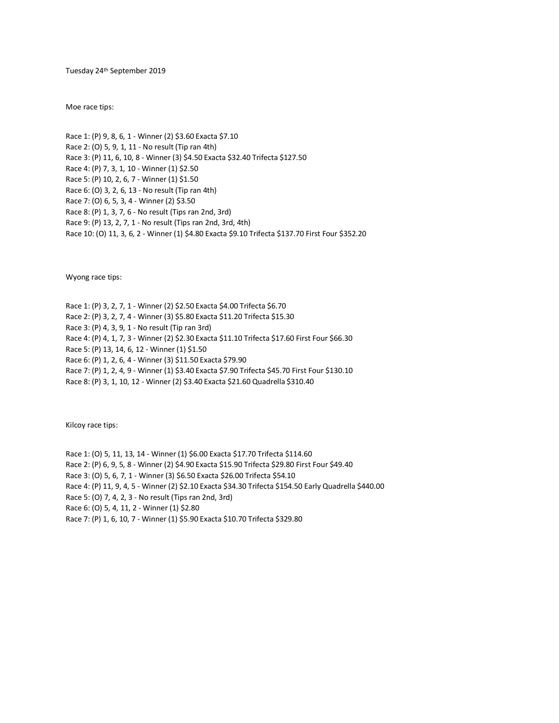Tuesday 24th September 2019

Moe race tips:

Race 1: (P) 9, 8, 6, 1 - Winner (2) \$3.60 Exacta \$7.10 Race 2: (O) 5, 9, 1, 11 - No result (Tip ran 4th) Race 3: (P) 11, 6, 10, 8 - Winner (3) \$4.50 Exacta \$32.40 Trifecta \$127.50 Race 4: (P) 7, 3, 1, 10 - Winner (1) \$2.50 Race 5: (P) 10, 2, 6, 7 - Winner (1) \$1.50 Race 6: (O) 3, 2, 6, 13 - No result (Tip ran 4th) Race 7: (O) 6, 5, 3, 4 - Winner (2) \$3.50 Race 8: (P) 1, 3, 7, 6 - No result (Tips ran 2nd, 3rd) Race 9: (P) 13, 2, 7, 1 - No result (Tips ran 2nd, 3rd, 4th) Race 10: (O) 11, 3, 6, 2 - Winner (1) \$4.80 Exacta \$9.10 Trifecta \$137.70 First Four \$352.20

Wyong race tips:

Race 1: (P) 3, 2, 7, 1 - Winner (2) \$2.50 Exacta \$4.00 Trifecta \$6.70 Race 2: (P) 3, 2, 7, 4 - Winner (3) \$5.80 Exacta \$11.20 Trifecta \$15.30 Race 3: (P) 4, 3, 9, 1 - No result (Tip ran 3rd) Race 4: (P) 4, 1, 7, 3 - Winner (2) \$2.30 Exacta \$11.10 Trifecta \$17.60 First Four \$66.30 Race 5: (P) 13, 14, 6, 12 - Winner (1) \$1.50 Race 6: (P) 1, 2, 6, 4 - Winner (3) \$11.50 Exacta \$79.90 Race 7: (P) 1, 2, 4, 9 - Winner (1) \$3.40 Exacta \$7.90 Trifecta \$45.70 First Four \$130.10 Race 8: (P) 3, 1, 10, 12 - Winner (2) \$3.40 Exacta \$21.60 Quadrella \$310.40

Kilcoy race tips:

Race 1: (O) 5, 11, 13, 14 - Winner (1) \$6.00 Exacta \$17.70 Trifecta \$114.60 Race 2: (P) 6, 9, 5, 8 - Winner (2) \$4.90 Exacta \$15.90 Trifecta \$29.80 First Four \$49.40 Race 3: (O) 5, 6, 7, 1 - Winner (3) \$6.50 Exacta \$26.00 Trifecta \$54.10 Race 4: (P) 11, 9, 4, 5 - Winner (2) \$2.10 Exacta \$34.30 Trifecta \$154.50 Early Quadrella \$440.00 Race 5: (O) 7, 4, 2, 3 - No result (Tips ran 2nd, 3rd) Race 6: (O) 5, 4, 11, 2 - Winner (1) \$2.80 Race 7: (P) 1, 6, 10, 7 - Winner (1) \$5.90 Exacta \$10.70 Trifecta \$329.80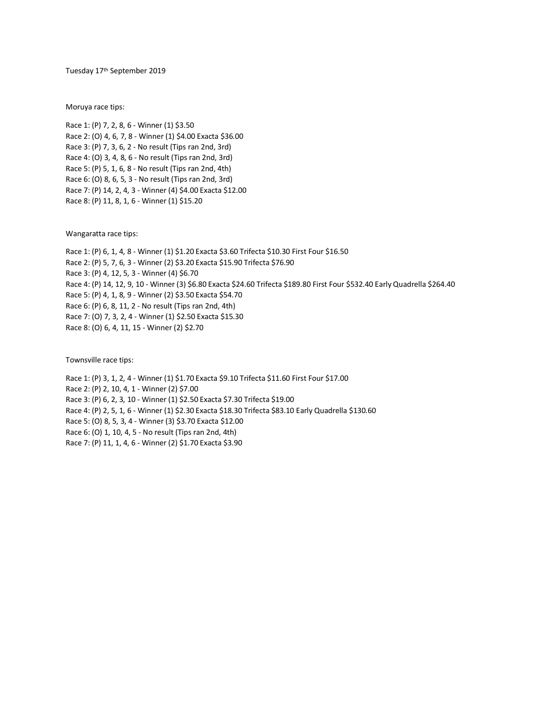Tuesday 17<sup>th</sup> September 2019

Moruya race tips:

Race 1: (P) 7, 2, 8, 6 - Winner (1) \$3.50 Race 2: (O) 4, 6, 7, 8 - Winner (1) \$4.00 Exacta \$36.00 Race 3: (P) 7, 3, 6, 2 - No result (Tips ran 2nd, 3rd) Race 4: (O) 3, 4, 8, 6 - No result (Tips ran 2nd, 3rd) Race 5: (P) 5, 1, 6, 8 - No result (Tips ran 2nd, 4th) Race 6: (O) 8, 6, 5, 3 - No result (Tips ran 2nd, 3rd) Race 7: (P) 14, 2, 4, 3 - Winner (4) \$4.00 Exacta \$12.00 Race 8: (P) 11, 8, 1, 6 - Winner (1) \$15.20

Wangaratta race tips:

Race 1: (P) 6, 1, 4, 8 - Winner (1) \$1.20 Exacta \$3.60 Trifecta \$10.30 First Four \$16.50 Race 2: (P) 5, 7, 6, 3 - Winner (2) \$3.20 Exacta \$15.90 Trifecta \$76.90 Race 3: (P) 4, 12, 5, 3 - Winner (4) \$6.70 Race 4: (P) 14, 12, 9, 10 - Winner (3) \$6.80 Exacta \$24.60 Trifecta \$189.80 First Four \$532.40 Early Quadrella \$264.40 Race 5: (P) 4, 1, 8, 9 - Winner (2) \$3.50 Exacta \$54.70 Race 6: (P) 6, 8, 11, 2 - No result (Tips ran 2nd, 4th) Race 7: (O) 7, 3, 2, 4 - Winner (1) \$2.50 Exacta \$15.30 Race 8: (O) 6, 4, 11, 15 - Winner (2) \$2.70

Townsville race tips:

Race 1: (P) 3, 1, 2, 4 - Winner (1) \$1.70 Exacta \$9.10 Trifecta \$11.60 First Four \$17.00 Race 2: (P) 2, 10, 4, 1 - Winner (2) \$7.00 Race 3: (P) 6, 2, 3, 10 - Winner (1) \$2.50 Exacta \$7.30 Trifecta \$19.00 Race 4: (P) 2, 5, 1, 6 - Winner (1) \$2.30 Exacta \$18.30 Trifecta \$83.10 Early Quadrella \$130.60 Race 5: (O) 8, 5, 3, 4 - Winner (3) \$3.70 Exacta \$12.00 Race 6: (O) 1, 10, 4, 5 - No result (Tips ran 2nd, 4th) Race 7: (P) 11, 1, 4, 6 - Winner (2) \$1.70 Exacta \$3.90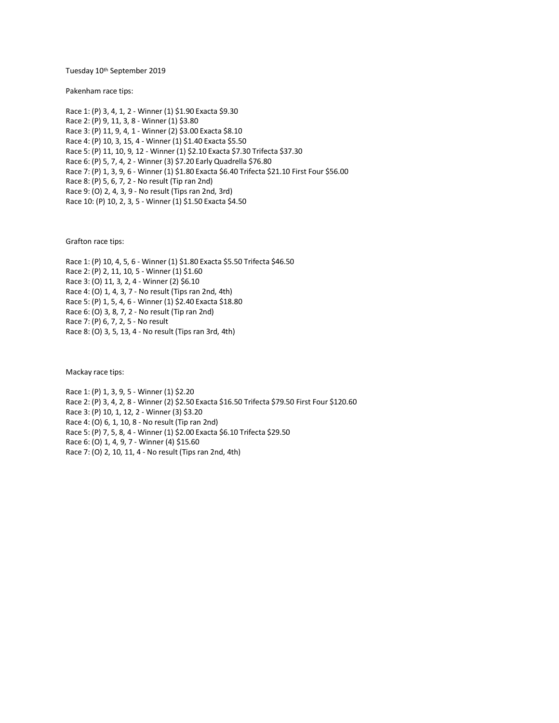Tuesday 10<sup>th</sup> September 2019

Pakenham race tips:

Race 1: (P) 3, 4, 1, 2 - Winner (1) \$1.90 Exacta \$9.30 Race 2: (P) 9, 11, 3, 8 - Winner (1) \$3.80 Race 3: (P) 11, 9, 4, 1 - Winner (2) \$3.00 Exacta \$8.10 Race 4: (P) 10, 3, 15, 4 - Winner (1) \$1.40 Exacta \$5.50 Race 5: (P) 11, 10, 9, 12 - Winner (1) \$2.10 Exacta \$7.30 Trifecta \$37.30 Race 6: (P) 5, 7, 4, 2 - Winner (3) \$7.20 Early Quadrella \$76.80 Race 7: (P) 1, 3, 9, 6 - Winner (1) \$1.80 Exacta \$6.40 Trifecta \$21.10 First Four \$56.00 Race 8: (P) 5, 6, 7, 2 - No result (Tip ran 2nd) Race 9: (O) 2, 4, 3, 9 - No result (Tips ran 2nd, 3rd) Race 10: (P) 10, 2, 3, 5 - Winner (1) \$1.50 Exacta \$4.50

Grafton race tips:

Race 1: (P) 10, 4, 5, 6 - Winner (1) \$1.80 Exacta \$5.50 Trifecta \$46.50 Race 2: (P) 2, 11, 10, 5 - Winner (1) \$1.60 Race 3: (O) 11, 3, 2, 4 - Winner (2) \$6.10 Race 4: (O) 1, 4, 3, 7 - No result (Tips ran 2nd, 4th) Race 5: (P) 1, 5, 4, 6 - Winner (1) \$2.40 Exacta \$18.80 Race 6: (O) 3, 8, 7, 2 - No result (Tip ran 2nd) Race 7: (P) 6, 7, 2, 5 - No result Race 8: (O) 3, 5, 13, 4 - No result (Tips ran 3rd, 4th)

Mackay race tips:

Race 1: (P) 1, 3, 9, 5 - Winner (1) \$2.20 Race 2: (P) 3, 4, 2, 8 - Winner (2) \$2.50 Exacta \$16.50 Trifecta \$79.50 First Four \$120.60 Race 3: (P) 10, 1, 12, 2 - Winner (3) \$3.20 Race 4: (O) 6, 1, 10, 8 - No result (Tip ran 2nd) Race 5: (P) 7, 5, 8, 4 - Winner (1) \$2.00 Exacta \$6.10 Trifecta \$29.50 Race 6: (O) 1, 4, 9, 7 - Winner (4) \$15.60 Race 7: (O) 2, 10, 11, 4 - No result (Tips ran 2nd, 4th)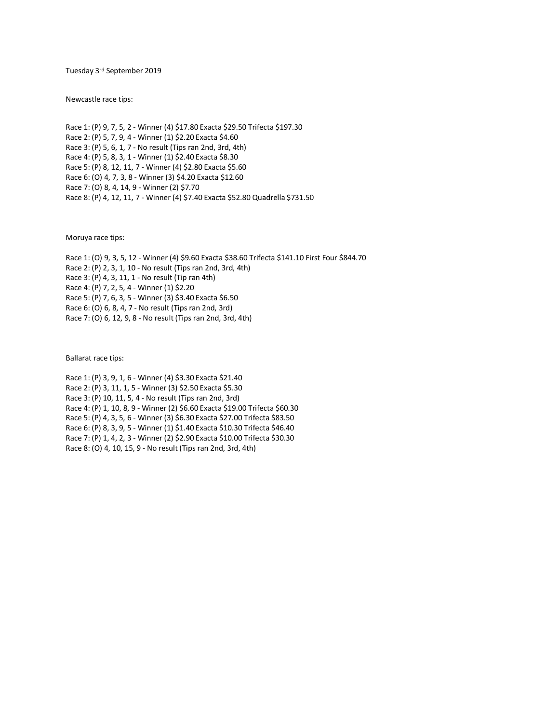Tuesday 3rd September 2019

Newcastle race tips:

Race 1: (P) 9, 7, 5, 2 - Winner (4) \$17.80 Exacta \$29.50 Trifecta \$197.30 Race 2: (P) 5, 7, 9, 4 - Winner (1) \$2.20 Exacta \$4.60 Race 3: (P) 5, 6, 1, 7 - No result (Tips ran 2nd, 3rd, 4th) Race 4: (P) 5, 8, 3, 1 - Winner (1) \$2.40 Exacta \$8.30 Race 5: (P) 8, 12, 11, 7 - Winner (4) \$2.80 Exacta \$5.60 Race 6: (O) 4, 7, 3, 8 - Winner (3) \$4.20 Exacta \$12.60 Race 7: (O) 8, 4, 14, 9 - Winner (2) \$7.70 Race 8: (P) 4, 12, 11, 7 - Winner (4) \$7.40 Exacta \$52.80 Quadrella \$731.50

Moruya race tips:

Race 1: (O) 9, 3, 5, 12 - Winner (4) \$9.60 Exacta \$38.60 Trifecta \$141.10 First Four \$844.70 Race 2: (P) 2, 3, 1, 10 - No result (Tips ran 2nd, 3rd, 4th) Race 3: (P) 4, 3, 11, 1 - No result (Tip ran 4th) Race 4: (P) 7, 2, 5, 4 - Winner (1) \$2.20 Race 5: (P) 7, 6, 3, 5 - Winner (3) \$3.40 Exacta \$6.50 Race 6: (O) 6, 8, 4, 7 - No result (Tips ran 2nd, 3rd) Race 7: (O) 6, 12, 9, 8 - No result (Tips ran 2nd, 3rd, 4th)

Ballarat race tips:

Race 1: (P) 3, 9, 1, 6 - Winner (4) \$3.30 Exacta \$21.40 Race 2: (P) 3, 11, 1, 5 - Winner (3) \$2.50 Exacta \$5.30 Race 3: (P) 10, 11, 5, 4 - No result (Tips ran 2nd, 3rd) Race 4: (P) 1, 10, 8, 9 - Winner (2) \$6.60 Exacta \$19.00 Trifecta \$60.30 Race 5: (P) 4, 3, 5, 6 - Winner (3) \$6.30 Exacta \$27.00 Trifecta \$83.50 Race 6: (P) 8, 3, 9, 5 - Winner (1) \$1.40 Exacta \$10.30 Trifecta \$46.40 Race 7: (P) 1, 4, 2, 3 - Winner (2) \$2.90 Exacta \$10.00 Trifecta \$30.30 Race 8: (O) 4, 10, 15, 9 - No result (Tips ran 2nd, 3rd, 4th)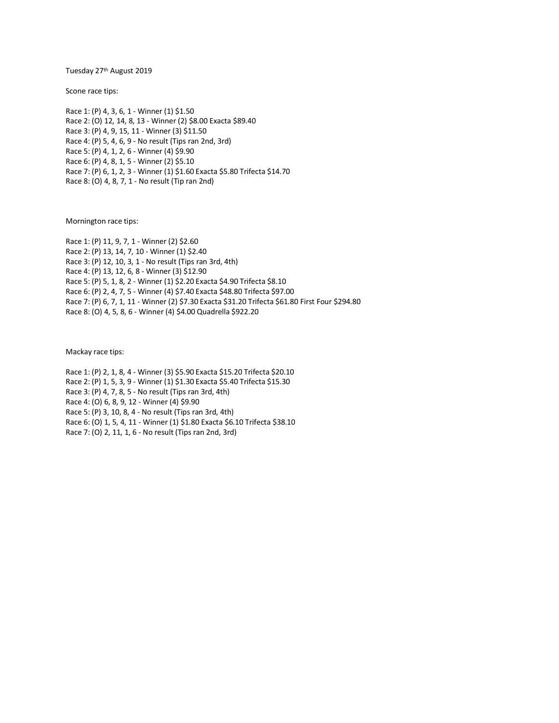Tuesday 27th August 2019

Scone race tips:

Race 1: (P) 4, 3, 6, 1 - Winner (1) \$1.50 Race 2: (O) 12, 14, 8, 13 - Winner (2) \$8.00 Exacta \$89.40 Race 3: (P) 4, 9, 15, 11 - Winner (3) \$11.50 Race 4: (P) 5, 4, 6, 9 - No result (Tips ran 2nd, 3rd) Race 5: (P) 4, 1, 2, 6 - Winner (4) \$9.90 Race 6: (P) 4, 8, 1, 5 - Winner (2) \$5.10 Race 7: (P) 6, 1, 2, 3 - Winner (1) \$1.60 Exacta \$5.80 Trifecta \$14.70 Race 8: (O) 4, 8, 7, 1 - No result (Tip ran 2nd)

Mornington race tips:

Race 1: (P) 11, 9, 7, 1 - Winner (2) \$2.60 Race 2: (P) 13, 14, 7, 10 - Winner (1) \$2.40 Race 3: (P) 12, 10, 3, 1 - No result (Tips ran 3rd, 4th) Race 4: (P) 13, 12, 6, 8 - Winner (3) \$12.90 Race 5: (P) 5, 1, 8, 2 - Winner (1) \$2.20 Exacta \$4.90 Trifecta \$8.10 Race 6: (P) 2, 4, 7, 5 - Winner (4) \$7.40 Exacta \$48.80 Trifecta \$97.00 Race 7: (P) 6, 7, 1, 11 - Winner (2) \$7.30 Exacta \$31.20 Trifecta \$61.80 First Four \$294.80 Race 8: (O) 4, 5, 8, 6 - Winner (4) \$4.00 Quadrella \$922.20

Mackay race tips:

Race 1: (P) 2, 1, 8, 4 - Winner (3) \$5.90 Exacta \$15.20 Trifecta \$20.10 Race 2: (P) 1, 5, 3, 9 - Winner (1) \$1.30 Exacta \$5.40 Trifecta \$15.30 Race 3: (P) 4, 7, 8, 5 - No result (Tips ran 3rd, 4th) Race 4: (O) 6, 8, 9, 12 - Winner (4) \$9.90 Race 5: (P) 3, 10, 8, 4 - No result (Tips ran 3rd, 4th) Race 6: (O) 1, 5, 4, 11 - Winner (1) \$1.80 Exacta \$6.10 Trifecta \$38.10 Race 7: (O) 2, 11, 1, 6 - No result (Tips ran 2nd, 3rd)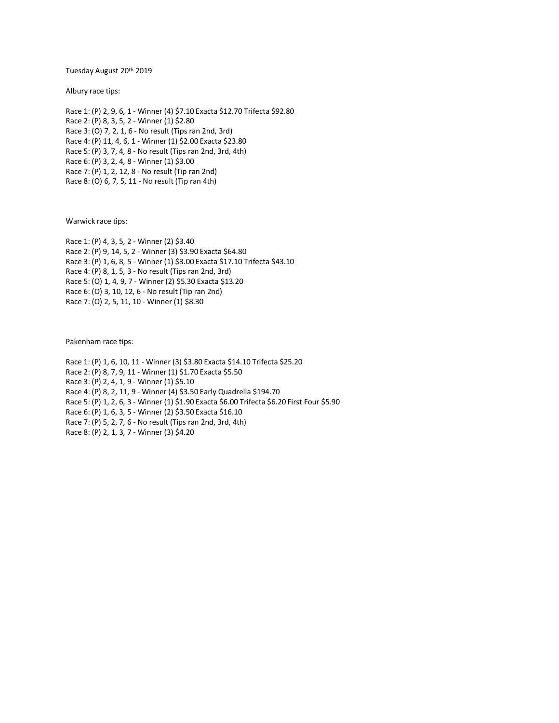Tuesday August 20th 2019

Albury race tips:

Race 1: (P) 2, 9, 6, 1 - Winner (4) \$7.10 Exacta \$12.70 Trifecta \$92.80 Race 2: (P) 8, 3, 5, 2 - Winner (1) \$2.80 Race 3: (O) 7, 2, 1, 6 - No result (Tips ran 2nd, 3rd) Race 4: (P) 11, 4, 6, 1 - Winner (1) \$2.00 Exacta \$23.80 Race 5: (P) 3, 7, 4, 8 - No result (Tips ran 2nd, 3rd, 4th) Race 6: (P) 3, 2, 4, 8 - Winner (1) \$3.00 Race 7: (P) 1, 2, 12, 8 - No result (Tip ran 2nd) Race 8: (O) 6, 7, 5, 11 - No result (Tip ran 4th)

Warwick race tips:

Race 1: (P) 4, 3, 5, 2 - Winner (2) \$3.40 Race 2: (P) 9, 14, 5, 2 - Winner (3) \$3.90 Exacta \$64.80 Race 3: (P) 1, 6, 8, 5 - Winner (1) \$3.00 Exacta \$17.10 Trifecta \$43.10 Race 4: (P) 8, 1, 5, 3 - No result (Tips ran 2nd, 3rd) Race 5: (O) 1, 4, 9, 7 - Winner (2) \$5.30 Exacta \$13.20 Race 6: (O) 3, 10, 12, 6 - No result (Tip ran 2nd) Race 7: (O) 2, 5, 11, 10 - Winner (1) \$8.30

Pakenham race tips:

Race 1: (P) 1, 6, 10, 11 - Winner (3) \$3.80 Exacta \$14.10 Trifecta \$25.20 Race 2: (P) 8, 7, 9, 11 - Winner (1) \$1.70 Exacta \$5.50 Race 3: (P) 2, 4, 1, 9 - Winner (1) \$5.10 Race 4: (P) 8, 2, 11, 9 - Winner (4) \$3.50 Early Quadrella \$194.70 Race 5: (P) 1, 2, 6, 3 - Winner (1) \$1.90 Exacta \$6.00 Trifecta \$6.20 First Four \$5.90 Race 6: (P) 1, 6, 3, 5 - Winner (2) \$3.50 Exacta \$16.10 Race 7: (P) 5, 2, 7, 6 - No result (Tips ran 2nd, 3rd, 4th) Race 8: (P) 2, 1, 3, 7 - Winner (3) \$4.20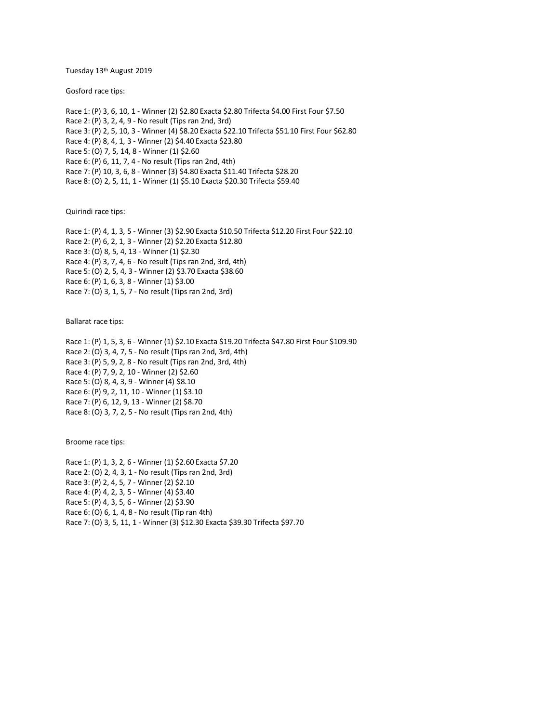Tuesday 13th August 2019

Gosford race tips:

Race 1: (P) 3, 6, 10, 1 - Winner (2) \$2.80 Exacta \$2.80 Trifecta \$4.00 First Four \$7.50 Race 2: (P) 3, 2, 4, 9 - No result (Tips ran 2nd, 3rd) Race 3: (P) 2, 5, 10, 3 - Winner (4) \$8.20 Exacta \$22.10 Trifecta \$51.10 First Four \$62.80 Race 4: (P) 8, 4, 1, 3 - Winner (2) \$4.40 Exacta \$23.80 Race 5: (O) 7, 5, 14, 8 - Winner (1) \$2.60 Race 6: (P) 6, 11, 7, 4 - No result (Tips ran 2nd, 4th) Race 7: (P) 10, 3, 6, 8 - Winner (3) \$4.80 Exacta \$11.40 Trifecta \$28.20 Race 8: (O) 2, 5, 11, 1 - Winner (1) \$5.10 Exacta \$20.30 Trifecta \$59.40

Quirindi race tips:

Race 1: (P) 4, 1, 3, 5 - Winner (3) \$2.90 Exacta \$10.50 Trifecta \$12.20 First Four \$22.10 Race 2: (P) 6, 2, 1, 3 - Winner (2) \$2.20 Exacta \$12.80 Race 3: (O) 8, 5, 4, 13 - Winner (1) \$2.30 Race 4: (P) 3, 7, 4, 6 - No result (Tips ran 2nd, 3rd, 4th) Race 5: (O) 2, 5, 4, 3 - Winner (2) \$3.70 Exacta \$38.60 Race 6: (P) 1, 6, 3, 8 - Winner (1) \$3.00 Race 7: (O) 3, 1, 5, 7 - No result (Tips ran 2nd, 3rd)

Ballarat race tips:

Race 1: (P) 1, 5, 3, 6 - Winner (1) \$2.10 Exacta \$19.20 Trifecta \$47.80 First Four \$109.90 Race 2: (O) 3, 4, 7, 5 - No result (Tips ran 2nd, 3rd, 4th) Race 3: (P) 5, 9, 2, 8 - No result (Tips ran 2nd, 3rd, 4th) Race 4: (P) 7, 9, 2, 10 - Winner (2) \$2.60 Race 5: (O) 8, 4, 3, 9 - Winner (4) \$8.10 Race 6: (P) 9, 2, 11, 10 - Winner (1) \$3.10 Race 7: (P) 6, 12, 9, 13 - Winner (2) \$8.70 Race 8: (O) 3, 7, 2, 5 - No result (Tips ran 2nd, 4th)

Broome race tips:

Race 1: (P) 1, 3, 2, 6 - Winner (1) \$2.60 Exacta \$7.20 Race 2: (O) 2, 4, 3, 1 - No result (Tips ran 2nd, 3rd) Race 3: (P) 2, 4, 5, 7 - Winner (2) \$2.10 Race 4: (P) 4, 2, 3, 5 - Winner (4) \$3.40 Race 5: (P) 4, 3, 5, 6 - Winner (2) \$3.90 Race 6: (O) 6, 1, 4, 8 - No result (Tip ran 4th) Race 7: (O) 3, 5, 11, 1 - Winner (3) \$12.30 Exacta \$39.30 Trifecta \$97.70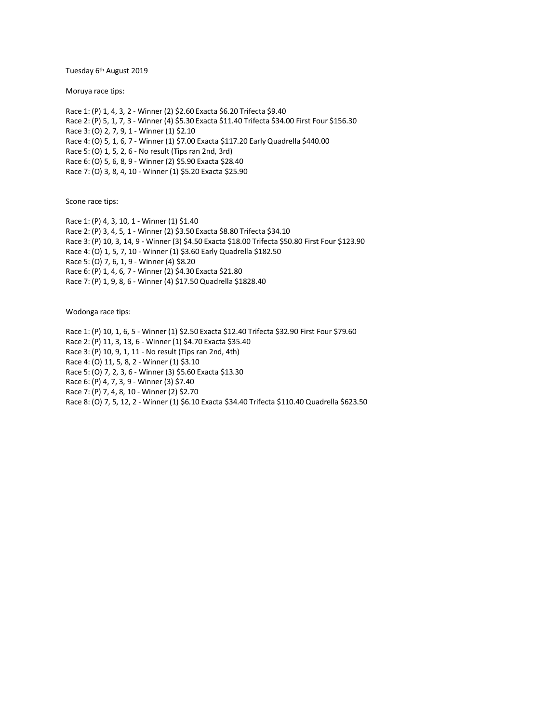Tuesday 6<sup>th</sup> August 2019

Moruya race tips:

Race 1: (P) 1, 4, 3, 2 - Winner (2) \$2.60 Exacta \$6.20 Trifecta \$9.40 Race 2: (P) 5, 1, 7, 3 - Winner (4) \$5.30 Exacta \$11.40 Trifecta \$34.00 First Four \$156.30 Race 3: (O) 2, 7, 9, 1 - Winner (1) \$2.10 Race 4: (O) 5, 1, 6, 7 - Winner (1) \$7.00 Exacta \$117.20 Early Quadrella \$440.00 Race 5: (O) 1, 5, 2, 6 - No result (Tips ran 2nd, 3rd) Race 6: (O) 5, 6, 8, 9 - Winner (2) \$5.90 Exacta \$28.40 Race 7: (O) 3, 8, 4, 10 - Winner (1) \$5.20 Exacta \$25.90

Scone race tips:

Race 1: (P) 4, 3, 10, 1 - Winner (1) \$1.40 Race 2: (P) 3, 4, 5, 1 - Winner (2) \$3.50 Exacta \$8.80 Trifecta \$34.10 Race 3: (P) 10, 3, 14, 9 - Winner (3) \$4.50 Exacta \$18.00 Trifecta \$50.80 First Four \$123.90 Race 4: (O) 1, 5, 7, 10 - Winner (1) \$3.60 Early Quadrella \$182.50 Race 5: (O) 7, 6, 1, 9 - Winner (4) \$8.20 Race 6: (P) 1, 4, 6, 7 - Winner (2) \$4.30 Exacta \$21.80 Race 7: (P) 1, 9, 8, 6 - Winner (4) \$17.50 Quadrella \$1828.40

Wodonga race tips:

Race 1: (P) 10, 1, 6, 5 - Winner (1) \$2.50 Exacta \$12.40 Trifecta \$32.90 First Four \$79.60 Race 2: (P) 11, 3, 13, 6 - Winner (1) \$4.70 Exacta \$35.40 Race 3: (P) 10, 9, 1, 11 - No result (Tips ran 2nd, 4th) Race 4: (O) 11, 5, 8, 2 - Winner (1) \$3.10 Race 5: (O) 7, 2, 3, 6 - Winner (3) \$5.60 Exacta \$13.30 Race 6: (P) 4, 7, 3, 9 - Winner (3) \$7.40 Race 7: (P) 7, 4, 8, 10 - Winner (2) \$2.70 Race 8: (O) 7, 5, 12, 2 - Winner (1) \$6.10 Exacta \$34.40 Trifecta \$110.40 Quadrella \$623.50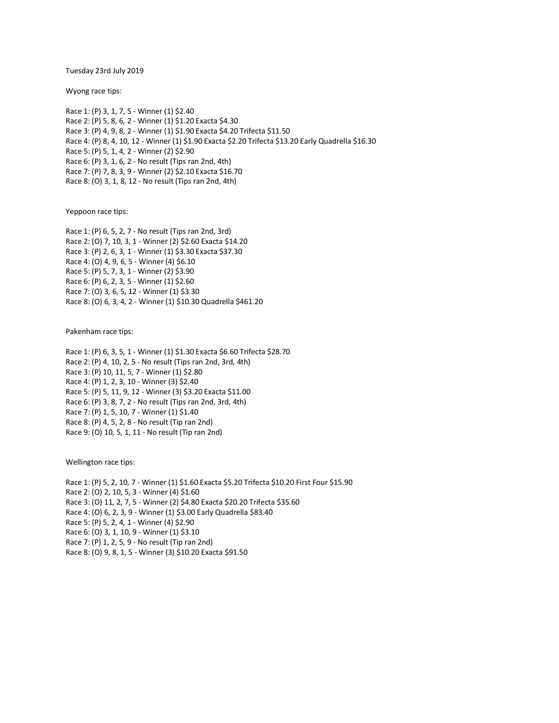Tuesday 23rd July 2019

Wyong race tips:

Race 1: (P) 3, 1, 7, 5 - Winner (1) \$2.40 Race 2: (P) 5, 8, 6, 2 - Winner (1) \$1.20 Exacta \$4.30 Race 3: (P) 4, 9, 8, 2 - Winner (1) \$1.90 Exacta \$4.20 Trifecta \$11.50 Race 4: (P) 8, 4, 10, 12 - Winner (1) \$1.90 Exacta \$2.20 Trifecta \$13.20 Early Quadrella \$16.30 Race 5: (P) 5, 1, 4, 2 - Winner (2) \$2.90 Race 6: (P) 3, 1, 6, 2 - No result (Tips ran 2nd, 4th) Race 7: (P) 7, 8, 3, 9 - Winner (2) \$2.10 Exacta \$16.70 Race 8: (O) 3, 1, 8, 12 - No result (Tips ran 2nd, 4th)

Yeppoon race tips:

Race 1: (P) 6, 5, 2, 7 - No result (Tips ran 2nd, 3rd) Race 2: (O) 7, 10, 3, 1 - Winner (2) \$2.60 Exacta \$14.20 Race 3: (P) 2, 6, 3, 1 - Winner (1) \$3.30 Exacta \$37.30 Race 4: (O) 4, 9, 6, 5 - Winner (4) \$6.10 Race 5: (P) 5, 7, 3, 1 - Winner (2) \$3.90 Race 6: (P) 6, 2, 3, 5 - Winner (1) \$2.60 Race 7: (O) 3, 6, 5, 12 - Winner (1) \$3.30 Race 8: (O) 6, 3, 4, 2 - Winner (1) \$10.30 Quadrella \$461.20

Pakenham race tips:

Race 1: (P) 6, 3, 5, 1 - Winner (1) \$1.30 Exacta \$6.60 Trifecta \$28.70 Race 2: (P) 4, 10, 2, 5 - No result (Tips ran 2nd, 3rd, 4th) Race 3: (P) 10, 11, 5, 7 - Winner (1) \$2.80 Race 4: (P) 1, 2, 3, 10 - Winner (3) \$2.40 Race 5: (P) 5, 11, 9, 12 - Winner (3) \$3.20 Exacta \$11.00 Race 6: (P) 3, 8, 7, 2 - No result (Tips ran 2nd, 3rd, 4th) Race 7: (P) 1, 5, 10, 7 - Winner (1) \$1.40 Race 8: (P) 4, 5, 2, 8 - No result (Tip ran 2nd) Race 9: (O) 10, 5, 1, 11 - No result (Tip ran 2nd)

Wellington race tips:

Race 1: (P) 5, 2, 10, 7 - Winner (1) \$1.60 Exacta \$5.20 Trifecta \$10.20 First Four \$15.90 Race 2: (O) 2, 10, 5, 3 - Winner (4) \$1.60 Race 3: (O) 11, 2, 7, 5 - Winner (2) \$4.80 Exacta \$20.20 Trifecta \$35.60 Race 4: (O) 6, 2, 3, 9 - Winner (1) \$3.00 Early Quadrella \$83.40 Race 5: (P) 5, 2, 4, 1 - Winner (4) \$2.90 Race 6: (O) 3, 1, 10, 9 - Winner (1) \$3.10 Race 7: (P) 1, 2, 5, 9 - No result (Tip ran 2nd) Race 8: (O) 9, 8, 1, 5 - Winner (3) \$10.20 Exacta \$91.50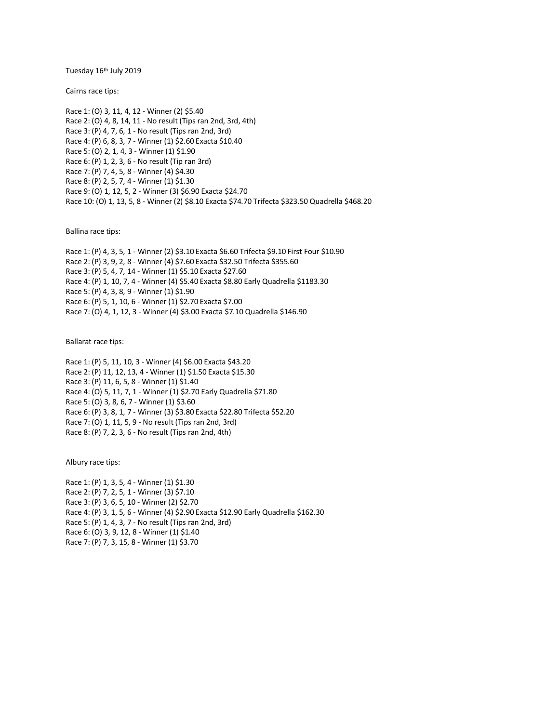Tuesday 16th July 2019

Cairns race tips:

Race 1: (O) 3, 11, 4, 12 - Winner (2) \$5.40 Race 2: (O) 4, 8, 14, 11 - No result (Tips ran 2nd, 3rd, 4th) Race 3: (P) 4, 7, 6, 1 - No result (Tips ran 2nd, 3rd) Race 4: (P) 6, 8, 3, 7 - Winner (1) \$2.60 Exacta \$10.40 Race 5: (O) 2, 1, 4, 3 - Winner (1) \$1.90 Race 6: (P) 1, 2, 3, 6 - No result (Tip ran 3rd) Race 7: (P) 7, 4, 5, 8 - Winner (4) \$4.30 Race 8: (P) 2, 5, 7, 4 - Winner (1) \$1.30 Race 9: (O) 1, 12, 5, 2 - Winner (3) \$6.90 Exacta \$24.70 Race 10: (O) 1, 13, 5, 8 - Winner (2) \$8.10 Exacta \$74.70 Trifecta \$323.50 Quadrella \$468.20

Ballina race tips:

Race 1: (P) 4, 3, 5, 1 - Winner (2) \$3.10 Exacta \$6.60 Trifecta \$9.10 First Four \$10.90 Race 2: (P) 3, 9, 2, 8 - Winner (4) \$7.60 Exacta \$32.50 Trifecta \$355.60 Race 3: (P) 5, 4, 7, 14 - Winner (1) \$5.10 Exacta \$27.60 Race 4: (P) 1, 10, 7, 4 - Winner (4) \$5.40 Exacta \$8.80 Early Quadrella \$1183.30 Race 5: (P) 4, 3, 8, 9 - Winner (1) \$1.90 Race 6: (P) 5, 1, 10, 6 - Winner (1) \$2.70 Exacta \$7.00 Race 7: (O) 4, 1, 12, 3 - Winner (4) \$3.00 Exacta \$7.10 Quadrella \$146.90

Ballarat race tips:

Race 1: (P) 5, 11, 10, 3 - Winner (4) \$6.00 Exacta \$43.20 Race 2: (P) 11, 12, 13, 4 - Winner (1) \$1.50 Exacta \$15.30 Race 3: (P) 11, 6, 5, 8 - Winner (1) \$1.40 Race 4: (O) 5, 11, 7, 1 - Winner (1) \$2.70 Early Quadrella \$71.80 Race 5: (O) 3, 8, 6, 7 - Winner (1) \$3.60 Race 6: (P) 3, 8, 1, 7 - Winner (3) \$3.80 Exacta \$22.80 Trifecta \$52.20 Race 7: (O) 1, 11, 5, 9 - No result (Tips ran 2nd, 3rd) Race 8: (P) 7, 2, 3, 6 - No result (Tips ran 2nd, 4th)

Albury race tips:

Race 1: (P) 1, 3, 5, 4 - Winner (1) \$1.30 Race 2: (P) 7, 2, 5, 1 - Winner (3) \$7.10 Race 3: (P) 3, 6, 5, 10 - Winner (2) \$2.70 Race 4: (P) 3, 1, 5, 6 - Winner (4) \$2.90 Exacta \$12.90 Early Quadrella \$162.30 Race 5: (P) 1, 4, 3, 7 - No result (Tips ran 2nd, 3rd) Race 6: (O) 3, 9, 12, 8 - Winner (1) \$1.40 Race 7: (P) 7, 3, 15, 8 - Winner (1) \$3.70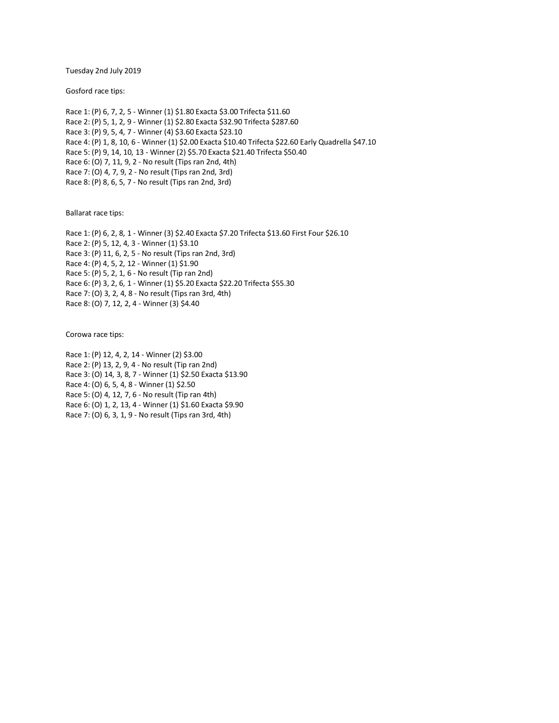Tuesday 2nd July 2019

Gosford race tips:

Race 1: (P) 6, 7, 2, 5 - Winner (1) \$1.80 Exacta \$3.00 Trifecta \$11.60 Race 2: (P) 5, 1, 2, 9 - Winner (1) \$2.80 Exacta \$32.90 Trifecta \$287.60 Race 3: (P) 9, 5, 4, 7 - Winner (4) \$3.60 Exacta \$23.10 Race 4: (P) 1, 8, 10, 6 - Winner (1) \$2.00 Exacta \$10.40 Trifecta \$22.60 Early Quadrella \$47.10 Race 5: (P) 9, 14, 10, 13 - Winner (2) \$5.70 Exacta \$21.40 Trifecta \$50.40 Race 6: (O) 7, 11, 9, 2 - No result (Tips ran 2nd, 4th) Race 7: (O) 4, 7, 9, 2 - No result (Tips ran 2nd, 3rd) Race 8: (P) 8, 6, 5, 7 - No result (Tips ran 2nd, 3rd)

Ballarat race tips:

Race 1: (P) 6, 2, 8, 1 - Winner (3) \$2.40 Exacta \$7.20 Trifecta \$13.60 First Four \$26.10 Race 2: (P) 5, 12, 4, 3 - Winner (1) \$3.10 Race 3: (P) 11, 6, 2, 5 - No result (Tips ran 2nd, 3rd) Race 4: (P) 4, 5, 2, 12 - Winner (1) \$1.90 Race 5: (P) 5, 2, 1, 6 - No result (Tip ran 2nd) Race 6: (P) 3, 2, 6, 1 - Winner (1) \$5.20 Exacta \$22.20 Trifecta \$55.30 Race 7: (O) 3, 2, 4, 8 - No result (Tips ran 3rd, 4th) Race 8: (O) 7, 12, 2, 4 - Winner (3) \$4.40

Corowa race tips:

Race 1: (P) 12, 4, 2, 14 - Winner (2) \$3.00 Race 2: (P) 13, 2, 9, 4 - No result (Tip ran 2nd) Race 3: (O) 14, 3, 8, 7 - Winner (1) \$2.50 Exacta \$13.90 Race 4: (O) 6, 5, 4, 8 - Winner (1) \$2.50 Race 5: (O) 4, 12, 7, 6 - No result (Tip ran 4th) Race 6: (O) 1, 2, 13, 4 - Winner (1) \$1.60 Exacta \$9.90 Race 7: (O) 6, 3, 1, 9 - No result (Tips ran 3rd, 4th)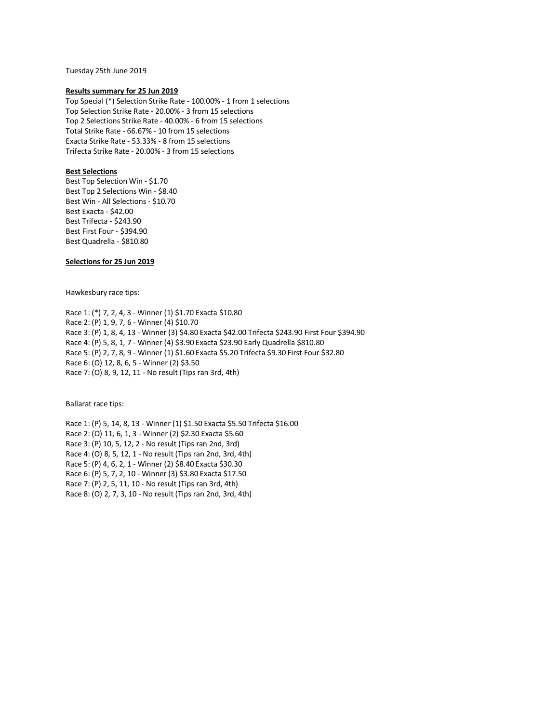Tuesday 25th June 2019

#### **Results summary for 25 Jun 2019**

Top Special (\*) Selection Strike Rate - 100.00% - 1 from 1 selections Top Selection Strike Rate - 20.00% - 3 from 15 selections Top 2 Selections Strike Rate - 40.00% - 6 from 15 selections Total Strike Rate - 66.67% - 10 from 15 selections Exacta Strike Rate - 53.33% - 8 from 15 selections Trifecta Strike Rate - 20.00% - 3 from 15 selections

## **Best Selections**

Best Top Selection Win - \$1.70 Best Top 2 Selections Win - \$8.40 Best Win - All Selections - \$10.70 Best Exacta - \$42.00 Best Trifecta - \$243.90 Best First Four - \$394.90 Best Quadrella - \$810.80

# **Selections for 25 Jun 2019**

Hawkesbury race tips:

Race 1: (\*) 7, 2, 4, 3 - Winner (1) \$1.70 Exacta \$10.80 Race 2: (P) 1, 9, 7, 6 - Winner (4) \$10.70 Race 3: (P) 1, 8, 4, 13 - Winner (3) \$4.80 Exacta \$42.00 Trifecta \$243.90 First Four \$394.90 Race 4: (P) 5, 8, 1, 7 - Winner (4) \$3.90 Exacta \$23.90 Early Quadrella \$810.80 Race 5: (P) 2, 7, 8, 9 - Winner (1) \$1.60 Exacta \$5.20 Trifecta \$9.30 First Four \$32.80 Race 6: (O) 12, 8, 6, 5 - Winner (2) \$3.50 Race 7: (O) 8, 9, 12, 11 - No result (Tips ran 3rd, 4th)

Ballarat race tips:

Race 1: (P) 5, 14, 8, 13 - Winner (1) \$1.50 Exacta \$5.50 Trifecta \$16.00 Race 2: (O) 11, 6, 1, 3 - Winner (2) \$2.30 Exacta \$5.60 Race 3: (P) 10, 5, 12, 2 - No result (Tips ran 2nd, 3rd) Race 4: (O) 8, 5, 12, 1 - No result (Tips ran 2nd, 3rd, 4th) Race 5: (P) 4, 6, 2, 1 - Winner (2) \$8.40 Exacta \$30.30 Race 6: (P) 5, 7, 2, 10 - Winner (3) \$3.80 Exacta \$17.50 Race 7: (P) 2, 5, 11, 10 - No result (Tips ran 3rd, 4th) Race 8: (O) 2, 7, 3, 10 - No result (Tips ran 2nd, 3rd, 4th)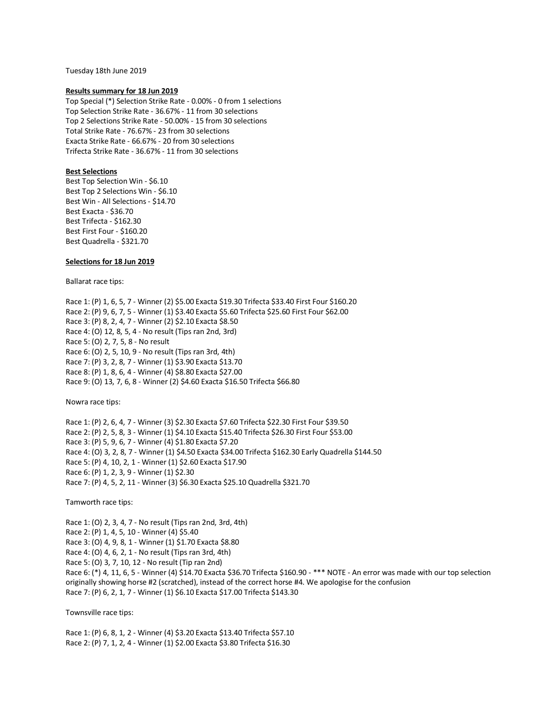Tuesday 18th June 2019

#### **Results summary for 18 Jun 2019**

Top Special (\*) Selection Strike Rate - 0.00% - 0 from 1 selections Top Selection Strike Rate - 36.67% - 11 from 30 selections Top 2 Selections Strike Rate - 50.00% - 15 from 30 selections Total Strike Rate - 76.67% - 23 from 30 selections Exacta Strike Rate - 66.67% - 20 from 30 selections Trifecta Strike Rate - 36.67% - 11 from 30 selections

## **Best Selections**

Best Top Selection Win - \$6.10 Best Top 2 Selections Win - \$6.10 Best Win - All Selections - \$14.70 Best Exacta - \$36.70 Best Trifecta - \$162.30 Best First Four - \$160.20 Best Quadrella - \$321.70

## **Selections for 18 Jun 2019**

Ballarat race tips:

Race 1: (P) 1, 6, 5, 7 - Winner (2) \$5.00 Exacta \$19.30 Trifecta \$33.40 First Four \$160.20 Race 2: (P) 9, 6, 7, 5 - Winner (1) \$3.40 Exacta \$5.60 Trifecta \$25.60 First Four \$62.00 Race 3: (P) 8, 2, 4, 7 - Winner (2) \$2.10 Exacta \$8.50 Race 4: (O) 12, 8, 5, 4 - No result (Tips ran 2nd, 3rd) Race 5: (O) 2, 7, 5, 8 - No result Race 6: (O) 2, 5, 10, 9 - No result (Tips ran 3rd, 4th) Race 7: (P) 3, 2, 8, 7 - Winner (1) \$3.90 Exacta \$13.70 Race 8: (P) 1, 8, 6, 4 - Winner (4) \$8.80 Exacta \$27.00 Race 9: (O) 13, 7, 6, 8 - Winner (2) \$4.60 Exacta \$16.50 Trifecta \$66.80

Nowra race tips:

Race 1: (P) 2, 6, 4, 7 - Winner (3) \$2.30 Exacta \$7.60 Trifecta \$22.30 First Four \$39.50 Race 2: (P) 2, 5, 8, 3 - Winner (1) \$4.10 Exacta \$15.40 Trifecta \$26.30 First Four \$53.00 Race 3: (P) 5, 9, 6, 7 - Winner (4) \$1.80 Exacta \$7.20 Race 4: (O) 3, 2, 8, 7 - Winner (1) \$4.50 Exacta \$34.00 Trifecta \$162.30 Early Quadrella \$144.50 Race 5: (P) 4, 10, 2, 1 - Winner (1) \$2.60 Exacta \$17.90 Race 6: (P) 1, 2, 3, 9 - Winner (1) \$2.30 Race 7: (P) 4, 5, 2, 11 - Winner (3) \$6.30 Exacta \$25.10 Quadrella \$321.70

Tamworth race tips:

Race 1: (O) 2, 3, 4, 7 - No result (Tips ran 2nd, 3rd, 4th) Race 2: (P) 1, 4, 5, 10 - Winner (4) \$5.40 Race 3: (O) 4, 9, 8, 1 - Winner (1) \$1.70 Exacta \$8.80 Race 4: (O) 4, 6, 2, 1 - No result (Tips ran 3rd, 4th) Race 5: (O) 3, 7, 10, 12 - No result (Tip ran 2nd) Race 6: (\*) 4, 11, 6, 5 - Winner (4) \$14.70 Exacta \$36.70 Trifecta \$160.90 - \*\*\* NOTE - An error was made with our top selection originally showing horse #2 (scratched), instead of the correct horse #4. We apologise for the confusion Race 7: (P) 6, 2, 1, 7 - Winner (1) \$6.10 Exacta \$17.00 Trifecta \$143.30

Townsville race tips:

Race 1: (P) 6, 8, 1, 2 - Winner (4) \$3.20 Exacta \$13.40 Trifecta \$57.10 Race 2: (P) 7, 1, 2, 4 - Winner (1) \$2.00 Exacta \$3.80 Trifecta \$16.30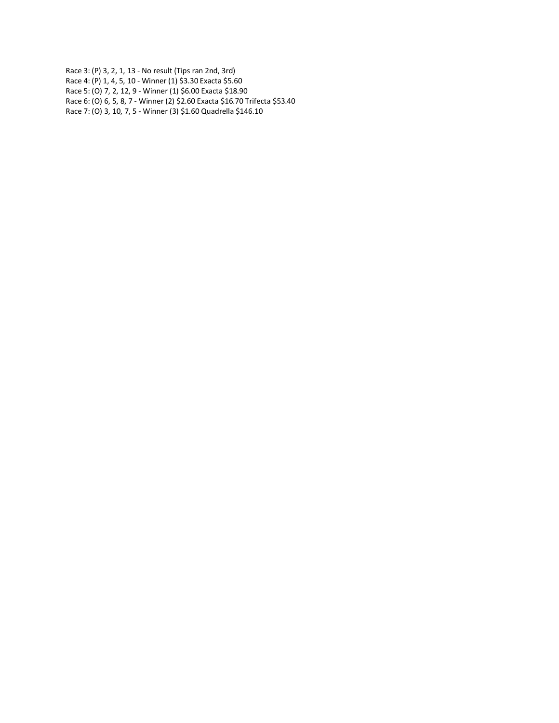Race 3: (P) 3, 2, 1, 13 - No result (Tips ran 2nd, 3rd) Race 4: (P) 1, 4, 5, 10 - Winner (1) \$3.30 Exacta \$5.60 Race 5: (O) 7, 2, 12, 9 - Winner (1) \$6.00 Exacta \$18.90 Race 6: (O) 6, 5, 8, 7 - Winner (2) \$2.60 Exacta \$16.70 Trifecta \$53.40 Race 7: (O) 3, 10, 7, 5 - Winner (3) \$1.60 Quadrella \$146.10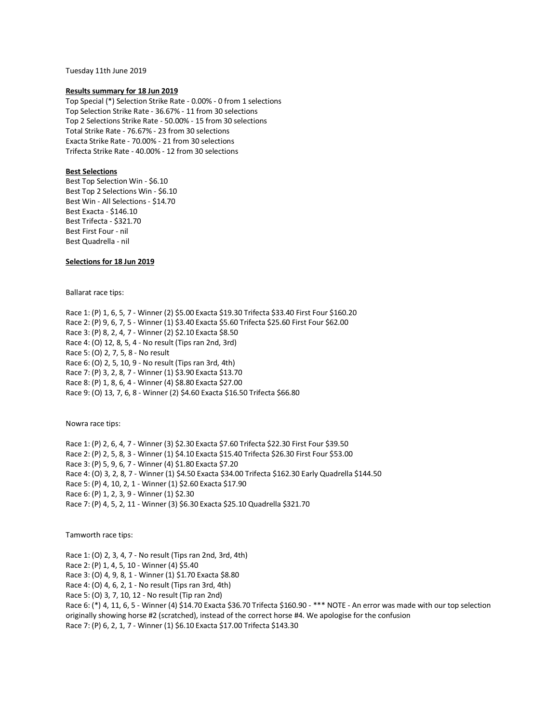Tuesday 11th June 2019

#### **Results summary for 18 Jun 2019**

Top Special (\*) Selection Strike Rate - 0.00% - 0 from 1 selections Top Selection Strike Rate - 36.67% - 11 from 30 selections Top 2 Selections Strike Rate - 50.00% - 15 from 30 selections Total Strike Rate - 76.67% - 23 from 30 selections Exacta Strike Rate - 70.00% - 21 from 30 selections Trifecta Strike Rate - 40.00% - 12 from 30 selections

### **Best Selections**

Best Top Selection Win - \$6.10 Best Top 2 Selections Win - \$6.10 Best Win - All Selections - \$14.70 Best Exacta - \$146.10 Best Trifecta - \$321.70 Best First Four - nil Best Quadrella - nil

## **Selections for 18 Jun 2019**

Ballarat race tips:

Race 1: (P) 1, 6, 5, 7 - Winner (2) \$5.00 Exacta \$19.30 Trifecta \$33.40 First Four \$160.20 Race 2: (P) 9, 6, 7, 5 - Winner (1) \$3.40 Exacta \$5.60 Trifecta \$25.60 First Four \$62.00 Race 3: (P) 8, 2, 4, 7 - Winner (2) \$2.10 Exacta \$8.50 Race 4: (O) 12, 8, 5, 4 - No result (Tips ran 2nd, 3rd) Race 5: (O) 2, 7, 5, 8 - No result Race 6: (O) 2, 5, 10, 9 - No result (Tips ran 3rd, 4th) Race 7: (P) 3, 2, 8, 7 - Winner (1) \$3.90 Exacta \$13.70 Race 8: (P) 1, 8, 6, 4 - Winner (4) \$8.80 Exacta \$27.00 Race 9: (O) 13, 7, 6, 8 - Winner (2) \$4.60 Exacta \$16.50 Trifecta \$66.80

Nowra race tips:

Race 1: (P) 2, 6, 4, 7 - Winner (3) \$2.30 Exacta \$7.60 Trifecta \$22.30 First Four \$39.50 Race 2: (P) 2, 5, 8, 3 - Winner (1) \$4.10 Exacta \$15.40 Trifecta \$26.30 First Four \$53.00 Race 3: (P) 5, 9, 6, 7 - Winner (4) \$1.80 Exacta \$7.20 Race 4: (O) 3, 2, 8, 7 - Winner (1) \$4.50 Exacta \$34.00 Trifecta \$162.30 Early Quadrella \$144.50 Race 5: (P) 4, 10, 2, 1 - Winner (1) \$2.60 Exacta \$17.90 Race 6: (P) 1, 2, 3, 9 - Winner (1) \$2.30 Race 7: (P) 4, 5, 2, 11 - Winner (3) \$6.30 Exacta \$25.10 Quadrella \$321.70

Tamworth race tips:

Race 1: (O) 2, 3, 4, 7 - No result (Tips ran 2nd, 3rd, 4th)

Race 2: (P) 1, 4, 5, 10 - Winner (4) \$5.40

Race 3: (O) 4, 9, 8, 1 - Winner (1) \$1.70 Exacta \$8.80

Race 4: (O) 4, 6, 2, 1 - No result (Tips ran 3rd, 4th)

Race 5: (O) 3, 7, 10, 12 - No result (Tip ran 2nd)

Race 6: (\*) 4, 11, 6, 5 - Winner (4) \$14.70 Exacta \$36.70 Trifecta \$160.90 - \*\*\* NOTE - An error was made with our top selection originally showing horse #2 (scratched), instead of the correct horse #4. We apologise for the confusion Race 7: (P) 6, 2, 1, 7 - Winner (1) \$6.10 Exacta \$17.00 Trifecta \$143.30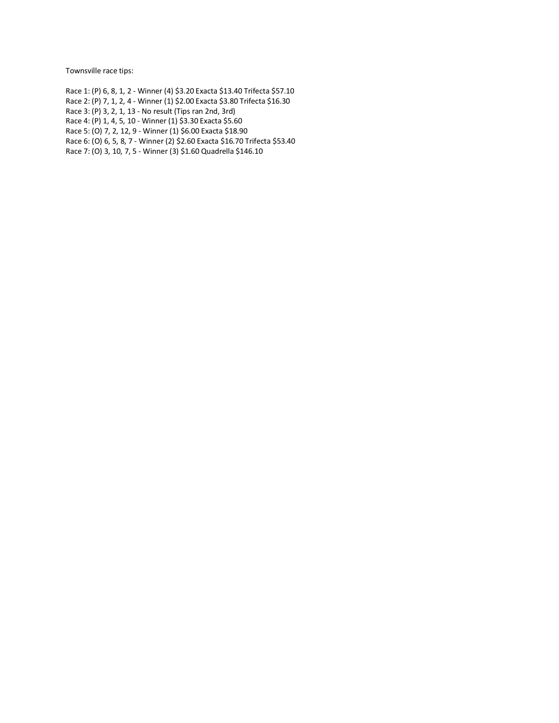Townsville race tips:

Race 1: (P) 6, 8, 1, 2 - Winner (4) \$3.20 Exacta \$13.40 Trifecta \$57.10 Race 2: (P) 7, 1, 2, 4 - Winner (1) \$2.00 Exacta \$3.80 Trifecta \$16.30 Race 3: (P) 3, 2, 1, 13 - No result (Tips ran 2nd, 3rd) Race 4: (P) 1, 4, 5, 10 - Winner (1) \$3.30 Exacta \$5.60 Race 5: (O) 7, 2, 12, 9 - Winner (1) \$6.00 Exacta \$18.90 Race 6: (O) 6, 5, 8, 7 - Winner (2) \$2.60 Exacta \$16.70 Trifecta \$53.40 Race 7: (O) 3, 10, 7, 5 - Winner (3) \$1.60 Quadrella \$146.10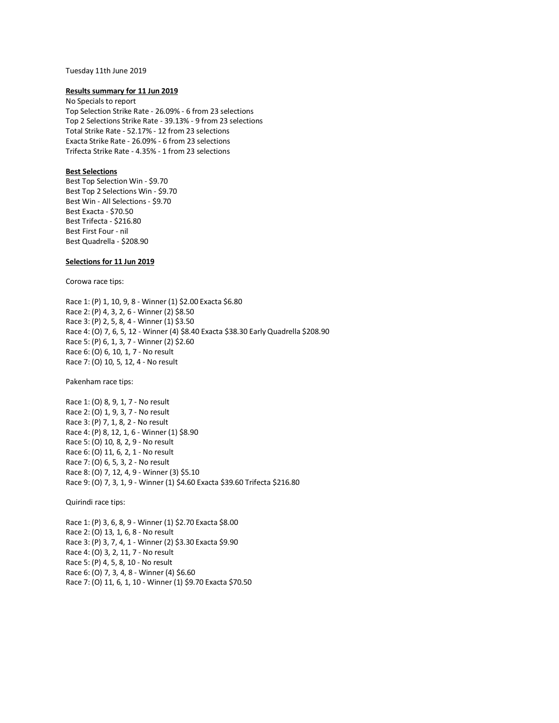#### Tuesday 11th June 2019

#### **Results summary for 11 Jun 2019**

No Specials to report Top Selection Strike Rate - 26.09% - 6 from 23 selections Top 2 Selections Strike Rate - 39.13% - 9 from 23 selections Total Strike Rate - 52.17% - 12 from 23 selections Exacta Strike Rate - 26.09% - 6 from 23 selections Trifecta Strike Rate - 4.35% - 1 from 23 selections

## **Best Selections**

Best Top Selection Win - \$9.70 Best Top 2 Selections Win - \$9.70 Best Win - All Selections - \$9.70 Best Exacta - \$70.50 Best Trifecta - \$216.80 Best First Four - nil Best Quadrella - \$208.90

### **Selections for 11 Jun 2019**

Corowa race tips:

Race 1: (P) 1, 10, 9, 8 - Winner (1) \$2.00 Exacta \$6.80 Race 2: (P) 4, 3, 2, 6 - Winner (2) \$8.50 Race 3: (P) 2, 5, 8, 4 - Winner (1) \$3.50 Race 4: (O) 7, 6, 5, 12 - Winner (4) \$8.40 Exacta \$38.30 Early Quadrella \$208.90 Race 5: (P) 6, 1, 3, 7 - Winner (2) \$2.60 Race 6: (O) 6, 10, 1, 7 - No result Race 7: (O) 10, 5, 12, 4 - No result

Pakenham race tips:

Race 1: (O) 8, 9, 1, 7 - No result Race 2: (O) 1, 9, 3, 7 - No result Race 3: (P) 7, 1, 8, 2 - No result Race 4: (P) 8, 12, 1, 6 - Winner (1) \$8.90 Race 5: (O) 10, 8, 2, 9 - No result Race 6: (O) 11, 6, 2, 1 - No result Race 7: (O) 6, 5, 3, 2 - No result Race 8: (O) 7, 12, 4, 9 - Winner (3) \$5.10 Race 9: (O) 7, 3, 1, 9 - Winner (1) \$4.60 Exacta \$39.60 Trifecta \$216.80

Quirindi race tips:

Race 1: (P) 3, 6, 8, 9 - Winner (1) \$2.70 Exacta \$8.00 Race 2: (O) 13, 1, 6, 8 - No result Race 3: (P) 3, 7, 4, 1 - Winner (2) \$3.30 Exacta \$9.90 Race 4: (O) 3, 2, 11, 7 - No result Race 5: (P) 4, 5, 8, 10 - No result Race 6: (O) 7, 3, 4, 8 - Winner (4) \$6.60 Race 7: (O) 11, 6, 1, 10 - Winner (1) \$9.70 Exacta \$70.50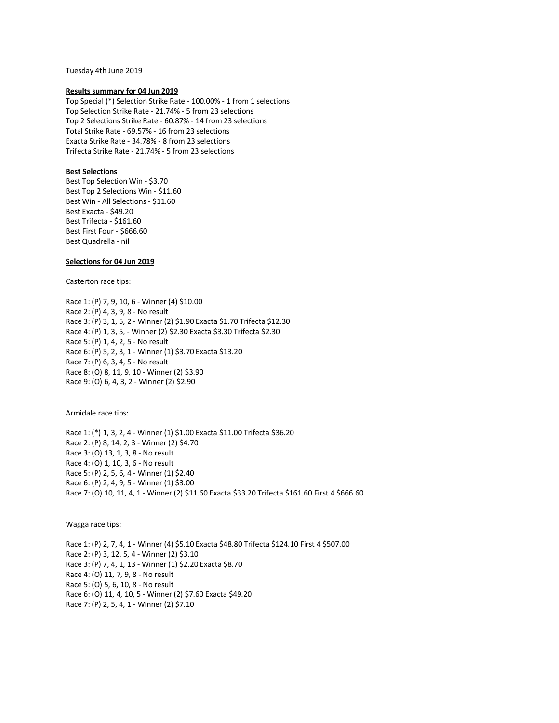Tuesday 4th June 2019

#### **Results summary for 04 Jun 2019**

Top Special (\*) Selection Strike Rate - 100.00% - 1 from 1 selections Top Selection Strike Rate - 21.74% - 5 from 23 selections Top 2 Selections Strike Rate - 60.87% - 14 from 23 selections Total Strike Rate - 69.57% - 16 from 23 selections Exacta Strike Rate - 34.78% - 8 from 23 selections Trifecta Strike Rate - 21.74% - 5 from 23 selections

## **Best Selections**

Best Top Selection Win - \$3.70 Best Top 2 Selections Win - \$11.60 Best Win - All Selections - \$11.60 Best Exacta - \$49.20 Best Trifecta - \$161.60 Best First Four - \$666.60 Best Quadrella - nil

## **Selections for 04 Jun 2019**

Casterton race tips:

Race 1: (P) 7, 9, 10, 6 - Winner (4) \$10.00 Race 2: (P) 4, 3, 9, 8 - No result Race 3: (P) 3, 1, 5, 2 - Winner (2) \$1.90 Exacta \$1.70 Trifecta \$12.30 Race 4: (P) 1, 3, 5, - Winner (2) \$2.30 Exacta \$3.30 Trifecta \$2.30 Race 5: (P) 1, 4, 2, 5 - No result Race 6: (P) 5, 2, 3, 1 - Winner (1) \$3.70 Exacta \$13.20 Race 7: (P) 6, 3, 4, 5 - No result Race 8: (O) 8, 11, 9, 10 - Winner (2) \$3.90 Race 9: (O) 6, 4, 3, 2 - Winner (2) \$2.90

Armidale race tips:

Race 1: (\*) 1, 3, 2, 4 - Winner (1) \$1.00 Exacta \$11.00 Trifecta \$36.20 Race 2: (P) 8, 14, 2, 3 - Winner (2) \$4.70 Race 3: (O) 13, 1, 3, 8 - No result Race 4: (O) 1, 10, 3, 6 - No result Race 5: (P) 2, 5, 6, 4 - Winner (1) \$2.40 Race 6: (P) 2, 4, 9, 5 - Winner (1) \$3.00 Race 7: (O) 10, 11, 4, 1 - Winner (2) \$11.60 Exacta \$33.20 Trifecta \$161.60 First 4 \$666.60

Wagga race tips:

Race 1: (P) 2, 7, 4, 1 - Winner (4) \$5.10 Exacta \$48.80 Trifecta \$124.10 First 4 \$507.00 Race 2: (P) 3, 12, 5, 4 - Winner (2) \$3.10 Race 3: (P) 7, 4, 1, 13 - Winner (1) \$2.20 Exacta \$8.70 Race 4: (O) 11, 7, 9, 8 - No result Race 5: (O) 5, 6, 10, 8 - No result Race 6: (O) 11, 4, 10, 5 - Winner (2) \$7.60 Exacta \$49.20 Race 7: (P) 2, 5, 4, 1 - Winner (2) \$7.10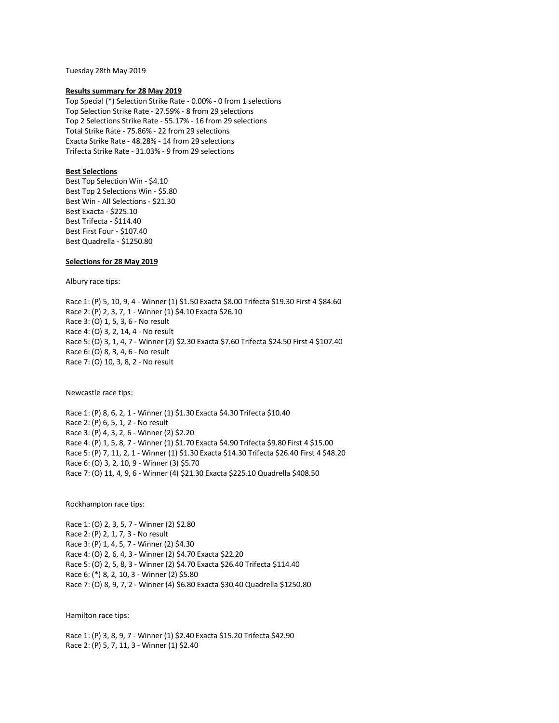Tuesday 28th May 2019

#### **Results summary for 28 May 2019**

Top Special (\*) Selection Strike Rate - 0.00% - 0 from 1 selections Top Selection Strike Rate - 27.59% - 8 from 29 selections Top 2 Selections Strike Rate - 55.17% - 16 from 29 selections Total Strike Rate - 75.86% - 22 from 29 selections Exacta Strike Rate - 48.28% - 14 from 29 selections Trifecta Strike Rate - 31.03% - 9 from 29 selections

## **Best Selections**

Best Top Selection Win - \$4.10 Best Top 2 Selections Win - \$5.80 Best Win - All Selections - \$21.30 Best Exacta - \$225.10 Best Trifecta - \$114.40 Best First Four - \$107.40 Best Quadrella - \$1250.80

## **Selections for 28 May 2019**

Albury race tips:

Race 1: (P) 5, 10, 9, 4 - Winner (1) \$1.50 Exacta \$8.00 Trifecta \$19.30 First 4 \$84.60 Race 2: (P) 2, 3, 7, 1 - Winner (1) \$4.10 Exacta \$26.10 Race 3: (O) 1, 5, 3, 6 - No result Race 4: (O) 3, 2, 14, 4 - No result Race 5: (O) 3, 1, 4, 7 - Winner (2) \$2.30 Exacta \$7.60 Trifecta \$24.50 First 4 \$107.40 Race 6: (O) 8, 3, 4, 6 - No result Race 7: (O) 10, 3, 8, 2 - No result

Newcastle race tips:

Race 1: (P) 8, 6, 2, 1 - Winner (1) \$1.30 Exacta \$4.30 Trifecta \$10.40 Race 2: (P) 6, 5, 1, 2 - No result Race 3: (P) 4, 3, 2, 6 - Winner (2) \$2.20 Race 4: (P) 1, 5, 8, 7 - Winner (1) \$1.70 Exacta \$4.90 Trifecta \$9.80 First 4 \$15.00 Race 5: (P) 7, 11, 2, 1 - Winner (1) \$1.30 Exacta \$14.30 Trifecta \$26.40 First 4 \$48.20 Race 6: (O) 3, 2, 10, 9 - Winner (3) \$5.70 Race 7: (O) 11, 4, 9, 6 - Winner (4) \$21.30 Exacta \$225.10 Quadrella \$408.50

Rockhampton race tips:

Race 1: (O) 2, 3, 5, 7 - Winner (2) \$2.80 Race 2: (P) 2, 1, 7, 3 - No result Race 3: (P) 1, 4, 5, 7 - Winner (2) \$4.30 Race 4: (O) 2, 6, 4, 3 - Winner (2) \$4.70 Exacta \$22.20 Race 5: (O) 2, 5, 8, 3 - Winner (2) \$4.70 Exacta \$26.40 Trifecta \$114.40 Race 6: (\*) 8, 2, 10, 3 - Winner (2) \$5.80 Race 7: (O) 8, 9, 7, 2 - Winner (4) \$6.80 Exacta \$30.40 Quadrella \$1250.80

Hamilton race tips:

Race 1: (P) 3, 8, 9, 7 - Winner (1) \$2.40 Exacta \$15.20 Trifecta \$42.90 Race 2: (P) 5, 7, 11, 3 - Winner (1) \$2.40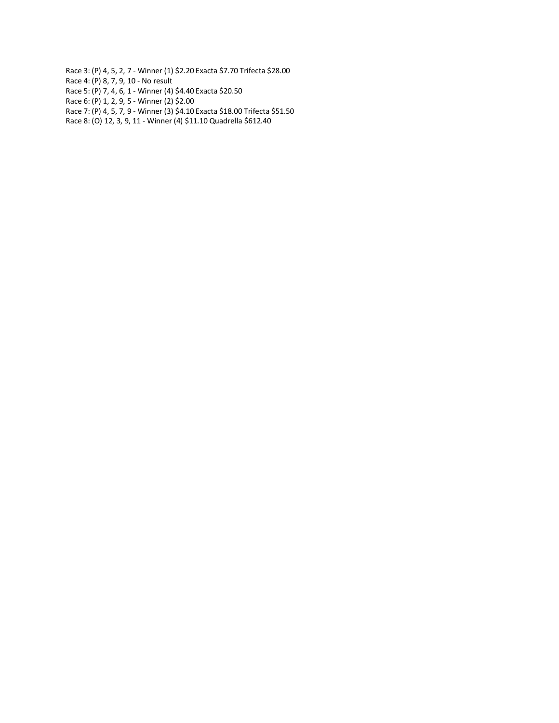- Race 3: (P) 4, 5, 2, 7 Winner (1) \$2.20 Exacta \$7.70 Trifecta \$28.00
- Race 4: (P) 8, 7, 9, 10 No result
- Race 5: (P) 7, 4, 6, 1 Winner (4) \$4.40 Exacta \$20.50
- Race 6: (P) 1, 2, 9, 5 Winner (2) \$2.00
- Race 7: (P) 4, 5, 7, 9 Winner (3) \$4.10 Exacta \$18.00 Trifecta \$51.50
- Race 8: (O) 12, 3, 9, 11 Winner (4) \$11.10 Quadrella \$612.40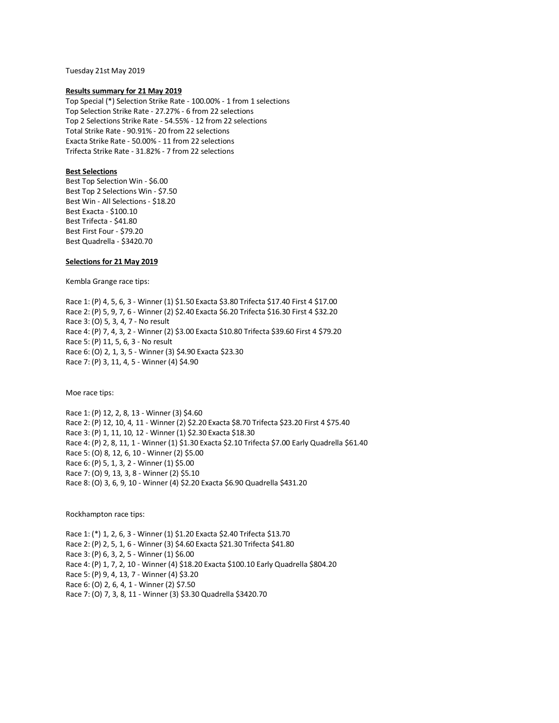Tuesday 21st May 2019

### **Results summary for 21 May 2019**

Top Special (\*) Selection Strike Rate - 100.00% - 1 from 1 selections Top Selection Strike Rate - 27.27% - 6 from 22 selections Top 2 Selections Strike Rate - 54.55% - 12 from 22 selections Total Strike Rate - 90.91% - 20 from 22 selections Exacta Strike Rate - 50.00% - 11 from 22 selections Trifecta Strike Rate - 31.82% - 7 from 22 selections

## **Best Selections**

Best Top Selection Win - \$6.00 Best Top 2 Selections Win - \$7.50 Best Win - All Selections - \$18.20 Best Exacta - \$100.10 Best Trifecta - \$41.80 Best First Four - \$79.20 Best Quadrella - \$3420.70

## **Selections for 21 May 2019**

Kembla Grange race tips:

Race 1: (P) 4, 5, 6, 3 - Winner (1) \$1.50 Exacta \$3.80 Trifecta \$17.40 First 4 \$17.00 Race 2: (P) 5, 9, 7, 6 - Winner (2) \$2.40 Exacta \$6.20 Trifecta \$16.30 First 4 \$32.20 Race 3: (O) 5, 3, 4, 7 - No result Race 4: (P) 7, 4, 3, 2 - Winner (2) \$3.00 Exacta \$10.80 Trifecta \$39.60 First 4 \$79.20 Race 5: (P) 11, 5, 6, 3 - No result Race 6: (O) 2, 1, 3, 5 - Winner (3) \$4.90 Exacta \$23.30 Race 7: (P) 3, 11, 4, 5 - Winner (4) \$4.90

Moe race tips:

Race 1: (P) 12, 2, 8, 13 - Winner (3) \$4.60 Race 2: (P) 12, 10, 4, 11 - Winner (2) \$2.20 Exacta \$8.70 Trifecta \$23.20 First 4 \$75.40 Race 3: (P) 1, 11, 10, 12 - Winner (1) \$2.30 Exacta \$18.30 Race 4: (P) 2, 8, 11, 1 - Winner (1) \$1.30 Exacta \$2.10 Trifecta \$7.00 Early Quadrella \$61.40 Race 5: (O) 8, 12, 6, 10 - Winner (2) \$5.00 Race 6: (P) 5, 1, 3, 2 - Winner (1) \$5.00 Race 7: (O) 9, 13, 3, 8 - Winner (2) \$5.10 Race 8: (O) 3, 6, 9, 10 - Winner (4) \$2.20 Exacta \$6.90 Quadrella \$431.20

Rockhampton race tips:

Race 1: (\*) 1, 2, 6, 3 - Winner (1) \$1.20 Exacta \$2.40 Trifecta \$13.70 Race 2: (P) 2, 5, 1, 6 - Winner (3) \$4.60 Exacta \$21.30 Trifecta \$41.80 Race 3: (P) 6, 3, 2, 5 - Winner (1) \$6.00 Race 4: (P) 1, 7, 2, 10 - Winner (4) \$18.20 Exacta \$100.10 Early Quadrella \$804.20 Race 5: (P) 9, 4, 13, 7 - Winner (4) \$3.20 Race 6: (O) 2, 6, 4, 1 - Winner (2) \$7.50 Race 7: (O) 7, 3, 8, 11 - Winner (3) \$3.30 Quadrella \$3420.70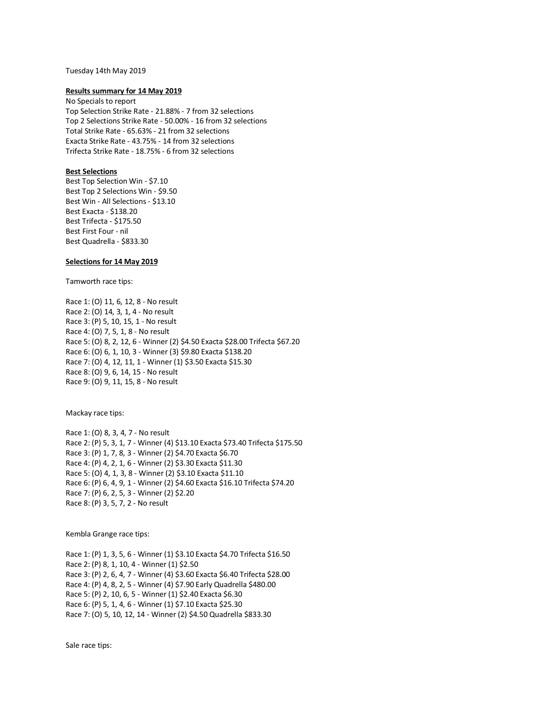#### Tuesday 14th May 2019

#### **Results summary for 14 May 2019**

No Specials to report Top Selection Strike Rate - 21.88% - 7 from 32 selections Top 2 Selections Strike Rate - 50.00% - 16 from 32 selections Total Strike Rate - 65.63% - 21 from 32 selections Exacta Strike Rate - 43.75% - 14 from 32 selections Trifecta Strike Rate - 18.75% - 6 from 32 selections

## **Best Selections**

Best Top Selection Win - \$7.10 Best Top 2 Selections Win - \$9.50 Best Win - All Selections - \$13.10 Best Exacta - \$138.20 Best Trifecta - \$175.50 Best First Four - nil Best Quadrella - \$833.30

## **Selections for 14 May 2019**

Tamworth race tips:

Race 1: (O) 11, 6, 12, 8 - No result Race 2: (O) 14, 3, 1, 4 - No result Race 3: (P) 5, 10, 15, 1 - No result Race 4: (O) 7, 5, 1, 8 - No result Race 5: (O) 8, 2, 12, 6 - Winner (2) \$4.50 Exacta \$28.00 Trifecta \$67.20 Race 6: (O) 6, 1, 10, 3 - Winner (3) \$9.80 Exacta \$138.20 Race 7: (O) 4, 12, 11, 1 - Winner (1) \$3.50 Exacta \$15.30 Race 8: (O) 9, 6, 14, 15 - No result Race 9: (O) 9, 11, 15, 8 - No result

Mackay race tips:

Race 1: (O) 8, 3, 4, 7 - No result Race 2: (P) 5, 3, 1, 7 - Winner (4) \$13.10 Exacta \$73.40 Trifecta \$175.50 Race 3: (P) 1, 7, 8, 3 - Winner (2) \$4.70 Exacta \$6.70 Race 4: (P) 4, 2, 1, 6 - Winner (2) \$3.30 Exacta \$11.30 Race 5: (O) 4, 1, 3, 8 - Winner (2) \$3.10 Exacta \$11.10 Race 6: (P) 6, 4, 9, 1 - Winner (2) \$4.60 Exacta \$16.10 Trifecta \$74.20 Race 7: (P) 6, 2, 5, 3 - Winner (2) \$2.20 Race 8: (P) 3, 5, 7, 2 - No result

Kembla Grange race tips:

Race 1: (P) 1, 3, 5, 6 - Winner (1) \$3.10 Exacta \$4.70 Trifecta \$16.50 Race 2: (P) 8, 1, 10, 4 - Winner (1) \$2.50 Race 3: (P) 2, 6, 4, 7 - Winner (4) \$3.60 Exacta \$6.40 Trifecta \$28.00 Race 4: (P) 4, 8, 2, 5 - Winner (4) \$7.90 Early Quadrella \$480.00 Race 5: (P) 2, 10, 6, 5 - Winner (1) \$2.40 Exacta \$6.30 Race 6: (P) 5, 1, 4, 6 - Winner (1) \$7.10 Exacta \$25.30 Race 7: (O) 5, 10, 12, 14 - Winner (2) \$4.50 Quadrella \$833.30

Sale race tips: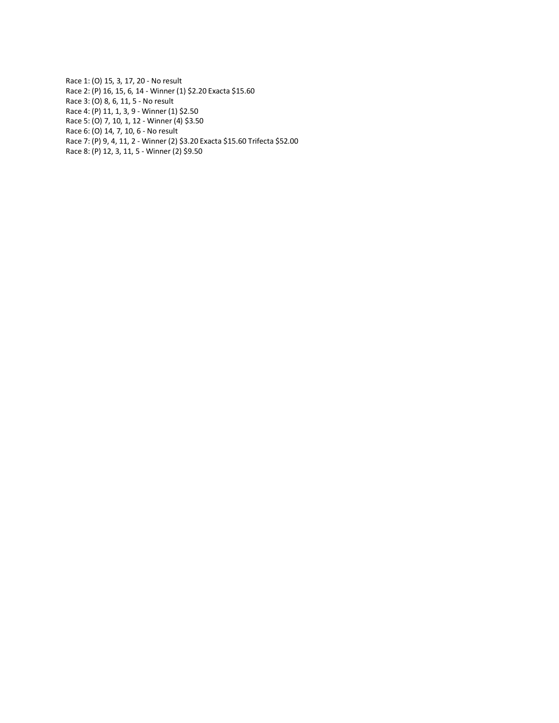Race 1: (O) 15, 3, 17, 20 - No result Race 2: (P) 16, 15, 6, 14 - Winner (1) \$2.20 Exacta \$15.60 Race 3: (O) 8, 6, 11, 5 - No result Race 4: (P) 11, 1, 3, 9 - Winner (1) \$2.50 Race 5: (O) 7, 10, 1, 12 - Winner (4) \$3.50 Race 6: (O) 14, 7, 10, 6 - No result Race 7: (P) 9, 4, 11, 2 - Winner (2) \$3.20 Exacta \$15.60 Trifecta \$52.00 Race 8: (P) 12, 3, 11, 5 - Winner (2) \$9.50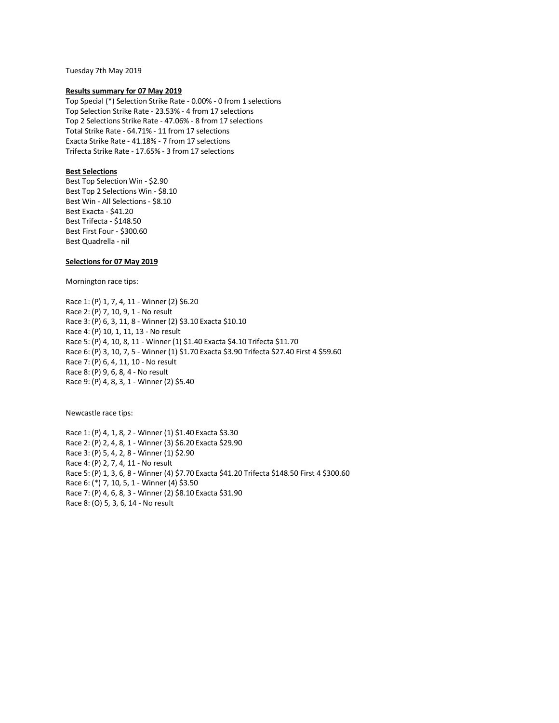Tuesday 7th May 2019

#### **Results summary for 07 May 2019**

Top Special (\*) Selection Strike Rate - 0.00% - 0 from 1 selections Top Selection Strike Rate - 23.53% - 4 from 17 selections Top 2 Selections Strike Rate - 47.06% - 8 from 17 selections Total Strike Rate - 64.71% - 11 from 17 selections Exacta Strike Rate - 41.18% - 7 from 17 selections Trifecta Strike Rate - 17.65% - 3 from 17 selections

## **Best Selections**

Best Top Selection Win - \$2.90 Best Top 2 Selections Win - \$8.10 Best Win - All Selections - \$8.10 Best Exacta - \$41.20 Best Trifecta - \$148.50 Best First Four - \$300.60 Best Quadrella - nil

## **Selections for 07 May 2019**

Mornington race tips:

Race 1: (P) 1, 7, 4, 11 - Winner (2) \$6.20 Race 2: (P) 7, 10, 9, 1 - No result Race 3: (P) 6, 3, 11, 8 - Winner (2) \$3.10 Exacta \$10.10 Race 4: (P) 10, 1, 11, 13 - No result Race 5: (P) 4, 10, 8, 11 - Winner (1) \$1.40 Exacta \$4.10 Trifecta \$11.70 Race 6: (P) 3, 10, 7, 5 - Winner (1) \$1.70 Exacta \$3.90 Trifecta \$27.40 First 4 \$59.60 Race 7: (P) 6, 4, 11, 10 - No result Race 8: (P) 9, 6, 8, 4 - No result Race 9: (P) 4, 8, 3, 1 - Winner (2) \$5.40

Newcastle race tips:

Race 1: (P) 4, 1, 8, 2 - Winner (1) \$1.40 Exacta \$3.30 Race 2: (P) 2, 4, 8, 1 - Winner (3) \$6.20 Exacta \$29.90 Race 3: (P) 5, 4, 2, 8 - Winner (1) \$2.90 Race 4: (P) 2, 7, 4, 11 - No result Race 5: (P) 1, 3, 6, 8 - Winner (4) \$7.70 Exacta \$41.20 Trifecta \$148.50 First 4 \$300.60 Race 6: (\*) 7, 10, 5, 1 - Winner (4) \$3.50 Race 7: (P) 4, 6, 8, 3 - Winner (2) \$8.10 Exacta \$31.90 Race 8: (O) 5, 3, 6, 14 - No result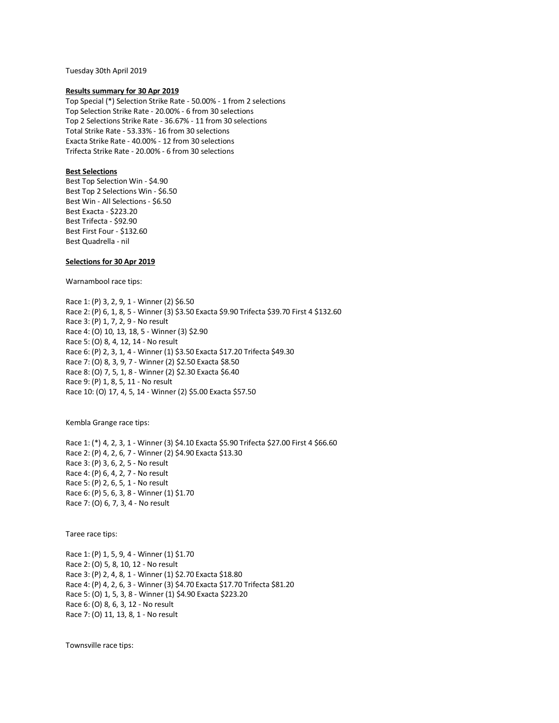Tuesday 30th April 2019

#### **Results summary for 30 Apr 2019**

Top Special (\*) Selection Strike Rate - 50.00% - 1 from 2 selections Top Selection Strike Rate - 20.00% - 6 from 30 selections Top 2 Selections Strike Rate - 36.67% - 11 from 30 selections Total Strike Rate - 53.33% - 16 from 30 selections Exacta Strike Rate - 40.00% - 12 from 30 selections Trifecta Strike Rate - 20.00% - 6 from 30 selections

## **Best Selections**

Best Top Selection Win - \$4.90 Best Top 2 Selections Win - \$6.50 Best Win - All Selections - \$6.50 Best Exacta - \$223.20 Best Trifecta - \$92.90 Best First Four - \$132.60 Best Quadrella - nil

### **Selections for 30 Apr 2019**

Warnambool race tips:

Race 1: (P) 3, 2, 9, 1 - Winner (2) \$6.50 Race 2: (P) 6, 1, 8, 5 - Winner (3) \$3.50 Exacta \$9.90 Trifecta \$39.70 First 4 \$132.60 Race 3: (P) 1, 7, 2, 9 - No result Race 4: (O) 10, 13, 18, 5 - Winner (3) \$2.90 Race 5: (O) 8, 4, 12, 14 - No result Race 6: (P) 2, 3, 1, 4 - Winner (1) \$3.50 Exacta \$17.20 Trifecta \$49.30 Race 7: (O) 8, 3, 9, 7 - Winner (2) \$2.50 Exacta \$8.50 Race 8: (O) 7, 5, 1, 8 - Winner (2) \$2.30 Exacta \$6.40 Race 9: (P) 1, 8, 5, 11 - No result Race 10: (O) 17, 4, 5, 14 - Winner (2) \$5.00 Exacta \$57.50

Kembla Grange race tips:

Race 1: (\*) 4, 2, 3, 1 - Winner (3) \$4.10 Exacta \$5.90 Trifecta \$27.00 First 4 \$66.60 Race 2: (P) 4, 2, 6, 7 - Winner (2) \$4.90 Exacta \$13.30 Race 3: (P) 3, 6, 2, 5 - No result Race 4: (P) 6, 4, 2, 7 - No result Race 5: (P) 2, 6, 5, 1 - No result Race 6: (P) 5, 6, 3, 8 - Winner (1) \$1.70 Race 7: (O) 6, 7, 3, 4 - No result

Taree race tips:

Race 1: (P) 1, 5, 9, 4 - Winner (1) \$1.70 Race 2: (O) 5, 8, 10, 12 - No result Race 3: (P) 2, 4, 8, 1 - Winner (1) \$2.70 Exacta \$18.80 Race 4: (P) 4, 2, 6, 3 - Winner (3) \$4.70 Exacta \$17.70 Trifecta \$81.20 Race 5: (O) 1, 5, 3, 8 - Winner (1) \$4.90 Exacta \$223.20 Race 6: (O) 8, 6, 3, 12 - No result Race 7: (O) 11, 13, 8, 1 - No result

Townsville race tips: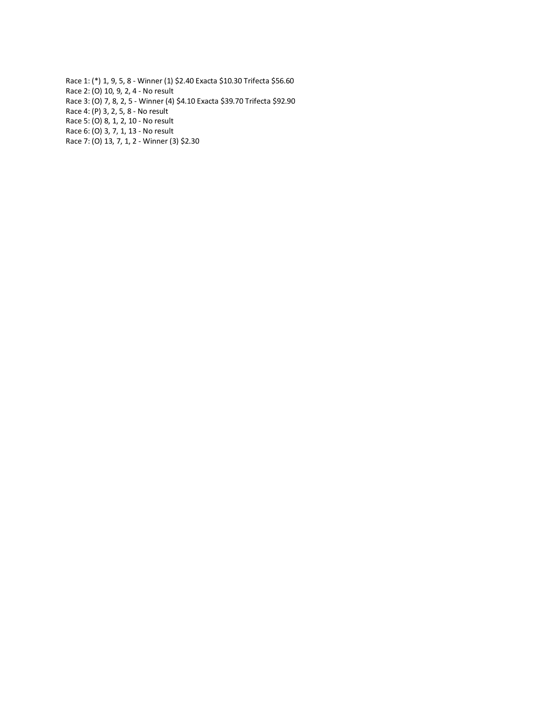Race 1: (\*) 1, 9, 5, 8 - Winner (1) \$2.40 Exacta \$10.30 Trifecta \$56.60 Race 2: (O) 10, 9, 2, 4 - No result Race 3: (O) 7, 8, 2, 5 - Winner (4) \$4.10 Exacta \$39.70 Trifecta \$92.90 Race 4: (P) 3, 2, 5, 8 - No result Race 5: (O) 8, 1, 2, 10 - No result Race 6: (O) 3, 7, 1, 13 - No result Race 7: (O) 13, 7, 1, 2 - Winner (3) \$2.30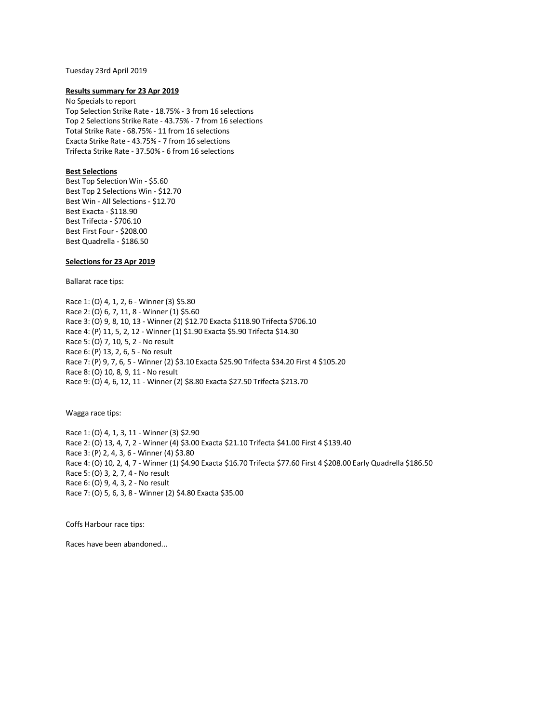#### Tuesday 23rd April 2019

#### **Results summary for 23 Apr 2019**

No Specials to report Top Selection Strike Rate - 18.75% - 3 from 16 selections Top 2 Selections Strike Rate - 43.75% - 7 from 16 selections Total Strike Rate - 68.75% - 11 from 16 selections Exacta Strike Rate - 43.75% - 7 from 16 selections Trifecta Strike Rate - 37.50% - 6 from 16 selections

## **Best Selections**

Best Top Selection Win - \$5.60 Best Top 2 Selections Win - \$12.70 Best Win - All Selections - \$12.70 Best Exacta - \$118.90 Best Trifecta - \$706.10 Best First Four - \$208.00 Best Quadrella - \$186.50

## **Selections for 23 Apr 2019**

Ballarat race tips:

Race 1: (O) 4, 1, 2, 6 - Winner (3) \$5.80 Race 2: (O) 6, 7, 11, 8 - Winner (1) \$5.60 Race 3: (O) 9, 8, 10, 13 - Winner (2) \$12.70 Exacta \$118.90 Trifecta \$706.10 Race 4: (P) 11, 5, 2, 12 - Winner (1) \$1.90 Exacta \$5.90 Trifecta \$14.30 Race 5: (O) 7, 10, 5, 2 - No result Race 6: (P) 13, 2, 6, 5 - No result Race 7: (P) 9, 7, 6, 5 - Winner (2) \$3.10 Exacta \$25.90 Trifecta \$34.20 First 4 \$105.20 Race 8: (O) 10, 8, 9, 11 - No result Race 9: (O) 4, 6, 12, 11 - Winner (2) \$8.80 Exacta \$27.50 Trifecta \$213.70

Wagga race tips:

Race 1: (O) 4, 1, 3, 11 - Winner (3) \$2.90 Race 2: (O) 13, 4, 7, 2 - Winner (4) \$3.00 Exacta \$21.10 Trifecta \$41.00 First 4 \$139.40 Race 3: (P) 2, 4, 3, 6 - Winner (4) \$3.80 Race 4: (O) 10, 2, 4, 7 - Winner (1) \$4.90 Exacta \$16.70 Trifecta \$77.60 First 4 \$208.00 Early Quadrella \$186.50 Race 5: (O) 3, 2, 7, 4 - No result Race 6: (O) 9, 4, 3, 2 - No result Race 7: (O) 5, 6, 3, 8 - Winner (2) \$4.80 Exacta \$35.00

Coffs Harbour race tips:

Races have been abandoned...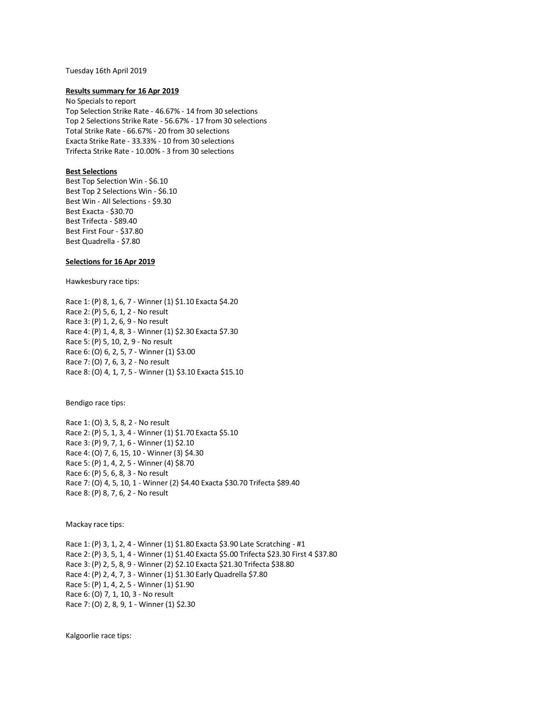#### Tuesday 16th April 2019

#### **Results summary for 16 Apr 2019**

No Specials to report Top Selection Strike Rate - 46.67% - 14 from 30 selections Top 2 Selections Strike Rate - 56.67% - 17 from 30 selections Total Strike Rate - 66.67% - 20 from 30 selections Exacta Strike Rate - 33.33% - 10 from 30 selections Trifecta Strike Rate - 10.00% - 3 from 30 selections

## **Best Selections**

Best Top Selection Win - \$6.10 Best Top 2 Selections Win - \$6.10 Best Win - All Selections - \$9.30 Best Exacta - \$30.70 Best Trifecta - \$89.40 Best First Four - \$37.80 Best Quadrella - \$7.80

## **Selections for 16 Apr 2019**

Hawkesbury race tips:

Race 1: (P) 8, 1, 6, 7 - Winner (1) \$1.10 Exacta \$4.20 Race 2: (P) 5, 6, 1, 2 - No result Race 3: (P) 1, 2, 6, 9 - No result Race 4: (P) 1, 4, 8, 3 - Winner (1) \$2.30 Exacta \$7.30 Race 5: (P) 5, 10, 2, 9 - No result Race 6: (O) 6, 2, 5, 7 - Winner (1) \$3.00 Race 7: (O) 7, 6, 3, 2 - No result Race 8: (O) 4, 1, 7, 5 - Winner (1) \$3.10 Exacta \$15.10

Bendigo race tips:

Race 1: (O) 3, 5, 8, 2 - No result Race 2: (P) 5, 1, 3, 4 - Winner (1) \$1.70 Exacta \$5.10 Race 3: (P) 9, 7, 1, 6 - Winner (1) \$2.10 Race 4: (O) 7, 6, 15, 10 - Winner (3) \$4.30 Race 5: (P) 1, 4, 2, 5 - Winner (4) \$8.70 Race 6: (P) 5, 6, 8, 3 - No result Race 7: (O) 4, 5, 10, 1 - Winner (2) \$4.40 Exacta \$30.70 Trifecta \$89.40 Race 8: (P) 8, 7, 6, 2 - No result

Mackay race tips:

Race 1: (P) 3, 1, 2, 4 - Winner (1) \$1.80 Exacta \$3.90 Late Scratching - #1 Race 2: (P) 3, 5, 1, 4 - Winner (1) \$1.40 Exacta \$5.00 Trifecta \$23.30 First 4 \$37.80 Race 3: (P) 2, 5, 8, 9 - Winner (2) \$2.10 Exacta \$21.30 Trifecta \$38.80 Race 4: (P) 2, 4, 7, 3 - Winner (1) \$1.30 Early Quadrella \$7.80 Race 5: (P) 1, 4, 2, 5 - Winner (1) \$1.90 Race 6: (O) 7, 1, 10, 3 - No result Race 7: (O) 2, 8, 9, 1 - Winner (1) \$2.30

Kalgoorlie race tips: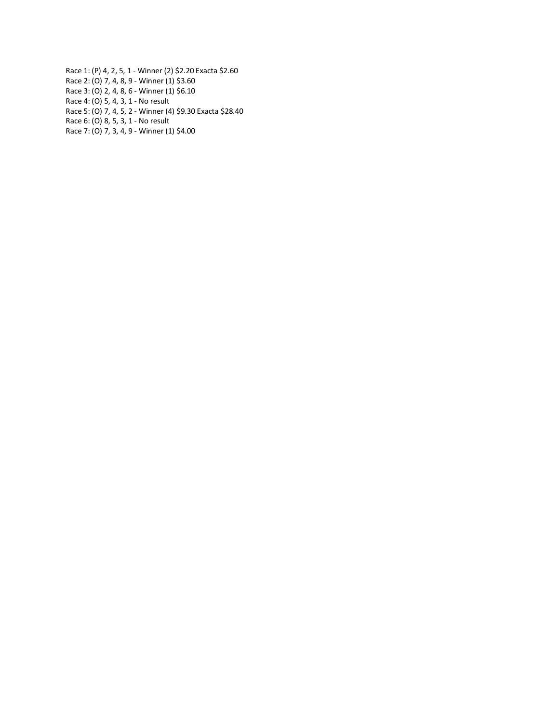Race 1: (P) 4, 2, 5, 1 - Winner (2) \$2.20 Exacta \$2.60 Race 2: (O) 7, 4, 8, 9 - Winner (1) \$3.60 Race 3: (O) 2, 4, 8, 6 - Winner (1) \$6.10 Race 4: (O) 5, 4, 3, 1 - No result Race 5: (O) 7, 4, 5, 2 - Winner (4) \$9.30 Exacta \$28.40 Race 6: (O) 8, 5, 3, 1 - No result Race 7: (O) 7, 3, 4, 9 - Winner (1) \$4.00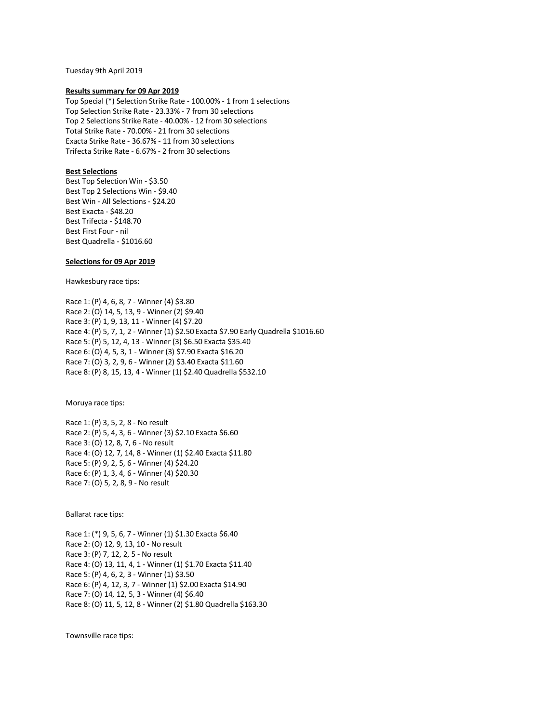Tuesday 9th April 2019

#### **Results summary for 09 Apr 2019**

Top Special (\*) Selection Strike Rate - 100.00% - 1 from 1 selections Top Selection Strike Rate - 23.33% - 7 from 30 selections Top 2 Selections Strike Rate - 40.00% - 12 from 30 selections Total Strike Rate - 70.00% - 21 from 30 selections Exacta Strike Rate - 36.67% - 11 from 30 selections Trifecta Strike Rate - 6.67% - 2 from 30 selections

## **Best Selections**

Best Top Selection Win - \$3.50 Best Top 2 Selections Win - \$9.40 Best Win - All Selections - \$24.20 Best Exacta - \$48.20 Best Trifecta - \$148.70 Best First Four - nil Best Quadrella - \$1016.60

## **Selections for 09 Apr 2019**

Hawkesbury race tips:

Race 1: (P) 4, 6, 8, 7 - Winner (4) \$3.80 Race 2: (O) 14, 5, 13, 9 - Winner (2) \$9.40 Race 3: (P) 1, 9, 13, 11 - Winner (4) \$7.20 Race 4: (P) 5, 7, 1, 2 - Winner (1) \$2.50 Exacta \$7.90 Early Quadrella \$1016.60 Race 5: (P) 5, 12, 4, 13 - Winner (3) \$6.50 Exacta \$35.40 Race 6: (O) 4, 5, 3, 1 - Winner (3) \$7.90 Exacta \$16.20 Race 7: (O) 3, 2, 9, 6 - Winner (2) \$3.40 Exacta \$11.60 Race 8: (P) 8, 15, 13, 4 - Winner (1) \$2.40 Quadrella \$532.10

Moruya race tips:

Race 1: (P) 3, 5, 2, 8 - No result Race 2: (P) 5, 4, 3, 6 - Winner (3) \$2.10 Exacta \$6.60 Race 3: (O) 12, 8, 7, 6 - No result Race 4: (O) 12, 7, 14, 8 - Winner (1) \$2.40 Exacta \$11.80 Race 5: (P) 9, 2, 5, 6 - Winner (4) \$24.20 Race 6: (P) 1, 3, 4, 6 - Winner (4) \$20.30 Race 7: (O) 5, 2, 8, 9 - No result

Ballarat race tips:

Race 1: (\*) 9, 5, 6, 7 - Winner (1) \$1.30 Exacta \$6.40 Race 2: (O) 12, 9, 13, 10 - No result Race 3: (P) 7, 12, 2, 5 - No result Race 4: (O) 13, 11, 4, 1 - Winner (1) \$1.70 Exacta \$11.40 Race 5: (P) 4, 6, 2, 3 - Winner (1) \$3.50 Race 6: (P) 4, 12, 3, 7 - Winner (1) \$2.00 Exacta \$14.90 Race 7: (O) 14, 12, 5, 3 - Winner (4) \$6.40 Race 8: (O) 11, 5, 12, 8 - Winner (2) \$1.80 Quadrella \$163.30

Townsville race tips: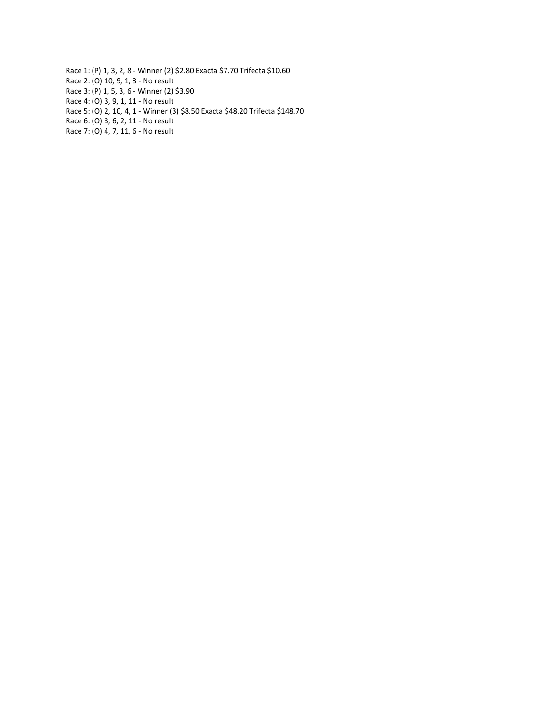Race 1: (P) 1, 3, 2, 8 - Winner (2) \$2.80 Exacta \$7.70 Trifecta \$10.60 Race 2: (O) 10, 9, 1, 3 - No result Race 3: (P) 1, 5, 3, 6 - Winner (2) \$3.90 Race 4: (O) 3, 9, 1, 11 - No result Race 5: (O) 2, 10, 4, 1 - Winner (3) \$8.50 Exacta \$48.20 Trifecta \$148.70 Race 6: (O) 3, 6, 2, 11 - No result Race 7: (O) 4, 7, 11, 6 - No result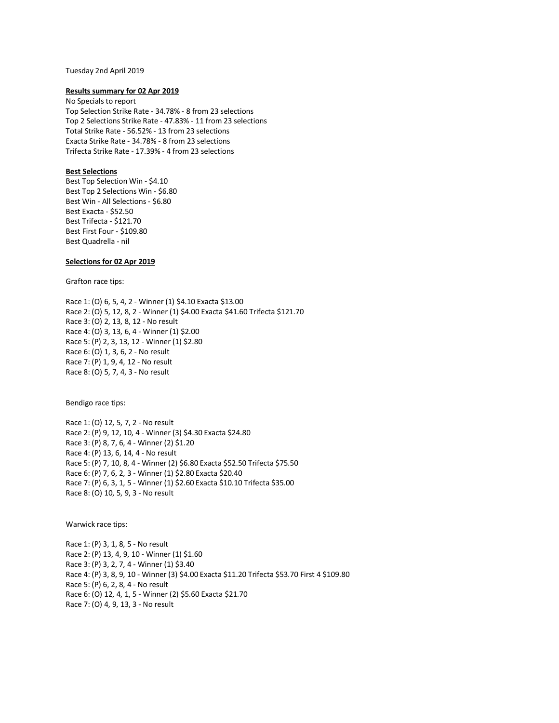#### Tuesday 2nd April 2019

#### **Results summary for 02 Apr 2019**

No Specials to report Top Selection Strike Rate - 34.78% - 8 from 23 selections Top 2 Selections Strike Rate - 47.83% - 11 from 23 selections Total Strike Rate - 56.52% - 13 from 23 selections Exacta Strike Rate - 34.78% - 8 from 23 selections Trifecta Strike Rate - 17.39% - 4 from 23 selections

## **Best Selections**

Best Top Selection Win - \$4.10 Best Top 2 Selections Win - \$6.80 Best Win - All Selections - \$6.80 Best Exacta - \$52.50 Best Trifecta - \$121.70 Best First Four - \$109.80 Best Quadrella - nil

## **Selections for 02 Apr 2019**

Grafton race tips:

Race 1: (O) 6, 5, 4, 2 - Winner (1) \$4.10 Exacta \$13.00 Race 2: (O) 5, 12, 8, 2 - Winner (1) \$4.00 Exacta \$41.60 Trifecta \$121.70 Race 3: (O) 2, 13, 8, 12 - No result Race 4: (O) 3, 13, 6, 4 - Winner (1) \$2.00 Race 5: (P) 2, 3, 13, 12 - Winner (1) \$2.80 Race 6: (O) 1, 3, 6, 2 - No result Race 7: (P) 1, 9, 4, 12 - No result Race 8: (O) 5, 7, 4, 3 - No result

Bendigo race tips:

Race 1: (O) 12, 5, 7, 2 - No result Race 2: (P) 9, 12, 10, 4 - Winner (3) \$4.30 Exacta \$24.80 Race 3: (P) 8, 7, 6, 4 - Winner (2) \$1.20 Race 4: (P) 13, 6, 14, 4 - No result Race 5: (P) 7, 10, 8, 4 - Winner (2) \$6.80 Exacta \$52.50 Trifecta \$75.50 Race 6: (P) 7, 6, 2, 3 - Winner (1) \$2.80 Exacta \$20.40 Race 7: (P) 6, 3, 1, 5 - Winner (1) \$2.60 Exacta \$10.10 Trifecta \$35.00 Race 8: (O) 10, 5, 9, 3 - No result

Warwick race tips:

Race 1: (P) 3, 1, 8, 5 - No result Race 2: (P) 13, 4, 9, 10 - Winner (1) \$1.60 Race 3: (P) 3, 2, 7, 4 - Winner (1) \$3.40 Race 4: (P) 3, 8, 9, 10 - Winner (3) \$4.00 Exacta \$11.20 Trifecta \$53.70 First 4 \$109.80 Race 5: (P) 6, 2, 8, 4 - No result Race 6: (O) 12, 4, 1, 5 - Winner (2) \$5.60 Exacta \$21.70 Race 7: (O) 4, 9, 13, 3 - No result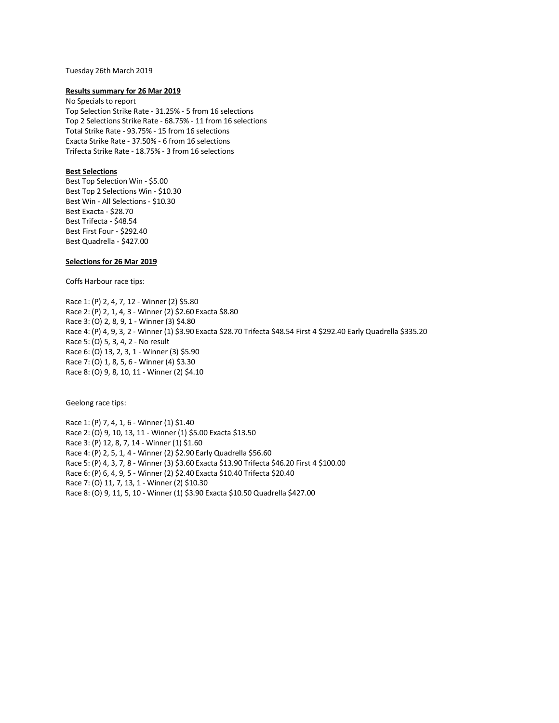#### Tuesday 26th March 2019

#### **Results summary for 26 Mar 2019**

No Specials to report Top Selection Strike Rate - 31.25% - 5 from 16 selections Top 2 Selections Strike Rate - 68.75% - 11 from 16 selections Total Strike Rate - 93.75% - 15 from 16 selections Exacta Strike Rate - 37.50% - 6 from 16 selections Trifecta Strike Rate - 18.75% - 3 from 16 selections

## **Best Selections**

Best Top Selection Win - \$5.00 Best Top 2 Selections Win - \$10.30 Best Win - All Selections - \$10.30 Best Exacta - \$28.70 Best Trifecta - \$48.54 Best First Four - \$292.40 Best Quadrella - \$427.00

## **Selections for 26 Mar 2019**

Coffs Harbour race tips:

Race 1: (P) 2, 4, 7, 12 - Winner (2) \$5.80 Race 2: (P) 2, 1, 4, 3 - Winner (2) \$2.60 Exacta \$8.80 Race 3: (O) 2, 8, 9, 1 - Winner (3) \$4.80 Race 4: (P) 4, 9, 3, 2 - Winner (1) \$3.90 Exacta \$28.70 Trifecta \$48.54 First 4 \$292.40 Early Quadrella \$335.20 Race 5: (O) 5, 3, 4, 2 - No result Race 6: (O) 13, 2, 3, 1 - Winner (3) \$5.90 Race 7: (O) 1, 8, 5, 6 - Winner (4) \$3.30 Race 8: (O) 9, 8, 10, 11 - Winner (2) \$4.10

Geelong race tips:

Race 1: (P) 7, 4, 1, 6 - Winner (1) \$1.40 Race 2: (O) 9, 10, 13, 11 - Winner (1) \$5.00 Exacta \$13.50 Race 3: (P) 12, 8, 7, 14 - Winner (1) \$1.60 Race 4: (P) 2, 5, 1, 4 - Winner (2) \$2.90 Early Quadrella \$56.60 Race 5: (P) 4, 3, 7, 8 - Winner (3) \$3.60 Exacta \$13.90 Trifecta \$46.20 First 4 \$100.00 Race 6: (P) 6, 4, 9, 5 - Winner (2) \$2.40 Exacta \$10.40 Trifecta \$20.40 Race 7: (O) 11, 7, 13, 1 - Winner (2) \$10.30 Race 8: (O) 9, 11, 5, 10 - Winner (1) \$3.90 Exacta \$10.50 Quadrella \$427.00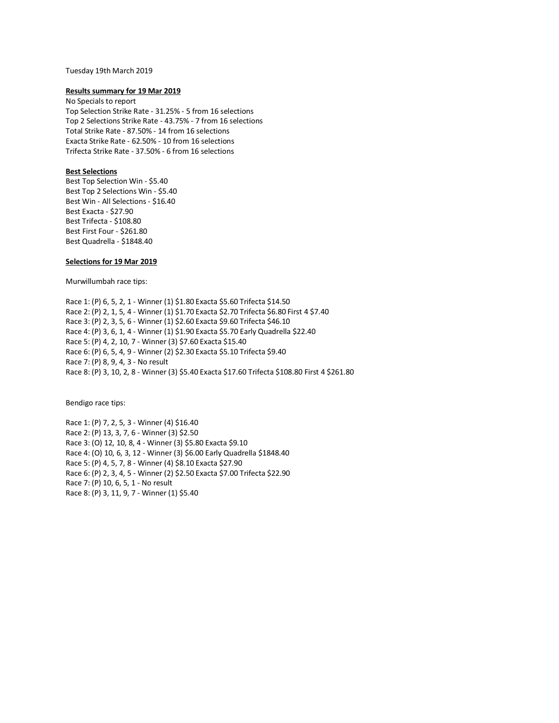## Tuesday 19th March 2019

#### **Results summary for 19 Mar 2019**

No Specials to report Top Selection Strike Rate - 31.25% - 5 from 16 selections Top 2 Selections Strike Rate - 43.75% - 7 from 16 selections Total Strike Rate - 87.50% - 14 from 16 selections Exacta Strike Rate - 62.50% - 10 from 16 selections Trifecta Strike Rate - 37.50% - 6 from 16 selections

## **Best Selections**

Best Top Selection Win - \$5.40 Best Top 2 Selections Win - \$5.40 Best Win - All Selections - \$16.40 Best Exacta - \$27.90 Best Trifecta - \$108.80 Best First Four - \$261.80 Best Quadrella - \$1848.40

### **Selections for 19 Mar 2019**

Murwillumbah race tips:

Race 1: (P) 6, 5, 2, 1 - Winner (1) \$1.80 Exacta \$5.60 Trifecta \$14.50 Race 2: (P) 2, 1, 5, 4 - Winner (1) \$1.70 Exacta \$2.70 Trifecta \$6.80 First 4 \$7.40 Race 3: (P) 2, 3, 5, 6 - Winner (1) \$2.60 Exacta \$9.60 Trifecta \$46.10 Race 4: (P) 3, 6, 1, 4 - Winner (1) \$1.90 Exacta \$5.70 Early Quadrella \$22.40 Race 5: (P) 4, 2, 10, 7 - Winner (3) \$7.60 Exacta \$15.40 Race 6: (P) 6, 5, 4, 9 - Winner (2) \$2.30 Exacta \$5.10 Trifecta \$9.40 Race 7: (P) 8, 9, 4, 3 - No result Race 8: (P) 3, 10, 2, 8 - Winner (3) \$5.40 Exacta \$17.60 Trifecta \$108.80 First 4 \$261.80

Bendigo race tips:

Race 1: (P) 7, 2, 5, 3 - Winner (4) \$16.40 Race 2: (P) 13, 3, 7, 6 - Winner (3) \$2.50 Race 3: (O) 12, 10, 8, 4 - Winner (3) \$5.80 Exacta \$9.10 Race 4: (O) 10, 6, 3, 12 - Winner (3) \$6.00 Early Quadrella \$1848.40 Race 5: (P) 4, 5, 7, 8 - Winner (4) \$8.10 Exacta \$27.90 Race 6: (P) 2, 3, 4, 5 - Winner (2) \$2.50 Exacta \$7.00 Trifecta \$22.90 Race 7: (P) 10, 6, 5, 1 - No result Race 8: (P) 3, 11, 9, 7 - Winner (1) \$5.40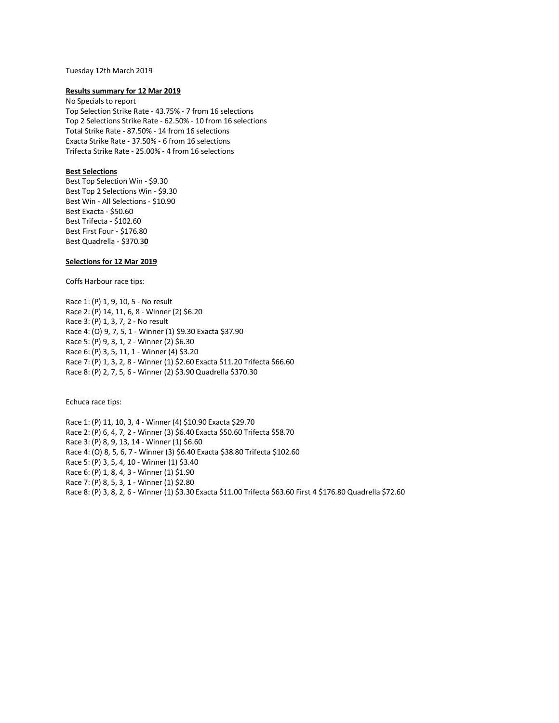#### Tuesday 12th March 2019

#### **Results summary for 12 Mar 2019**

No Specials to report Top Selection Strike Rate - 43.75% - 7 from 16 selections Top 2 Selections Strike Rate - 62.50% - 10 from 16 selections Total Strike Rate - 87.50% - 14 from 16 selections Exacta Strike Rate - 37.50% - 6 from 16 selections Trifecta Strike Rate - 25.00% - 4 from 16 selections

## **Best Selections**

Best Top Selection Win - \$9.30 Best Top 2 Selections Win - \$9.30 Best Win - All Selections - \$10.90 Best Exacta - \$50.60 Best Trifecta - \$102.60 Best First Four - \$176.80 Best Quadrella - \$370.3**0**

## **Selections for 12 Mar 2019**

Coffs Harbour race tips:

Race 1: (P) 1, 9, 10, 5 - No result Race 2: (P) 14, 11, 6, 8 - Winner (2) \$6.20 Race 3: (P) 1, 3, 7, 2 - No result Race 4: (O) 9, 7, 5, 1 - Winner (1) \$9.30 Exacta \$37.90 Race 5: (P) 9, 3, 1, 2 - Winner (2) \$6.30 Race 6: (P) 3, 5, 11, 1 - Winner (4) \$3.20 Race 7: (P) 1, 3, 2, 8 - Winner (1) \$2.60 Exacta \$11.20 Trifecta \$66.60 Race 8: (P) 2, 7, 5, 6 - Winner (2) \$3.90 Quadrella \$370.30

Echuca race tips:

Race 1: (P) 11, 10, 3, 4 - Winner (4) \$10.90 Exacta \$29.70 Race 2: (P) 6, 4, 7, 2 - Winner (3) \$6.40 Exacta \$50.60 Trifecta \$58.70 Race 3: (P) 8, 9, 13, 14 - Winner (1) \$6.60 Race 4: (O) 8, 5, 6, 7 - Winner (3) \$6.40 Exacta \$38.80 Trifecta \$102.60 Race 5: (P) 3, 5, 4, 10 - Winner (1) \$3.40 Race 6: (P) 1, 8, 4, 3 - Winner (1) \$1.90 Race 7: (P) 8, 5, 3, 1 - Winner (1) \$2.80 Race 8: (P) 3, 8, 2, 6 - Winner (1) \$3.30 Exacta \$11.00 Trifecta \$63.60 First 4 \$176.80 Quadrella \$72.60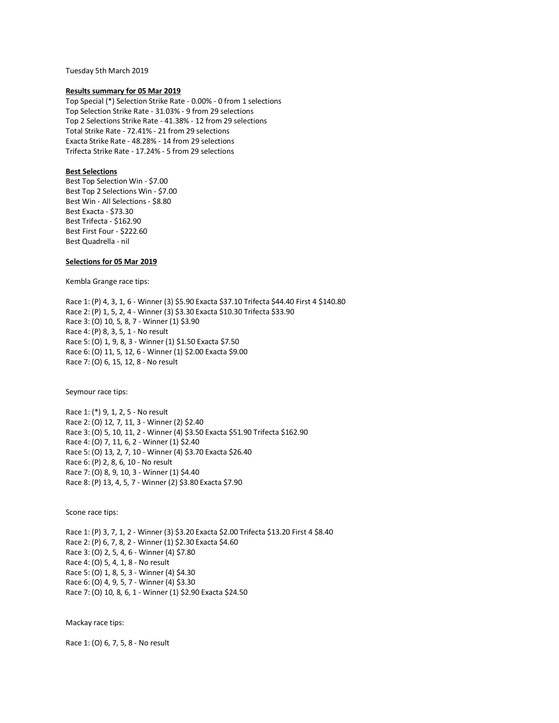Tuesday 5th March 2019

#### **Results summary for 05 Mar 2019**

Top Special (\*) Selection Strike Rate - 0.00% - 0 from 1 selections Top Selection Strike Rate - 31.03% - 9 from 29 selections Top 2 Selections Strike Rate - 41.38% - 12 from 29 selections Total Strike Rate - 72.41% - 21 from 29 selections Exacta Strike Rate - 48.28% - 14 from 29 selections Trifecta Strike Rate - 17.24% - 5 from 29 selections

## **Best Selections**

Best Top Selection Win - \$7.00 Best Top 2 Selections Win - \$7.00 Best Win - All Selections - \$8.80 Best Exacta - \$73.30 Best Trifecta - \$162.90 Best First Four - \$222.60 Best Quadrella - nil

### **Selections for 05 Mar 2019**

Kembla Grange race tips:

Race 1: (P) 4, 3, 1, 6 - Winner (3) \$5.90 Exacta \$37.10 Trifecta \$44.40 First 4 \$140.80 Race 2: (P) 1, 5, 2, 4 - Winner (3) \$3.30 Exacta \$10.30 Trifecta \$33.90 Race 3: (O) 10, 5, 8, 7 - Winner (1) \$3.90 Race 4: (P) 8, 3, 5, 1 - No result Race 5: (O) 1, 9, 8, 3 - Winner (1) \$1.50 Exacta \$7.50 Race 6: (O) 11, 5, 12, 6 - Winner (1) \$2.00 Exacta \$9.00 Race 7: (O) 6, 15, 12, 8 - No result

Seymour race tips:

Race 1: (\*) 9, 1, 2, 5 - No result Race 2: (O) 12, 7, 11, 3 - Winner (2) \$2.40 Race 3: (O) 5, 10, 11, 2 - Winner (4) \$3.50 Exacta \$51.90 Trifecta \$162.90 Race 4: (O) 7, 11, 6, 2 - Winner (1) \$2.40 Race 5: (O) 13, 2, 7, 10 - Winner (4) \$3.70 Exacta \$26.40 Race 6: (P) 2, 8, 6, 10 - No result Race 7: (O) 8, 9, 10, 3 - Winner (1) \$4.40 Race 8: (P) 13, 4, 5, 7 - Winner (2) \$3.80 Exacta \$7.90

Scone race tips:

Race 1: (P) 3, 7, 1, 2 - Winner (3) \$3.20 Exacta \$2.00 Trifecta \$13.20 First 4 \$8.40 Race 2: (P) 6, 7, 8, 2 - Winner (1) \$2.30 Exacta \$4.60 Race 3: (O) 2, 5, 4, 6 - Winner (4) \$7.80 Race 4: (O) 5, 4, 1, 8 - No result Race 5: (O) 1, 8, 5, 3 - Winner (4) \$4.30 Race 6: (O) 4, 9, 5, 7 - Winner (4) \$3.30 Race 7: (O) 10, 8, 6, 1 - Winner (1) \$2.90 Exacta \$24.50

Mackay race tips:

Race 1: (O) 6, 7, 5, 8 - No result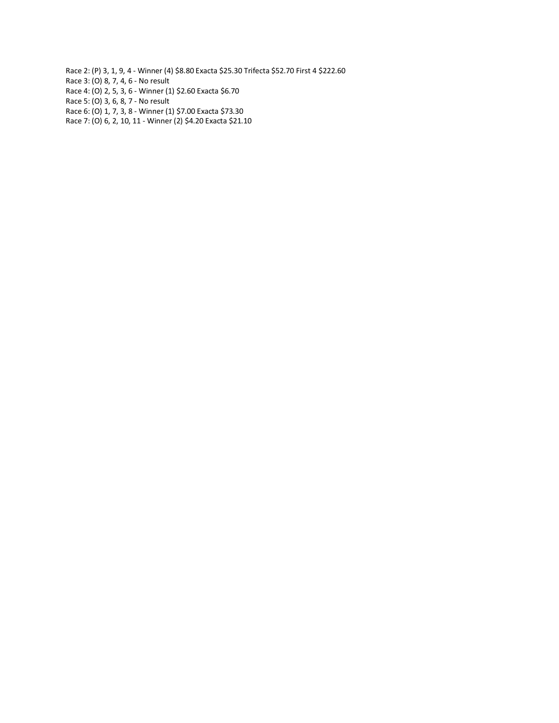- Race 2: (P) 3, 1, 9, 4 Winner (4) \$8.80 Exacta \$25.30 Trifecta \$52.70 First 4 \$222.60 Race 3: (O) 8, 7, 4, 6 - No result Race 4: (O) 2, 5, 3, 6 - Winner (1) \$2.60 Exacta \$6.70 Race 5: (O) 3, 6, 8, 7 - No result Race 6: (O) 1, 7, 3, 8 - Winner (1) \$7.00 Exacta \$73.30
- Race 7: (O) 6, 2, 10, 11 Winner (2) \$4.20 Exacta \$21.10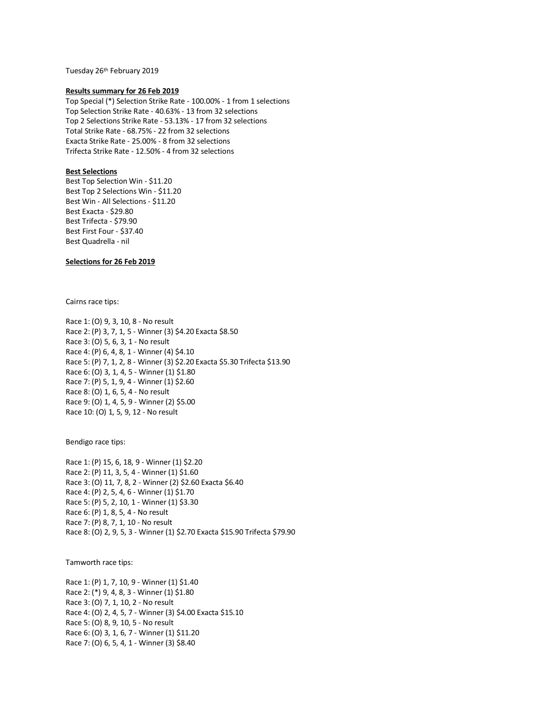Tuesday 26th February 2019

#### **Results summary for 26 Feb 2019**

Top Special (\*) Selection Strike Rate - 100.00% - 1 from 1 selections Top Selection Strike Rate - 40.63% - 13 from 32 selections Top 2 Selections Strike Rate - 53.13% - 17 from 32 selections Total Strike Rate - 68.75% - 22 from 32 selections Exacta Strike Rate - 25.00% - 8 from 32 selections Trifecta Strike Rate - 12.50% - 4 from 32 selections

## **Best Selections**

Best Top Selection Win - \$11.20 Best Top 2 Selections Win - \$11.20 Best Win - All Selections - \$11.20 Best Exacta - \$29.80 Best Trifecta - \$79.90 Best First Four - \$37.40 Best Quadrella - nil

# **Selections for 26 Feb 2019**

Cairns race tips:

Race 1: (O) 9, 3, 10, 8 - No result Race 2: (P) 3, 7, 1, 5 - Winner (3) \$4.20 Exacta \$8.50 Race 3: (O) 5, 6, 3, 1 - No result Race 4: (P) 6, 4, 8, 1 - Winner (4) \$4.10 Race 5: (P) 7, 1, 2, 8 - Winner (3) \$2.20 Exacta \$5.30 Trifecta \$13.90 Race 6: (O) 3, 1, 4, 5 - Winner (1) \$1.80 Race 7: (P) 5, 1, 9, 4 - Winner (1) \$2.60 Race 8: (O) 1, 6, 5, 4 - No result Race 9: (O) 1, 4, 5, 9 - Winner (2) \$5.00 Race 10: (O) 1, 5, 9, 12 - No result

Bendigo race tips:

Race 1: (P) 15, 6, 18, 9 - Winner (1) \$2.20 Race 2: (P) 11, 3, 5, 4 - Winner (1) \$1.60 Race 3: (O) 11, 7, 8, 2 - Winner (2) \$2.60 Exacta \$6.40 Race 4: (P) 2, 5, 4, 6 - Winner (1) \$1.70 Race 5: (P) 5, 2, 10, 1 - Winner (1) \$3.30 Race 6: (P) 1, 8, 5, 4 - No result Race 7: (P) 8, 7, 1, 10 - No result Race 8: (O) 2, 9, 5, 3 - Winner (1) \$2.70 Exacta \$15.90 Trifecta \$79.90

Tamworth race tips:

Race 1: (P) 1, 7, 10, 9 - Winner (1) \$1.40 Race 2: (\*) 9, 4, 8, 3 - Winner (1) \$1.80 Race 3: (O) 7, 1, 10, 2 - No result Race 4: (O) 2, 4, 5, 7 - Winner (3) \$4.00 Exacta \$15.10 Race 5: (O) 8, 9, 10, 5 - No result Race 6: (O) 3, 1, 6, 7 - Winner (1) \$11.20 Race 7: (O) 6, 5, 4, 1 - Winner (3) \$8.40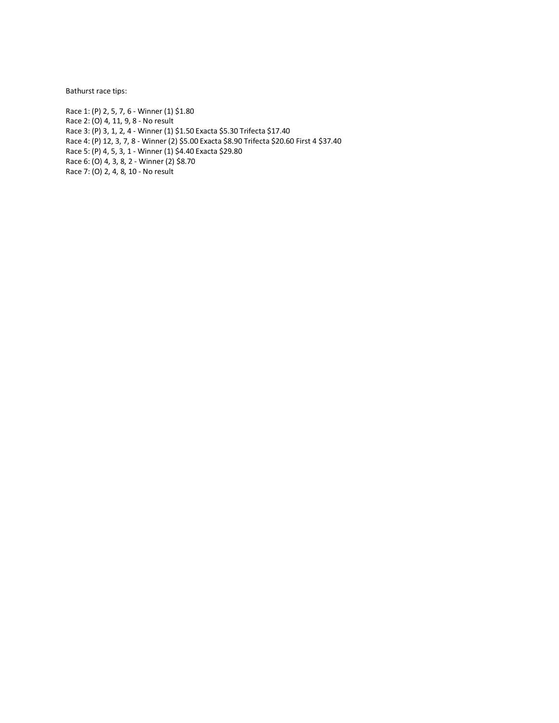Bathurst race tips:

Race 1: (P) 2, 5, 7, 6 - Winner (1) \$1.80 Race 2: (O) 4, 11, 9, 8 - No result Race 3: (P) 3, 1, 2, 4 - Winner (1) \$1.50 Exacta \$5.30 Trifecta \$17.40 Race 4: (P) 12, 3, 7, 8 - Winner (2) \$5.00 Exacta \$8.90 Trifecta \$20.60 First 4 \$37.40 Race 5: (P) 4, 5, 3, 1 - Winner (1) \$4.40 Exacta \$29.80 Race 6: (O) 4, 3, 8, 2 - Winner (2) \$8.70 Race 7: (O) 2, 4, 8, 10 - No result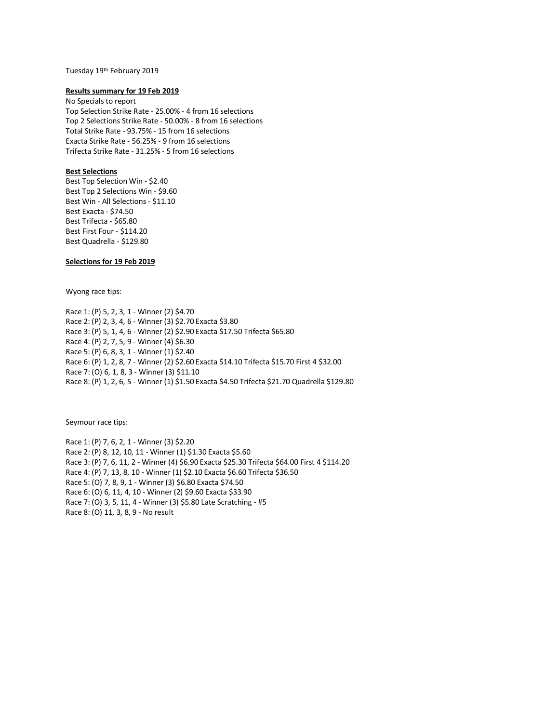# Tuesday 19th February 2019

#### **Results summary for 19 Feb 2019**

No Specials to report Top Selection Strike Rate - 25.00% - 4 from 16 selections Top 2 Selections Strike Rate - 50.00% - 8 from 16 selections Total Strike Rate - 93.75% - 15 from 16 selections Exacta Strike Rate - 56.25% - 9 from 16 selections Trifecta Strike Rate - 31.25% - 5 from 16 selections

### **Best Selections**

Best Top Selection Win - \$2.40 Best Top 2 Selections Win - \$9.60 Best Win - All Selections - \$11.10 Best Exacta - \$74.50 Best Trifecta - \$65.80 Best First Four - \$114.20 Best Quadrella - \$129.80

# **Selections for 19 Feb 2019**

Wyong race tips:

Race 1: (P) 5, 2, 3, 1 - Winner (2) \$4.70 Race 2: (P) 2, 3, 4, 6 - Winner (3) \$2.70 Exacta \$3.80 Race 3: (P) 5, 1, 4, 6 - Winner (2) \$2.90 Exacta \$17.50 Trifecta \$65.80 Race 4: (P) 2, 7, 5, 9 - Winner (4) \$6.30 Race 5: (P) 6, 8, 3, 1 - Winner (1) \$2.40 Race 6: (P) 1, 2, 8, 7 - Winner (2) \$2.60 Exacta \$14.10 Trifecta \$15.70 First 4 \$32.00 Race 7: (O) 6, 1, 8, 3 - Winner (3) \$11.10 Race 8: (P) 1, 2, 6, 5 - Winner (1) \$1.50 Exacta \$4.50 Trifecta \$21.70 Quadrella \$129.80

Seymour race tips:

Race 1: (P) 7, 6, 2, 1 - Winner (3) \$2.20 Race 2: (P) 8, 12, 10, 11 - Winner (1) \$1.30 Exacta \$5.60 Race 3: (P) 7, 6, 11, 2 - Winner (4) \$6.90 Exacta \$25.30 Trifecta \$64.00 First 4 \$114.20 Race 4: (P) 7, 13, 8, 10 - Winner (1) \$2.10 Exacta \$6.60 Trifecta \$36.50 Race 5: (O) 7, 8, 9, 1 - Winner (3) \$6.80 Exacta \$74.50 Race 6: (O) 6, 11, 4, 10 - Winner (2) \$9.60 Exacta \$33.90 Race 7: (O) 3, 5, 11, 4 - Winner (3) \$5.80 Late Scratching - #5 Race 8: (O) 11, 3, 8, 9 - No result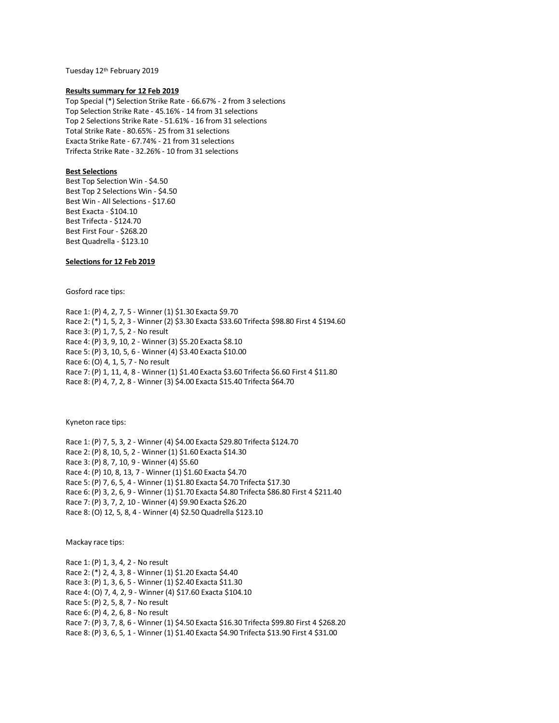Tuesday 12th February 2019

#### **Results summary for 12 Feb 2019**

Top Special (\*) Selection Strike Rate - 66.67% - 2 from 3 selections Top Selection Strike Rate - 45.16% - 14 from 31 selections Top 2 Selections Strike Rate - 51.61% - 16 from 31 selections Total Strike Rate - 80.65% - 25 from 31 selections Exacta Strike Rate - 67.74% - 21 from 31 selections Trifecta Strike Rate - 32.26% - 10 from 31 selections

## **Best Selections**

Best Top Selection Win - \$4.50 Best Top 2 Selections Win - \$4.50 Best Win - All Selections - \$17.60 Best Exacta - \$104.10 Best Trifecta - \$124.70 Best First Four - \$268.20 Best Quadrella - \$123.10

## **Selections for 12 Feb 2019**

Gosford race tips:

Race 1: (P) 4, 2, 7, 5 - Winner (1) \$1.30 Exacta \$9.70 Race 2: (\*) 1, 5, 2, 3 - Winner (2) \$3.30 Exacta \$33.60 Trifecta \$98.80 First 4 \$194.60 Race 3: (P) 1, 7, 5, 2 - No result Race 4: (P) 3, 9, 10, 2 - Winner (3) \$5.20 Exacta \$8.10 Race 5: (P) 3, 10, 5, 6 - Winner (4) \$3.40 Exacta \$10.00 Race 6: (O) 4, 1, 5, 7 - No result Race 7: (P) 1, 11, 4, 8 - Winner (1) \$1.40 Exacta \$3.60 Trifecta \$6.60 First 4 \$11.80 Race 8: (P) 4, 7, 2, 8 - Winner (3) \$4.00 Exacta \$15.40 Trifecta \$64.70

Kyneton race tips:

Race 1: (P) 7, 5, 3, 2 - Winner (4) \$4.00 Exacta \$29.80 Trifecta \$124.70 Race 2: (P) 8, 10, 5, 2 - Winner (1) \$1.60 Exacta \$14.30 Race 3: (P) 8, 7, 10, 9 - Winner (4) \$5.60 Race 4: (P) 10, 8, 13, 7 - Winner (1) \$1.60 Exacta \$4.70 Race 5: (P) 7, 6, 5, 4 - Winner (1) \$1.80 Exacta \$4.70 Trifecta \$17.30 Race 6: (P) 3, 2, 6, 9 - Winner (1) \$1.70 Exacta \$4.80 Trifecta \$86.80 First 4 \$211.40 Race 7: (P) 3, 7, 2, 10 - Winner (4) \$9.90 Exacta \$26.20 Race 8: (O) 12, 5, 8, 4 - Winner (4) \$2.50 Quadrella \$123.10

Mackay race tips:

Race 1: (P) 1, 3, 4, 2 - No result Race 2: (\*) 2, 4, 3, 8 - Winner (1) \$1.20 Exacta \$4.40 Race 3: (P) 1, 3, 6, 5 - Winner (1) \$2.40 Exacta \$11.30 Race 4: (O) 7, 4, 2, 9 - Winner (4) \$17.60 Exacta \$104.10 Race 5: (P) 2, 5, 8, 7 - No result Race 6: (P) 4, 2, 6, 8 - No result Race 7: (P) 3, 7, 8, 6 - Winner (1) \$4.50 Exacta \$16.30 Trifecta \$99.80 First 4 \$268.20 Race 8: (P) 3, 6, 5, 1 - Winner (1) \$1.40 Exacta \$4.90 Trifecta \$13.90 First 4 \$31.00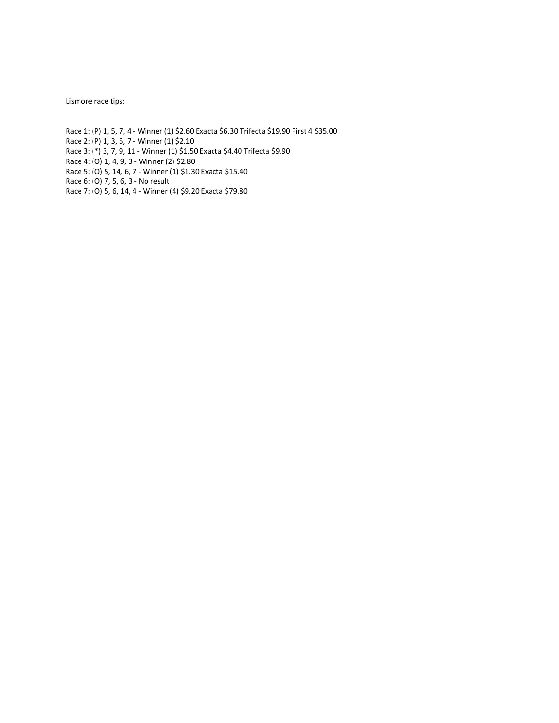Lismore race tips:

Race 1: (P) 1, 5, 7, 4 - Winner (1) \$2.60 Exacta \$6.30 Trifecta \$19.90 First 4 \$35.00 Race 2: (P) 1, 3, 5, 7 - Winner (1) \$2.10 Race 3: (\*) 3, 7, 9, 11 - Winner (1) \$1.50 Exacta \$4.40 Trifecta \$9.90 Race 4: (O) 1, 4, 9, 3 - Winner (2) \$2.80 Race 5: (O) 5, 14, 6, 7 - Winner (1) \$1.30 Exacta \$15.40 Race 6: (O) 7, 5, 6, 3 - No result Race 7: (O) 5, 6, 14, 4 - Winner (4) \$9.20 Exacta \$79.80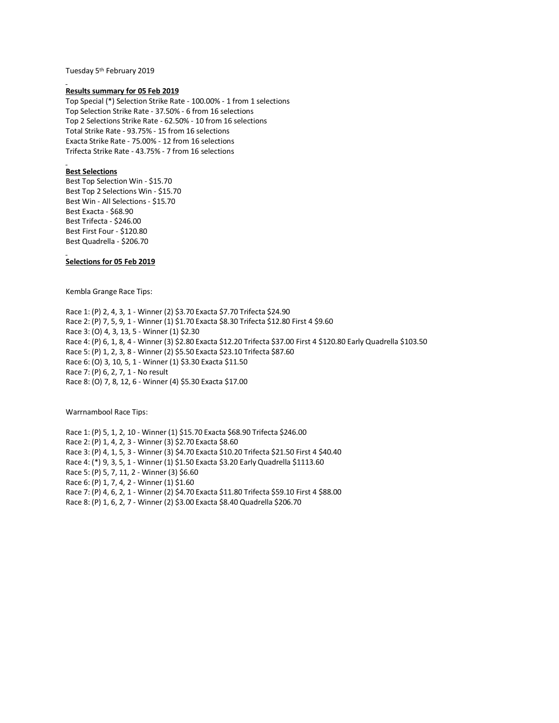Tuesday 5th February 2019

#### **Results summary for 05 Feb 2019**

Top Special (\*) Selection Strike Rate - 100.00% - 1 from 1 selections Top Selection Strike Rate - 37.50% - 6 from 16 selections Top 2 Selections Strike Rate - 62.50% - 10 from 16 selections Total Strike Rate - 93.75% - 15 from 16 selections Exacta Strike Rate - 75.00% - 12 from 16 selections Trifecta Strike Rate - 43.75% - 7 from 16 selections

## **Best Selections**

Best Top Selection Win - \$15.70 Best Top 2 Selections Win - \$15.70 Best Win - All Selections - \$15.70 Best Exacta - \$68.90 Best Trifecta - \$246.00 Best First Four - \$120.80 Best Quadrella - \$206.70

## **Selections for 05 Feb 2019**

Kembla Grange Race Tips:

Race 1: (P) 2, 4, 3, 1 - Winner (2) \$3.70 Exacta \$7.70 Trifecta \$24.90 Race 2: (P) 7, 5, 9, 1 - Winner (1) \$1.70 Exacta \$8.30 Trifecta \$12.80 First 4 \$9.60 Race 3: (O) 4, 3, 13, 5 - Winner (1) \$2.30 Race 4: (P) 6, 1, 8, 4 - Winner (3) \$2.80 Exacta \$12.20 Trifecta \$37.00 First 4 \$120.80 Early Quadrella \$103.50 Race 5: (P) 1, 2, 3, 8 - Winner (2) \$5.50 Exacta \$23.10 Trifecta \$87.60 Race 6: (O) 3, 10, 5, 1 - Winner (1) \$3.30 Exacta \$11.50 Race 7: (P) 6, 2, 7, 1 - No result Race 8: (O) 7, 8, 12, 6 - Winner (4) \$5.30 Exacta \$17.00

Warrnambool Race Tips:

Race 1: (P) 5, 1, 2, 10 - Winner (1) \$15.70 Exacta \$68.90 Trifecta \$246.00 Race 2: (P) 1, 4, 2, 3 - Winner (3) \$2.70 Exacta \$8.60 Race 3: (P) 4, 1, 5, 3 - Winner (3) \$4.70 Exacta \$10.20 Trifecta \$21.50 First 4 \$40.40 Race 4: (\*) 9, 3, 5, 1 - Winner (1) \$1.50 Exacta \$3.20 Early Quadrella \$1113.60 Race 5: (P) 5, 7, 11, 2 - Winner (3) \$6.60 Race 6: (P) 1, 7, 4, 2 - Winner (1) \$1.60 Race 7: (P) 4, 6, 2, 1 - Winner (2) \$4.70 Exacta \$11.80 Trifecta \$59.10 First 4 \$88.00 Race 8: (P) 1, 6, 2, 7 - Winner (2) \$3.00 Exacta \$8.40 Quadrella \$206.70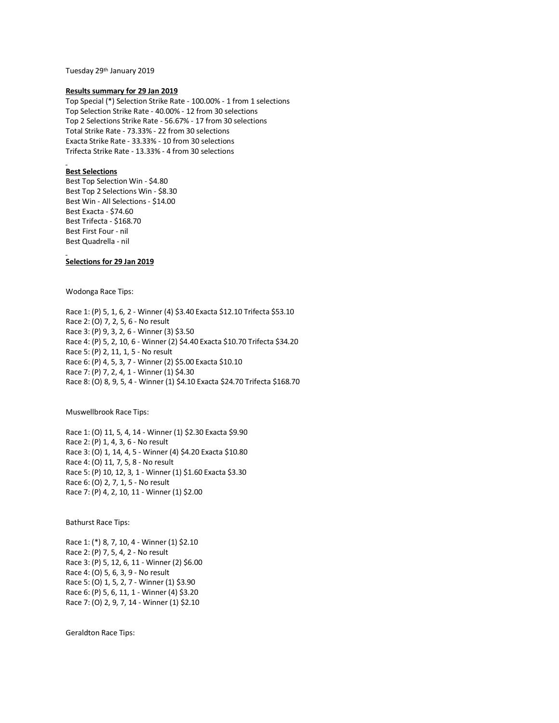Tuesday 29th January 2019

#### **Results summary for 29 Jan 2019**

Top Special (\*) Selection Strike Rate - 100.00% - 1 from 1 selections Top Selection Strike Rate - 40.00% - 12 from 30 selections Top 2 Selections Strike Rate - 56.67% - 17 from 30 selections Total Strike Rate - 73.33% - 22 from 30 selections Exacta Strike Rate - 33.33% - 10 from 30 selections Trifecta Strike Rate - 13.33% - 4 from 30 selections

## **Best Selections**

Best Top Selection Win - \$4.80 Best Top 2 Selections Win - \$8.30 Best Win - All Selections - \$14.00 Best Exacta - \$74.60 Best Trifecta - \$168.70 Best First Four - nil Best Quadrella - nil

# **Selections for 29 Jan 2019**

Wodonga Race Tips:

Race 1: (P) 5, 1, 6, 2 - Winner (4) \$3.40 Exacta \$12.10 Trifecta \$53.10 Race 2: (O) 7, 2, 5, 6 - No result Race 3: (P) 9, 3, 2, 6 - Winner (3) \$3.50 Race 4: (P) 5, 2, 10, 6 - Winner (2) \$4.40 Exacta \$10.70 Trifecta \$34.20 Race 5: (P) 2, 11, 1, 5 - No result Race 6: (P) 4, 5, 3, 7 - Winner (2) \$5.00 Exacta \$10.10 Race 7: (P) 7, 2, 4, 1 - Winner (1) \$4.30 Race 8: (O) 8, 9, 5, 4 - Winner (1) \$4.10 Exacta \$24.70 Trifecta \$168.70

Muswellbrook Race Tips:

Race 1: (O) 11, 5, 4, 14 - Winner (1) \$2.30 Exacta \$9.90 Race 2: (P) 1, 4, 3, 6 - No result Race 3: (O) 1, 14, 4, 5 - Winner (4) \$4.20 Exacta \$10.80 Race 4: (O) 11, 7, 5, 8 - No result Race 5: (P) 10, 12, 3, 1 - Winner (1) \$1.60 Exacta \$3.30 Race 6: (O) 2, 7, 1, 5 - No result Race 7: (P) 4, 2, 10, 11 - Winner (1) \$2.00

Bathurst Race Tips:

Race 1: (\*) 8, 7, 10, 4 - Winner (1) \$2.10 Race 2: (P) 7, 5, 4, 2 - No result Race 3: (P) 5, 12, 6, 11 - Winner (2) \$6.00 Race 4: (O) 5, 6, 3, 9 - No result Race 5: (O) 1, 5, 2, 7 - Winner (1) \$3.90 Race 6: (P) 5, 6, 11, 1 - Winner (4) \$3.20 Race 7: (O) 2, 9, 7, 14 - Winner (1) \$2.10

Geraldton Race Tips: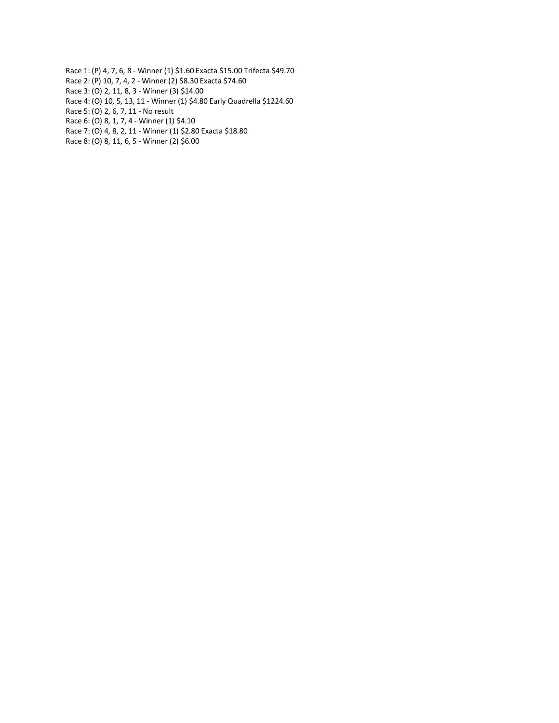Race 1: (P) 4, 7, 6, 8 - Winner (1) \$1.60 Exacta \$15.00 Trifecta \$49.70 Race 2: (P) 10, 7, 4, 2 - Winner (2) \$8.30 Exacta \$74.60 Race 3: (O) 2, 11, 8, 3 - Winner (3) \$14.00 Race 4: (O) 10, 5, 13, 11 - Winner (1) \$4.80 Early Quadrella \$1224.60 Race 5: (O) 2, 6, 7, 11 - No result Race 6: (O) 8, 1, 7, 4 - Winner (1) \$4.10 Race 7: (O) 4, 8, 2, 11 - Winner (1) \$2.80 Exacta \$18.80 Race 8: (O) 8, 11, 6, 5 - Winner (2) \$6.00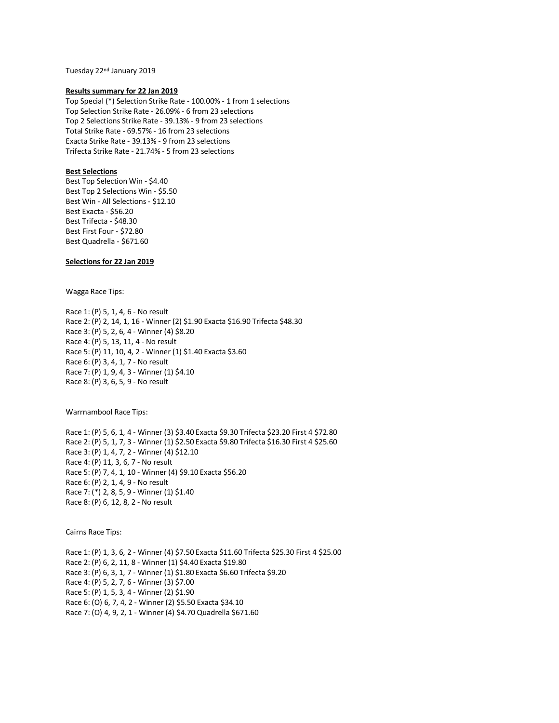Tuesday 22nd January 2019

#### **Results summary for 22 Jan 2019**

Top Special (\*) Selection Strike Rate - 100.00% - 1 from 1 selections Top Selection Strike Rate - 26.09% - 6 from 23 selections Top 2 Selections Strike Rate - 39.13% - 9 from 23 selections Total Strike Rate - 69.57% - 16 from 23 selections Exacta Strike Rate - 39.13% - 9 from 23 selections Trifecta Strike Rate - 21.74% - 5 from 23 selections

## **Best Selections**

Best Top Selection Win - \$4.40 Best Top 2 Selections Win - \$5.50 Best Win - All Selections - \$12.10 Best Exacta - \$56.20 Best Trifecta - \$48.30 Best First Four - \$72.80 Best Quadrella - \$671.60

## **Selections for 22 Jan 2019**

Wagga Race Tips:

Race 1: (P) 5, 1, 4, 6 - No result Race 2: (P) 2, 14, 1, 16 - Winner (2) \$1.90 Exacta \$16.90 Trifecta \$48.30 Race 3: (P) 5, 2, 6, 4 - Winner (4) \$8.20 Race 4: (P) 5, 13, 11, 4 - No result Race 5: (P) 11, 10, 4, 2 - Winner (1) \$1.40 Exacta \$3.60 Race 6: (P) 3, 4, 1, 7 - No result Race 7: (P) 1, 9, 4, 3 - Winner (1) \$4.10 Race 8: (P) 3, 6, 5, 9 - No result

Warrnambool Race Tips:

Race 1: (P) 5, 6, 1, 4 - Winner (3) \$3.40 Exacta \$9.30 Trifecta \$23.20 First 4 \$72.80 Race 2: (P) 5, 1, 7, 3 - Winner (1) \$2.50 Exacta \$9.80 Trifecta \$16.30 First 4 \$25.60 Race 3: (P) 1, 4, 7, 2 - Winner (4) \$12.10 Race 4: (P) 11, 3, 6, 7 - No result Race 5: (P) 7, 4, 1, 10 - Winner (4) \$9.10 Exacta \$56.20 Race 6: (P) 2, 1, 4, 9 - No result Race 7: (\*) 2, 8, 5, 9 - Winner (1) \$1.40 Race 8: (P) 6, 12, 8, 2 - No result

Cairns Race Tips:

Race 1: (P) 1, 3, 6, 2 - Winner (4) \$7.50 Exacta \$11.60 Trifecta \$25.30 First 4 \$25.00 Race 2: (P) 6, 2, 11, 8 - Winner (1) \$4.40 Exacta \$19.80 Race 3: (P) 6, 3, 1, 7 - Winner (1) \$1.80 Exacta \$6.60 Trifecta \$9.20 Race 4: (P) 5, 2, 7, 6 - Winner (3) \$7.00 Race 5: (P) 1, 5, 3, 4 - Winner (2) \$1.90 Race 6: (O) 6, 7, 4, 2 - Winner (2) \$5.50 Exacta \$34.10 Race 7: (O) 4, 9, 2, 1 - Winner (4) \$4.70 Quadrella \$671.60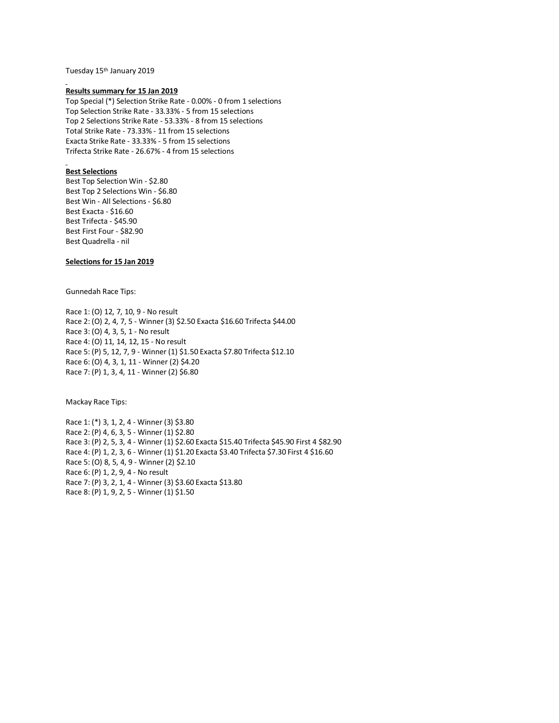Tuesday 15 th January 2019

#### **Results summary for 15 Jan 2019**

Top Special (\*) Selection Strike Rate - 0.00% - 0 from 1 selections Top Selection Strike Rate - 33.33% - 5 from 15 selections Top 2 Selections Strike Rate - 53.33% - 8 from 15 selections Total Strike Rate - 73.33% - 11 from 15 selections Exacta Strike Rate - 33.33% - 5 from 15 selections Trifecta Strike Rate - 26.67% - 4 from 15 selections

## **Best Selections**

Best Top Selection Win - \$2.80 Best Top 2 Selections Win - \$6.80 Best Win - All Selections - \$6.80 Best Exacta - \$16.60 Best Trifecta - \$45.90 Best First Four - \$82.90 Best Quadrella - nil

# **Selections for 15 Jan 2019**

Gunnedah Race Tips:

Race 1: (O) 12, 7, 10, 9 - No result Race 2: (O) 2, 4, 7, 5 - Winner (3) \$2.50 Exacta \$16.60 Trifecta \$44.00 Race 3: (O) 4, 3, 5, 1 - No result Race 4: (O) 11, 14, 12, 15 - No result Race 5: (P) 5, 12, 7, 9 - Winner (1) \$1.50 Exacta \$7.80 Trifecta \$12.10 Race 6: (O) 4, 3, 1, 11 - Winner (2) \$4.20 Race 7: (P) 1, 3, 4, 11 - Winner (2) \$6.80

Mackay Race Tips:

Race 1: (\*) 3, 1, 2, 4 - Winner (3) \$3.80 Race 2: (P) 4, 6, 3, 5 - Winner (1) \$2.80 Race 3: (P) 2, 5, 3, 4 - Winner (1) \$2.60 Exacta \$15.40 Trifecta \$45.90 First 4 \$82.90 Race 4: (P) 1, 2, 3, 6 - Winner (1) \$1.20 Exacta \$3.40 Trifecta \$7.30 First 4 \$16.60 Race 5: (O) 8, 5, 4, 9 - Winner (2) \$2.10 Race 6: (P) 1, 2, 9, 4 - No result Race 7: (P) 3, 2, 1, 4 - Winner (3) \$3.60 Exacta \$13.80 Race 8: (P) 1, 9, 2, 5 - Winner (1) \$1.50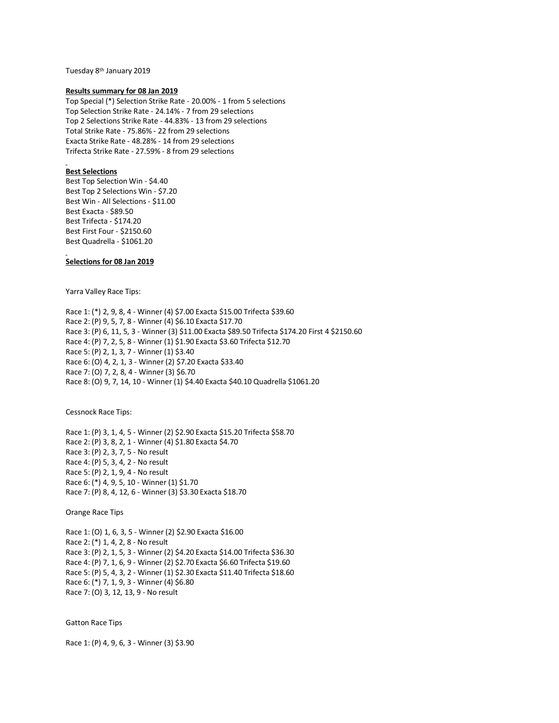Tuesday 8th January 2019

#### **Results summary for 08 Jan 2019**

Top Special (\*) Selection Strike Rate - 20.00% - 1 from 5 selections Top Selection Strike Rate - 24.14% - 7 from 29 selections Top 2 Selections Strike Rate - 44.83% - 13 from 29 selections Total Strike Rate - 75.86% - 22 from 29 selections Exacta Strike Rate - 48.28% - 14 from 29 selections Trifecta Strike Rate - 27.59% - 8 from 29 selections

#### **Best Selections**

Best Top Selection Win - \$4.40 Best Top 2 Selections Win - \$7.20 Best Win - All Selections - \$11.00 Best Exacta - \$89.50 Best Trifecta - \$174.20 Best First Four - \$2150.60 Best Quadrella - \$1061.20

**Selections for 08 Jan 2019**

Yarra Valley Race Tips:

Race 1: (\*) 2, 9, 8, 4 - Winner (4) \$7.00 Exacta \$15.00 Trifecta \$39.60 Race 2: (P) 9, 5, 7, 8 - Winner (4) \$6.10 Exacta \$17.70 Race 3: (P) 6, 11, 5, 3 - Winner (3) \$11.00 Exacta \$89.50 Trifecta \$174.20 First 4 \$2150.60 Race 4: (P) 7, 2, 5, 8 - Winner (1) \$1.90 Exacta \$3.60 Trifecta \$12.70 Race 5: (P) 2, 1, 3, 7 - Winner (1) \$3.40 Race 6: (O) 4, 2, 1, 3 - Winner (2) \$7.20 Exacta \$33.40 Race 7: (O) 7, 2, 8, 4 - Winner (3) \$6.70 Race 8: (O) 9, 7, 14, 10 - Winner (1) \$4.40 Exacta \$40.10 Quadrella \$1061.20

Cessnock Race Tips:

Race 1: (P) 3, 1, 4, 5 - Winner (2) \$2.90 Exacta \$15.20 Trifecta \$58.70 Race 2: (P) 3, 8, 2, 1 - Winner (4) \$1.80 Exacta \$4.70 Race 3: (P) 2, 3, 7, 5 - No result Race 4: (P) 5, 3, 4, 2 - No result Race 5: (P) 2, 1, 9, 4 - No result Race 6: (\*) 4, 9, 5, 10 - Winner (1) \$1.70 Race 7: (P) 8, 4, 12, 6 - Winner (3) \$3.30 Exacta \$18.70

Orange Race Tips

Race 1: (O) 1, 6, 3, 5 - Winner (2) \$2.90 Exacta \$16.00 Race 2: (\*) 1, 4, 2, 8 - No result Race 3: (P) 2, 1, 5, 3 - Winner (2) \$4.20 Exacta \$14.00 Trifecta \$36.30 Race 4: (P) 7, 1, 6, 9 - Winner (2) \$2.70 Exacta \$6.60 Trifecta \$19.60 Race 5: (P) 5, 4, 3, 2 - Winner (1) \$2.30 Exacta \$11.40 Trifecta \$18.60 Race 6: (\*) 7, 1, 9, 3 - Winner (4) \$6.80 Race 7: (O) 3, 12, 13, 9 - No result

Gatton Race Tips

Race 1: (P) 4, 9, 6, 3 - Winner (3) \$3.90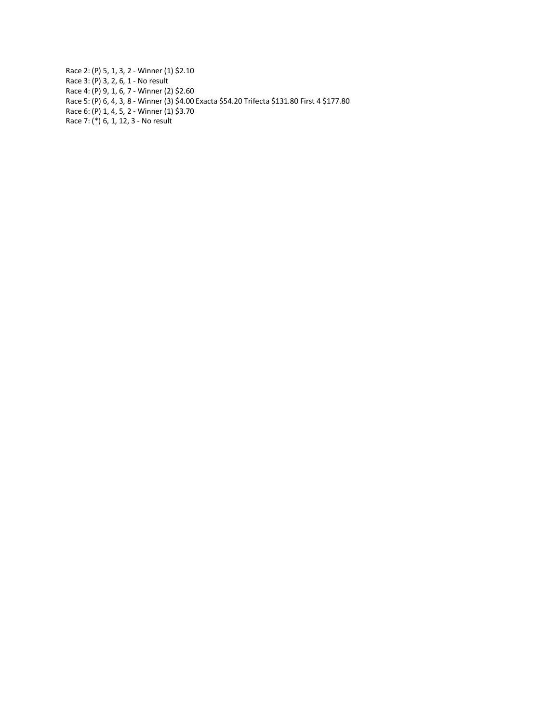Race 2: (P) 5, 1, 3, 2 - Winner (1) \$2.10 Race 3: (P) 3, 2, 6, 1 - No result Race 4: (P) 9, 1, 6, 7 - Winner (2) \$2.60 Race 5: (P) 6, 4, 3, 8 - Winner (3) \$4.00 Exacta \$54.20 Trifecta \$131.80 First 4 \$177.80 Race 6: (P) 1, 4, 5, 2 - Winner (1) \$3.70 Race 7: (\*) 6, 1, 12, 3 - No result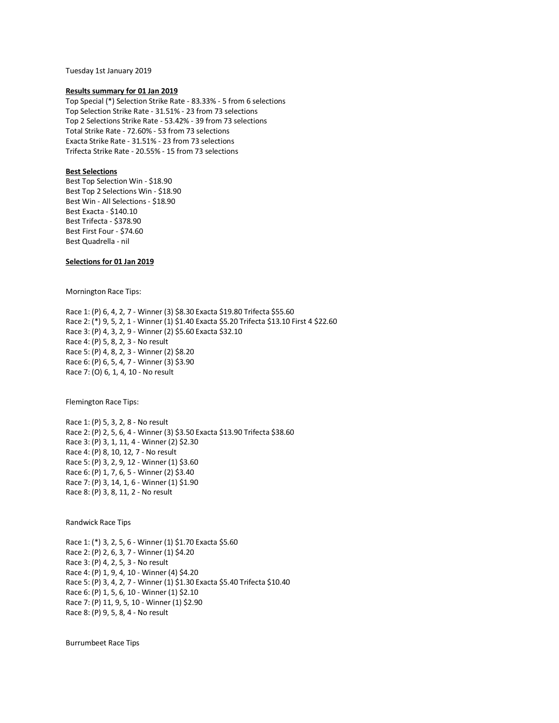Tuesday 1st January 2019

#### **Results summary for 01 Jan 2019**

Top Special (\*) Selection Strike Rate - 83.33% - 5 from 6 selections Top Selection Strike Rate - 31.51% - 23 from 73 selections Top 2 Selections Strike Rate - 53.42% - 39 from 73 selections Total Strike Rate - 72.60% - 53 from 73 selections Exacta Strike Rate - 31.51% - 23 from 73 selections Trifecta Strike Rate - 20.55% - 15 from 73 selections

## **Best Selections**

Best Top Selection Win - \$18.90 Best Top 2 Selections Win - \$18.90 Best Win - All Selections - \$18.90 Best Exacta - \$140.10 Best Trifecta - \$378.90 Best First Four - \$74.60 Best Quadrella - nil

## **Selections for 01 Jan 2019**

Mornington Race Tips:

Race 1: (P) 6, 4, 2, 7 - Winner (3) \$8.30 Exacta \$19.80 Trifecta \$55.60 Race 2: (\*) 9, 5, 2, 1 - Winner (1) \$1.40 Exacta \$5.20 Trifecta \$13.10 First 4 \$22.60 Race 3: (P) 4, 3, 2, 9 - Winner (2) \$5.60 Exacta \$32.10 Race 4: (P) 5, 8, 2, 3 - No result Race 5: (P) 4, 8, 2, 3 - Winner (2) \$8.20 Race 6: (P) 6, 5, 4, 7 - Winner (3) \$3.90 Race 7: (O) 6, 1, 4, 10 - No result

Flemington Race Tips:

Race 1: (P) 5, 3, 2, 8 - No result Race 2: (P) 2, 5, 6, 4 - Winner (3) \$3.50 Exacta \$13.90 Trifecta \$38.60 Race 3: (P) 3, 1, 11, 4 - Winner (2) \$2.30 Race 4: (P) 8, 10, 12, 7 - No result Race 5: (P) 3, 2, 9, 12 - Winner (1) \$3.60 Race 6: (P) 1, 7, 6, 5 - Winner (2) \$3.40 Race 7: (P) 3, 14, 1, 6 - Winner (1) \$1.90 Race 8: (P) 3, 8, 11, 2 - No result

Randwick Race Tips

Race 1: (\*) 3, 2, 5, 6 - Winner (1) \$1.70 Exacta \$5.60 Race 2: (P) 2, 6, 3, 7 - Winner (1) \$4.20 Race 3: (P) 4, 2, 5, 3 - No result Race 4: (P) 1, 9, 4, 10 - Winner (4) \$4.20 Race 5: (P) 3, 4, 2, 7 - Winner (1) \$1.30 Exacta \$5.40 Trifecta \$10.40 Race 6: (P) 1, 5, 6, 10 - Winner (1) \$2.10 Race 7: (P) 11, 9, 5, 10 - Winner (1) \$2.90 Race 8: (P) 9, 5, 8, 4 - No result

Burrumbeet Race Tips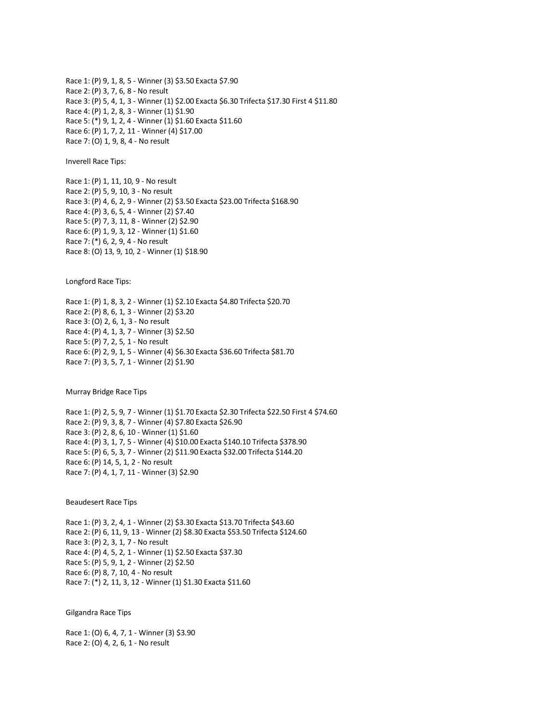Race 1: (P) 9, 1, 8, 5 - Winner (3) \$3.50 Exacta \$7.90 Race 2: (P) 3, 7, 6, 8 - No result Race 3: (P) 5, 4, 1, 3 - Winner (1) \$2.00 Exacta \$6.30 Trifecta \$17.30 First 4 \$11.80 Race 4: (P) 1, 2, 8, 3 - Winner (1) \$1.90 Race 5: (\*) 9, 1, 2, 4 - Winner (1) \$1.60 Exacta \$11.60 Race 6: (P) 1, 7, 2, 11 - Winner (4) \$17.00 Race 7: (O) 1, 9, 8, 4 - No result

Inverell Race Tips:

Race 1: (P) 1, 11, 10, 9 - No result Race 2: (P) 5, 9, 10, 3 - No result Race 3: (P) 4, 6, 2, 9 - Winner (2) \$3.50 Exacta \$23.00 Trifecta \$168.90 Race 4: (P) 3, 6, 5, 4 - Winner (2) \$7.40 Race 5: (P) 7, 3, 11, 8 - Winner (2) \$2.90 Race 6: (P) 1, 9, 3, 12 - Winner (1) \$1.60 Race 7: (\*) 6, 2, 9, 4 - No result Race 8: (O) 13, 9, 10, 2 - Winner (1) \$18.90

Longford Race Tips:

Race 1: (P) 1, 8, 3, 2 - Winner (1) \$2.10 Exacta \$4.80 Trifecta \$20.70 Race 2: (P) 8, 6, 1, 3 - Winner (2) \$3.20 Race 3: (O) 2, 6, 1, 3 - No result Race 4: (P) 4, 1, 3, 7 - Winner (3) \$2.50 Race 5: (P) 7, 2, 5, 1 - No result Race 6: (P) 2, 9, 1, 5 - Winner (4) \$6.30 Exacta \$36.60 Trifecta \$81.70 Race 7: (P) 3, 5, 7, 1 - Winner (2) \$1.90

Murray Bridge Race Tips

Race 1: (P) 2, 5, 9, 7 - Winner (1) \$1.70 Exacta \$2.30 Trifecta \$22.50 First 4 \$74.60 Race 2: (P) 9, 3, 8, 7 - Winner (4) \$7.80 Exacta \$26.90 Race 3: (P) 2, 8, 6, 10 - Winner (1) \$1.60 Race 4: (P) 3, 1, 7, 5 - Winner (4) \$10.00 Exacta \$140.10 Trifecta \$378.90 Race 5: (P) 6, 5, 3, 7 - Winner (2) \$11.90 Exacta \$32.00 Trifecta \$144.20 Race 6: (P) 14, 5, 1, 2 - No result Race 7: (P) 4, 1, 7, 11 - Winner (3) \$2.90

Beaudesert Race Tips

Race 1: (P) 3, 2, 4, 1 - Winner (2) \$3.30 Exacta \$13.70 Trifecta \$43.60 Race 2: (P) 6, 11, 9, 13 - Winner (2) \$8.30 Exacta \$53.50 Trifecta \$124.60 Race 3: (P) 2, 3, 1, 7 - No result Race 4: (P) 4, 5, 2, 1 - Winner (1) \$2.50 Exacta \$37.30 Race 5: (P) 5, 9, 1, 2 - Winner (2) \$2.50 Race 6: (P) 8, 7, 10, 4 - No result Race 7: (\*) 2, 11, 3, 12 - Winner (1) \$1.30 Exacta \$11.60

Gilgandra Race Tips

Race 1: (O) 6, 4, 7, 1 - Winner (3) \$3.90 Race 2: (O) 4, 2, 6, 1 - No result